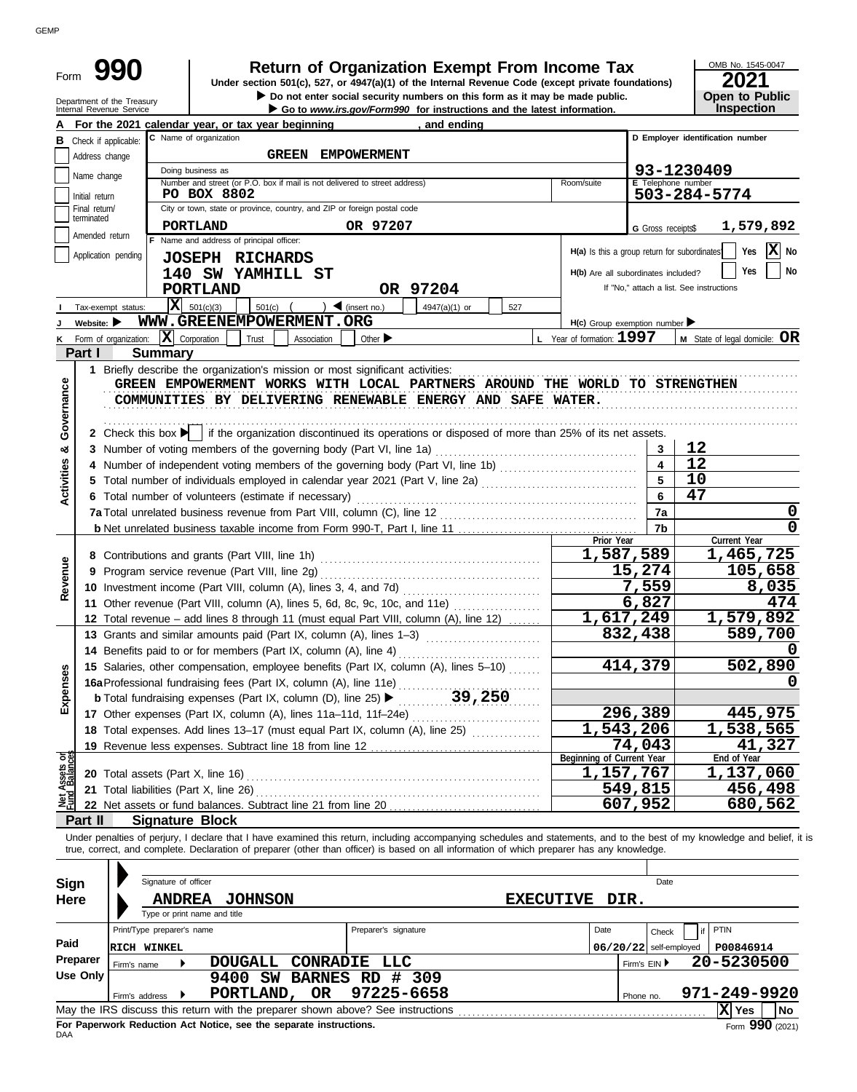# **990 2021 2010 2016 2021 Dependent Organization Exempt From Income Tax 2021 2021**

▶ Do not enter social security numbers on this form as it may be made public. **Open to Public** 

OMB No. 1545-0047 **Open to Public** 

|                                | Department of the Treasury<br>Internal Revenue Service | Do not enter social security numbers on this form as it may be made public.<br>Go to www.irs.gov/Form990 for instructions and the latest information.                                                                          |                                     | <b>Open to Public</b><br>Inspection                                      |
|--------------------------------|--------------------------------------------------------|--------------------------------------------------------------------------------------------------------------------------------------------------------------------------------------------------------------------------------|-------------------------------------|--------------------------------------------------------------------------|
|                                |                                                        | For the 2021 calendar year, or tax year beginning<br>, and ending                                                                                                                                                              |                                     |                                                                          |
|                                | <b>B</b> Check if applicable:                          | C Name of organization                                                                                                                                                                                                         |                                     | D Employer identification number                                         |
|                                | Address change                                         | <b>GREEN EMPOWERMENT</b>                                                                                                                                                                                                       |                                     |                                                                          |
|                                | Name change                                            | Doing business as                                                                                                                                                                                                              |                                     | 93-1230409                                                               |
|                                |                                                        | Number and street (or P.O. box if mail is not delivered to street address)<br>Room/suite<br>PO BOX 8802                                                                                                                        |                                     | E Telephone number<br>503-284-5774                                       |
|                                | Initial return<br>Final return/                        | City or town, state or province, country, and ZIP or foreign postal code                                                                                                                                                       |                                     |                                                                          |
|                                | terminated                                             | OR 97207<br>PORTLAND                                                                                                                                                                                                           |                                     | 1,579,892                                                                |
|                                | Amended return                                         | F Name and address of principal officer:                                                                                                                                                                                       |                                     | G Gross receipts\$                                                       |
|                                | Application pending                                    | <b>JOSEPH RICHARDS</b>                                                                                                                                                                                                         |                                     | $ \mathbf{X} $ No<br>H(a) Is this a group return for subordinates<br>Yes |
|                                |                                                        | 140 SW YAMHILL ST                                                                                                                                                                                                              | H(b) Are all subordinates included? | Yes<br>No                                                                |
|                                |                                                        | OR 97204<br><b>PORTLAND</b>                                                                                                                                                                                                    |                                     | If "No," attach a list. See instructions                                 |
|                                | Tax-exempt status:                                     | $\overline{\mathbf{X}}$ 501(c)(3)<br>$\int$ (insert no.)<br>501(c)<br>4947(a)(1) or<br>527                                                                                                                                     |                                     |                                                                          |
|                                | Website:                                               | WWW.GREENEMPOWERMENT.ORG                                                                                                                                                                                                       | $H(c)$ Group exemption number       |                                                                          |
| ĸ                              | Form of organization:                                  | $\mathbf{X}$ Corporation<br>L Year of formation: 1997<br>Other $\blacktriangleright$<br>Trust<br>Association                                                                                                                   |                                     | <b>M</b> State of legal domicile: $\overrightarrow{OR}$                  |
|                                | Part I                                                 | <b>Summary</b>                                                                                                                                                                                                                 |                                     |                                                                          |
|                                |                                                        | 1 Briefly describe the organization's mission or most significant activities:                                                                                                                                                  |                                     |                                                                          |
|                                |                                                        | GREEN EMPOWERMENT WORKS WITH LOCAL PARTNERS AROUND THE WORLD TO STRENGTHEN                                                                                                                                                     |                                     |                                                                          |
|                                |                                                        | COMMUNITIES BY DELIVERING RENEWABLE ENERGY AND SAFE WATER.                                                                                                                                                                     |                                     |                                                                          |
|                                |                                                        |                                                                                                                                                                                                                                |                                     |                                                                          |
| Governance                     |                                                        | 2 Check this box $\blacktriangleright$ if the organization discontinued its operations or disposed of more than 25% of its net assets.                                                                                         |                                     |                                                                          |
| න්                             |                                                        | 3 Number of voting members of the governing body (Part VI, line 1a)                                                                                                                                                            | 3                                   | 12                                                                       |
|                                |                                                        |                                                                                                                                                                                                                                | $\blacktriangle$                    | 12                                                                       |
|                                |                                                        | 4 Number of independent voting members of the governing body (Part VI, line 1b)                                                                                                                                                | 5                                   | 10                                                                       |
| Activities                     |                                                        |                                                                                                                                                                                                                                | 6                                   | 47                                                                       |
|                                |                                                        | 6 Total number of volunteers (estimate if necessary)                                                                                                                                                                           | 7a                                  | 0                                                                        |
|                                |                                                        |                                                                                                                                                                                                                                |                                     | $\mathbf 0$                                                              |
|                                |                                                        |                                                                                                                                                                                                                                | 7b<br>Prior Year                    | Current Year                                                             |
|                                |                                                        | 8 Contributions and grants (Part VIII, line 1h)                                                                                                                                                                                | 1,587,589                           | 1,465,725                                                                |
| Revenue                        |                                                        | 9 Program service revenue (Part VIII, line 2g)                                                                                                                                                                                 | 15,274                              | 105,658                                                                  |
|                                |                                                        | 10 Investment income (Part VIII, column (A), lines 3, 4, and 7d)                                                                                                                                                               | 7,559                               | 8,035                                                                    |
|                                |                                                        |                                                                                                                                                                                                                                | 6,827                               | 474                                                                      |
|                                |                                                        | 12 Total revenue – add lines 8 through 11 (must equal Part VIII, column (A), line 12)                                                                                                                                          | $\overline{1,617,249}$              | 1,579,892                                                                |
|                                |                                                        | 13 Grants and similar amounts paid (Part IX, column (A), lines 1-3)                                                                                                                                                            | 832,438                             | 589,700                                                                  |
|                                |                                                        | 14 Benefits paid to or for members (Part IX, column (A), line 4)                                                                                                                                                               |                                     |                                                                          |
|                                |                                                        |                                                                                                                                                                                                                                | 414,379                             | 502,890                                                                  |
| nses                           |                                                        | 15 Salaries, other compensation, employee benefits (Part IX, column (A), lines 5-10)<br>16a Professional fundraising fees (Part IX, column (A), line 11e)                                                                      |                                     | O                                                                        |
|                                |                                                        |                                                                                                                                                                                                                                |                                     |                                                                          |
| Exper                          |                                                        | 39,250<br><b>b</b> Total fundraising expenses (Part IX, column (D), line 25) $\blacktriangleright$                                                                                                                             |                                     |                                                                          |
|                                |                                                        | 17 Other expenses (Part IX, column (A), lines 11a-11d, 11f-24e)                                                                                                                                                                | 296,389                             | 445,975                                                                  |
|                                |                                                        | 18 Total expenses. Add lines 13-17 (must equal Part IX, column (A), line 25)                                                                                                                                                   | 1,543,206<br>74,043                 | 1,538,565                                                                |
|                                |                                                        | 19 Revenue less expenses. Subtract line 18 from line 12                                                                                                                                                                        | Beginning of Current Year           | 41,327<br>End of Year                                                    |
|                                |                                                        | 20 Total assets (Part X, line 16) Martin Martin Martin Martin Martin Martin Martin Martin Martin Martin Martin Martin Martin Martin Martin Martin Martin Martin Martin Martin Martin Martin Martin Martin Martin Martin Martin | 1,157,767                           | 1,137,060                                                                |
|                                |                                                        | 21 Total liabilities (Part X, line 26)                                                                                                                                                                                         | 549,815                             | 456,498                                                                  |
| Net Assets or<br>Fund Balances |                                                        |                                                                                                                                                                                                                                | 607,952                             | 680,562                                                                  |
|                                | Part II                                                | <b>Signature Block</b>                                                                                                                                                                                                         |                                     |                                                                          |
|                                |                                                        | Under penalties of perjury, I declare that I have examined this return, including accompanying schedules and statements, and to the best of my knowledge and belief, it is                                                     |                                     |                                                                          |
|                                |                                                        | true, correct, and complete. Declaration of preparer (other than officer) is based on all information of which preparer has any knowledge.                                                                                     |                                     |                                                                          |
|                                |                                                        |                                                                                                                                                                                                                                |                                     |                                                                          |
|                                | Sign                                                   | Signature of officer                                                                                                                                                                                                           | Date                                |                                                                          |
|                                | Here                                                   | <b>JOHNSON</b><br>EXECUTIVE DIR.<br><b>ANDREA</b>                                                                                                                                                                              |                                     |                                                                          |
|                                |                                                        | Type or print name and title                                                                                                                                                                                                   |                                     |                                                                          |
|                                |                                                        | Print/Type preparer's name<br>Preparer's signature<br>Date                                                                                                                                                                     | Check                               | PTIN                                                                     |
| Paid                           |                                                        |                                                                                                                                                                                                                                |                                     | P00846914                                                                |
|                                | Preparer                                               | <b>RICH WINKEL</b>                                                                                                                                                                                                             | $06/20/22$ self-employed            |                                                                          |
|                                | Firm's name<br>Use Only                                | <b>DOUGALL</b><br><b>CONRADIE</b><br>LLC<br>▶                                                                                                                                                                                  | Firm's EIN ▶                        | 20-5230500                                                               |
|                                |                                                        | 9400 SW BARNES RD # 309                                                                                                                                                                                                        |                                     |                                                                          |
|                                | Firm's address                                         | 97225-6658<br>PORTLAND,<br>OR                                                                                                                                                                                                  | Phone no.                           | 971-249-9920                                                             |
|                                |                                                        | May the IRS discuss this return with the preparer shown above? See instructions                                                                                                                                                |                                     | X Yes<br>No                                                              |

|          |                            | Type or print name and title                                                    |                      |              |           |                          |                   |           |
|----------|----------------------------|---------------------------------------------------------------------------------|----------------------|--------------|-----------|--------------------------|-------------------|-----------|
|          | Print/Type preparer's name |                                                                                 | Preparer's signature |              | Check     | <b>PTIN</b>              |                   |           |
| Paid     | <b>RICH WINKEL</b>         |                                                                                 |                      |              |           | $06/20/22$ self-employed | P00846914         |           |
| Preparer | Firm's name                | CONRADIE LLC<br><b>DOUGALL</b>                                                  |                      | Firm's $EIN$ |           | 20-5230500               |                   |           |
| Use Only |                            | SW BARNES RD # 309<br>9400                                                      |                      |              |           |                          |                   |           |
|          | Firm's address             | OR.<br>PORTLAND,                                                                | 97225-6658           |              | Phone no. |                          | 971-249-9920      |           |
|          |                            | May the IRS discuss this return with the preparer shown above? See instructions |                      |              |           |                          | ιXΙ<br>Yes        | <b>No</b> |
| DAA      |                            | For Paperwork Reduction Act Notice, see the separate instructions.              |                      |              |           |                          | Form $990$ (2021) |           |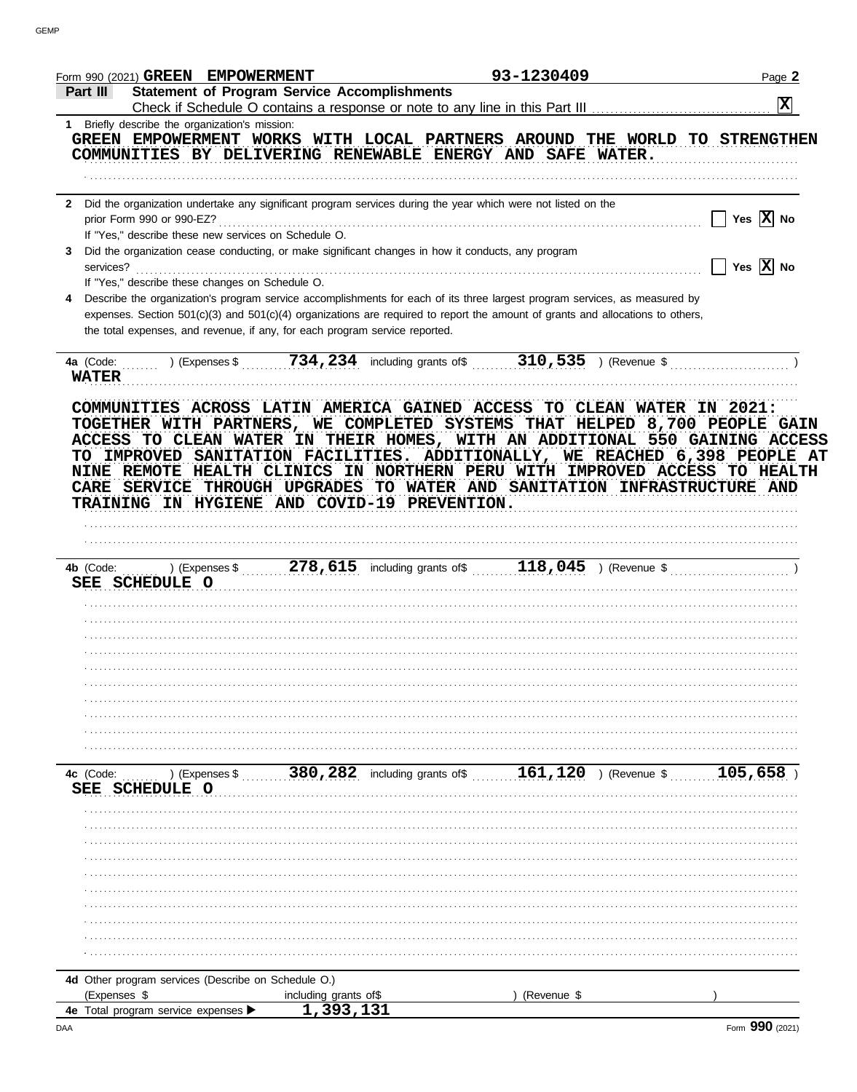| Form 990 (2021) GREEN EMPOWERMENT                                                                        |                                                                                                                                     | 93-1230409                                 | Page 2                  |
|----------------------------------------------------------------------------------------------------------|-------------------------------------------------------------------------------------------------------------------------------------|--------------------------------------------|-------------------------|
| Part III                                                                                                 | <b>Statement of Program Service Accomplishments</b><br>Check if Schedule O contains a response or note to any line in this Part III |                                            | 図                       |
| 1 Briefly describe the organization's mission:                                                           |                                                                                                                                     |                                            |                         |
|                                                                                                          | GREEN EMPOWERMENT WORKS WITH LOCAL PARTNERS AROUND THE WORLD TO STRENGT                                                             |                                            |                         |
|                                                                                                          | COMMUNITIES BY DELIVERING RENEWABLE ENERGY AND SAFE WATER.                                                                          |                                            |                         |
|                                                                                                          |                                                                                                                                     |                                            |                         |
|                                                                                                          |                                                                                                                                     |                                            |                         |
| $\mathbf{2}$                                                                                             | Did the organization undertake any significant program services during the year which were not listed on the                        |                                            |                         |
| prior Form 990 or 990-EZ?                                                                                |                                                                                                                                     |                                            | Yes $\overline{X}$ No   |
| If "Yes," describe these new services on Schedule O.                                                     |                                                                                                                                     |                                            |                         |
| 3.                                                                                                       | Did the organization cease conducting, or make significant changes in how it conducts, any program                                  |                                            |                         |
| services?                                                                                                |                                                                                                                                     |                                            | Yes $\overline{X}$ No   |
| If "Yes," describe these changes on Schedule O.                                                          |                                                                                                                                     |                                            |                         |
|                                                                                                          | Describe the organization's program service accomplishments for each of its three largest program services, as measured by          |                                            |                         |
|                                                                                                          | expenses. Section $501(c)(3)$ and $501(c)(4)$ organizations are required to report the amount of grants and allocations to others,  |                                            |                         |
| the total expenses, and revenue, if any, for each program service reported.                              |                                                                                                                                     |                                            |                         |
|                                                                                                          |                                                                                                                                     |                                            |                         |
| 4a (Code:                                                                                                | ) (Expenses \$234, 234, 234) including grants of \$210, 535 ) (Revenue \$                                                           |                                            |                         |
| <b>WATER</b>                                                                                             |                                                                                                                                     |                                            |                         |
|                                                                                                          |                                                                                                                                     |                                            |                         |
|                                                                                                          | COMMUNITIES ACROSS LATIN AMERICA GAINED ACCESS                                                                                      |                                            | TO CLEAN WATER IN 2021: |
| TOGETHER WITH PARTNERS,                                                                                  | WE COMPLETED SYSTEMS THAT HELPED 8,700 PEOPLE GAIN                                                                                  |                                            |                         |
|                                                                                                          | ACCESS TO CLEAN WATER IN THEIR HOMES, WITH AN ADDITIONAL 550 GAINING ACCESS                                                         |                                            |                         |
| TO                                                                                                       | IMPROVED SANITATION FACILITIES. ADDITIONALLY, WE REACHED 6,398 PEOPLE                                                               |                                            |                         |
|                                                                                                          | NINE REMOTE HEALTH CLINICS IN NORTHERN PERU WITH IMPROVED ACCESS                                                                    |                                            | TO HEALTH               |
| CARE SERVICE                                                                                             | <b>THROUGH UPGRADES</b>                                                                                                             | TO WATER AND SANITATION INFRASTRUCTURE AND |                         |
|                                                                                                          | TRAINING IN HYGIENE AND COVID-19 PREVENTION.                                                                                        |                                            |                         |
|                                                                                                          |                                                                                                                                     |                                            |                         |
|                                                                                                          |                                                                                                                                     |                                            |                         |
|                                                                                                          |                                                                                                                                     |                                            |                         |
|                                                                                                          |                                                                                                                                     |                                            |                         |
|                                                                                                          |                                                                                                                                     |                                            |                         |
|                                                                                                          | ) (Expenses \$ 278, 615 including grants of \$ 118, 045 ) (Revenue \$                                                               |                                            |                         |
| <b>SCHEDULE O</b>                                                                                        |                                                                                                                                     |                                            |                         |
|                                                                                                          |                                                                                                                                     |                                            |                         |
|                                                                                                          |                                                                                                                                     |                                            |                         |
|                                                                                                          |                                                                                                                                     |                                            |                         |
|                                                                                                          |                                                                                                                                     |                                            |                         |
|                                                                                                          |                                                                                                                                     |                                            |                         |
|                                                                                                          |                                                                                                                                     |                                            |                         |
|                                                                                                          |                                                                                                                                     |                                            |                         |
|                                                                                                          |                                                                                                                                     |                                            |                         |
|                                                                                                          |                                                                                                                                     |                                            |                         |
|                                                                                                          |                                                                                                                                     |                                            |                         |
|                                                                                                          |                                                                                                                                     |                                            |                         |
|                                                                                                          | ) (Expenses \$ 380, 282 including grants of \$ 161, 120 ) (Revenue \$ 1, 100 )                                                      |                                            | 105,658                 |
| <b>SCHEDULE O</b>                                                                                        |                                                                                                                                     |                                            |                         |
|                                                                                                          |                                                                                                                                     |                                            |                         |
|                                                                                                          |                                                                                                                                     |                                            |                         |
|                                                                                                          |                                                                                                                                     |                                            |                         |
|                                                                                                          |                                                                                                                                     |                                            |                         |
|                                                                                                          |                                                                                                                                     |                                            |                         |
|                                                                                                          |                                                                                                                                     |                                            |                         |
|                                                                                                          |                                                                                                                                     |                                            |                         |
|                                                                                                          |                                                                                                                                     |                                            |                         |
|                                                                                                          |                                                                                                                                     |                                            |                         |
|                                                                                                          |                                                                                                                                     |                                            |                         |
| 4b (Code:<br>SEE<br>4c (Code:<br>SEE                                                                     |                                                                                                                                     |                                            |                         |
|                                                                                                          |                                                                                                                                     |                                            |                         |
|                                                                                                          |                                                                                                                                     |                                            |                         |
| 4d Other program services (Describe on Schedule O.)<br>(Expenses \$<br>4e Total program service expenses | including grants of\$<br>1,393,131                                                                                                  | (Revenue \$                                |                         |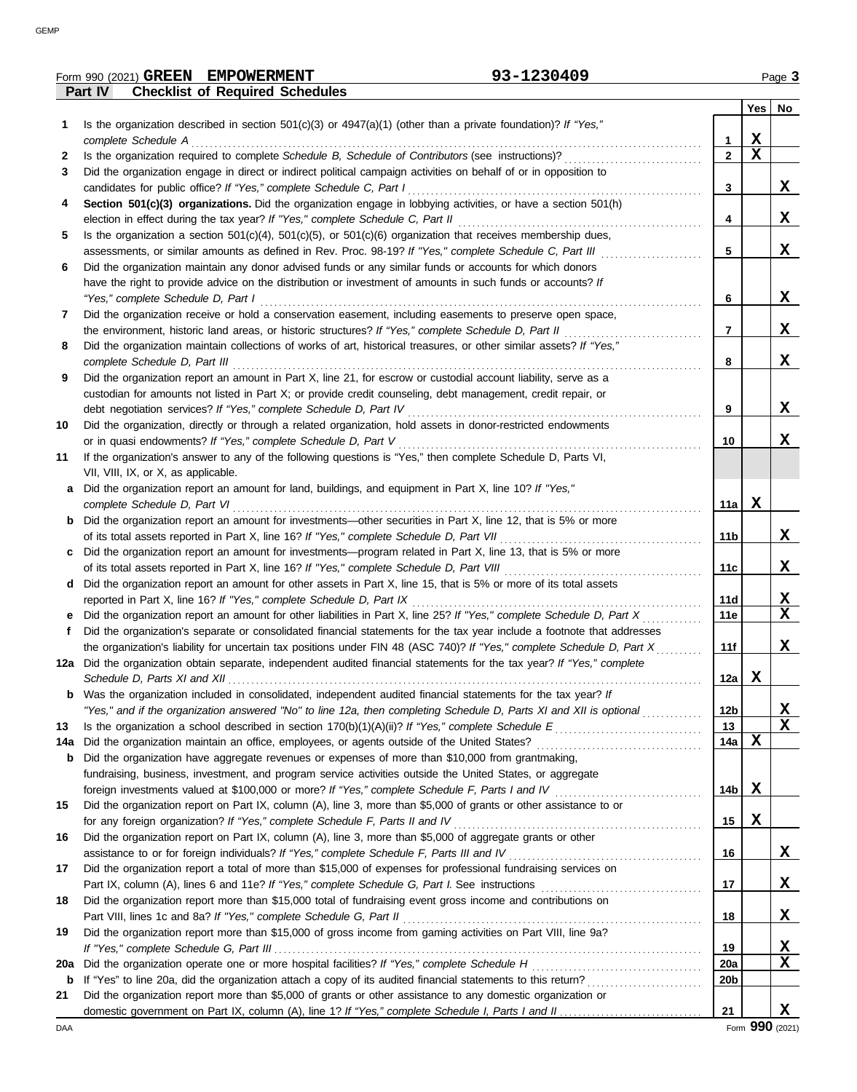|     | Form 990 (2021) GREEN EMPOWERMENT                                                                                       | 93-1230409 |                 |             | Page 3      |
|-----|-------------------------------------------------------------------------------------------------------------------------|------------|-----------------|-------------|-------------|
|     | Part IV<br><b>Checklist of Required Schedules</b>                                                                       |            |                 |             |             |
|     |                                                                                                                         |            |                 | Yes         | No          |
| 1   | Is the organization described in section $501(c)(3)$ or $4947(a)(1)$ (other than a private foundation)? If "Yes,"       |            |                 |             |             |
|     | complete Schedule A                                                                                                     |            | 1               | X           |             |
| 2   | Is the organization required to complete Schedule B, Schedule of Contributors (see instructions)?                       |            | $\mathbf{2}$    | $\mathbf x$ |             |
| 3   | Did the organization engage in direct or indirect political campaign activities on behalf of or in opposition to        |            |                 |             |             |
|     | candidates for public office? If "Yes," complete Schedule C, Part I                                                     |            | 3               |             | X           |
| 4   | Section 501(c)(3) organizations. Did the organization engage in lobbying activities, or have a section 501(h)           |            |                 |             |             |
|     | election in effect during the tax year? If "Yes," complete Schedule C, Part II                                          |            | 4               |             | X           |
| 5.  | Is the organization a section $501(c)(4)$ , $501(c)(5)$ , or $501(c)(6)$ organization that receives membership dues,    |            |                 |             |             |
|     | assessments, or similar amounts as defined in Rev. Proc. 98-19? If "Yes," complete Schedule C, Part III                 |            | 5               |             | $\mathbf x$ |
| 6   | Did the organization maintain any donor advised funds or any similar funds or accounts for which donors                 |            |                 |             |             |
|     | have the right to provide advice on the distribution or investment of amounts in such funds or accounts? If             |            |                 |             |             |
|     | "Yes," complete Schedule D, Part I                                                                                      |            | 6               |             | X           |
| 7   | Did the organization receive or hold a conservation easement, including easements to preserve open space,               |            |                 |             |             |
|     | the environment, historic land areas, or historic structures? If "Yes," complete Schedule D, Part II                    |            | 7               |             | X           |
| 8   | Did the organization maintain collections of works of art, historical treasures, or other similar assets? If "Yes,"     |            |                 |             |             |
|     | complete Schedule D, Part III                                                                                           |            | 8               |             | X           |
| 9   | Did the organization report an amount in Part X, line 21, for escrow or custodial account liability, serve as a         |            |                 |             |             |
|     | custodian for amounts not listed in Part X; or provide credit counseling, debt management, credit repair, or            |            |                 |             |             |
|     | debt negotiation services? If "Yes," complete Schedule D, Part IV                                                       |            | 9               |             | X           |
| 10  | Did the organization, directly or through a related organization, hold assets in donor-restricted endowments            |            |                 |             |             |
|     | or in quasi endowments? If "Yes," complete Schedule D, Part V                                                           |            | 10              |             | X           |
| 11  | If the organization's answer to any of the following questions is "Yes," then complete Schedule D, Parts VI,            |            |                 |             |             |
|     | VII, VIII, IX, or X, as applicable.                                                                                     |            |                 |             |             |
| а   | Did the organization report an amount for land, buildings, and equipment in Part X, line 10? If "Yes,"                  |            |                 |             |             |
|     | complete Schedule D, Part VI                                                                                            |            | 11a             | X           |             |
|     | Did the organization report an amount for investments—other securities in Part X, line 12, that is 5% or more           |            |                 |             |             |
|     | of its total assets reported in Part X, line 16? If "Yes," complete Schedule D, Part VII                                |            | 11 <sub>b</sub> |             | X           |
| c   | Did the organization report an amount for investments—program related in Part X, line 13, that is 5% or more            |            |                 |             |             |
|     | of its total assets reported in Part X, line 16? If "Yes," complete Schedule D, Part VIII                               |            | 11 <sub>c</sub> |             | $\mathbf x$ |
| d   | Did the organization report an amount for other assets in Part X, line 15, that is 5% or more of its total assets       |            |                 |             |             |
|     | reported in Part X, line 16? If "Yes," complete Schedule D, Part IX                                                     |            | 11d             |             | <u>x</u>    |
|     | Did the organization report an amount for other liabilities in Part X, line 25? If "Yes," complete Schedule D, Part X   |            | <b>11e</b>      |             | $\mathbf x$ |
| f   | Did the organization's separate or consolidated financial statements for the tax year include a footnote that addresses |            |                 |             |             |
|     | the organization's liability for uncertain tax positions under FIN 48 (ASC 740)? If "Yes," complete Schedule D, Part X  |            | 11f             |             | X           |
|     | 12a Did the organization obtain separate, independent audited financial statements for the tax year? If "Yes," complete |            |                 |             |             |
|     | Schedule D, Parts XI and XII                                                                                            |            | 12a             | X           |             |
| b   | Was the organization included in consolidated, independent audited financial statements for the tax year? If            |            |                 |             |             |
|     | "Yes," and if the organization answered "No" to line 12a, then completing Schedule D, Parts XI and XII is optional      |            | 12 <sub>b</sub> |             | <u>x</u>    |
| 13  |                                                                                                                         |            | 13              |             | X           |
| 14a | Did the organization maintain an office, employees, or agents outside of the United States?                             |            | 14a             | X           |             |
| b   | Did the organization have aggregate revenues or expenses of more than \$10,000 from grantmaking,                        |            |                 |             |             |
|     | fundraising, business, investment, and program service activities outside the United States, or aggregate               |            |                 |             |             |
|     | foreign investments valued at \$100,000 or more? If "Yes," complete Schedule F, Parts I and IV                          |            | 14b             | X           |             |
| 15  | Did the organization report on Part IX, column (A), line 3, more than \$5,000 of grants or other assistance to or       |            |                 |             |             |
|     | for any foreign organization? If "Yes," complete Schedule F, Parts II and IV                                            |            | 15              | X           |             |
| 16  | Did the organization report on Part IX, column (A), line 3, more than \$5,000 of aggregate grants or other              |            |                 |             |             |
|     |                                                                                                                         |            | 16              |             | X           |
| 17  | Did the organization report a total of more than \$15,000 of expenses for professional fundraising services on          |            |                 |             |             |
|     |                                                                                                                         |            | 17              |             | X           |
| 18  | Did the organization report more than \$15,000 total of fundraising event gross income and contributions on             |            |                 |             |             |
|     | Part VIII, lines 1c and 8a? If "Yes," complete Schedule G, Part II                                                      |            | 18              |             | <u>x</u>    |
| 19  | Did the organization report more than \$15,000 of gross income from gaming activities on Part VIII, line 9a?            |            |                 |             |             |
|     |                                                                                                                         |            | 19              |             | <u>x</u>    |
| 20a | Did the organization operate one or more hospital facilities? If "Yes," complete Schedule H                             |            | 20a             |             | $\mathbf x$ |
| b   |                                                                                                                         |            | 20 <sub>b</sub> |             |             |
| 21  | Did the organization report more than \$5,000 of grants or other assistance to any domestic organization or             |            |                 |             |             |
|     |                                                                                                                         |            | 21              |             | X           |

DAA Form **990** (2021)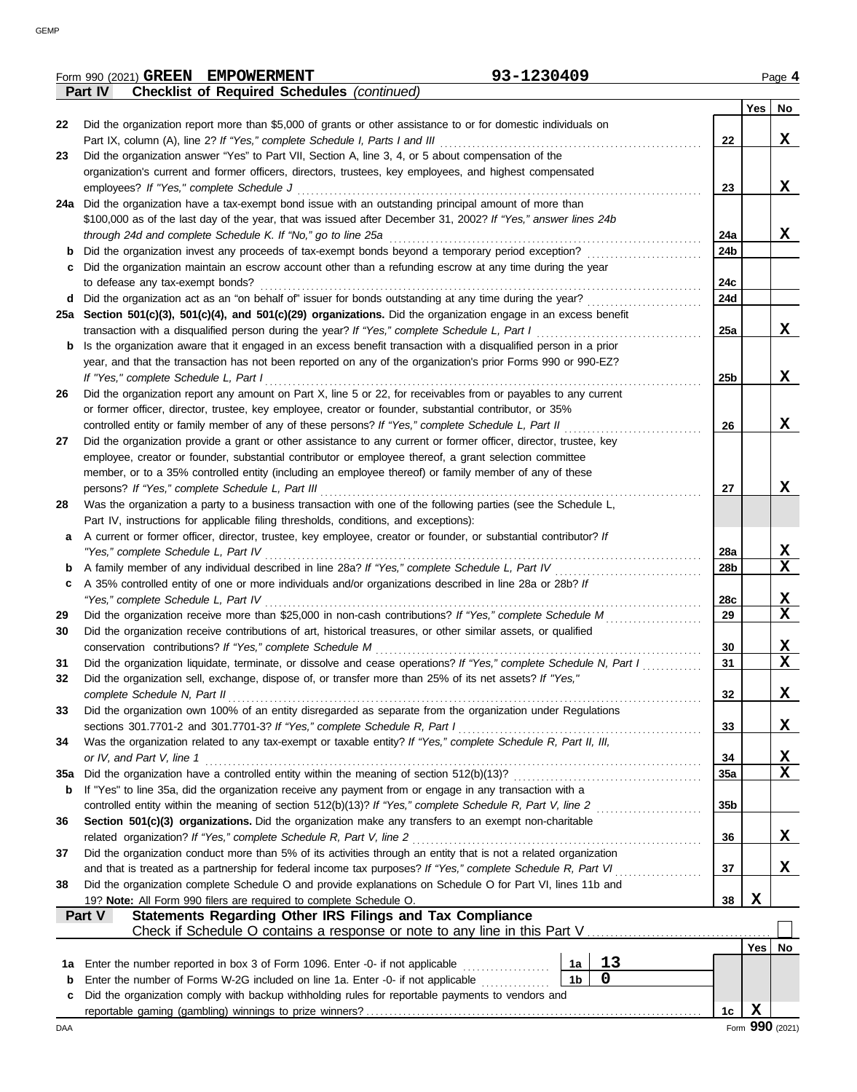|          | 93-1230409<br>Form 990 (2021) GREEN EMPOWERMENT                                                                                                                                                                     |                 |                  | Page 4          |
|----------|---------------------------------------------------------------------------------------------------------------------------------------------------------------------------------------------------------------------|-----------------|------------------|-----------------|
|          | Part IV<br><b>Checklist of Required Schedules (continued)</b>                                                                                                                                                       |                 |                  |                 |
|          |                                                                                                                                                                                                                     |                 |                  | $Yes \mid No$   |
| 22       | Did the organization report more than \$5,000 of grants or other assistance to or for domestic individuals on                                                                                                       |                 |                  |                 |
|          | Part IX, column (A), line 2? If "Yes," complete Schedule I, Parts I and III                                                                                                                                         | 22              |                  | X               |
| 23       | Did the organization answer "Yes" to Part VII, Section A, line 3, 4, or 5 about compensation of the                                                                                                                 |                 |                  |                 |
|          | organization's current and former officers, directors, trustees, key employees, and highest compensated                                                                                                             |                 |                  |                 |
|          | employees? If "Yes," complete Schedule J                                                                                                                                                                            | 23              |                  | X               |
|          | 24a Did the organization have a tax-exempt bond issue with an outstanding principal amount of more than                                                                                                             |                 |                  |                 |
|          | \$100,000 as of the last day of the year, that was issued after December 31, 2002? If "Yes," answer lines 24b                                                                                                       |                 |                  |                 |
|          | through 24d and complete Schedule K. If "No," go to line 25a                                                                                                                                                        | 24a             |                  | X               |
|          | <b>b</b> Did the organization invest any proceeds of tax-exempt bonds beyond a temporary period exception?                                                                                                          | 24b             |                  |                 |
| C        | Did the organization maintain an escrow account other than a refunding escrow at any time during the year<br>to defease any tax-exempt bonds?                                                                       | 24c             |                  |                 |
|          | d Did the organization act as an "on behalf of" issuer for bonds outstanding at any time during the year?                                                                                                           | 24d             |                  |                 |
|          | 25a Section 501(c)(3), 501(c)(4), and 501(c)(29) organizations. Did the organization engage in an excess benefit                                                                                                    |                 |                  |                 |
|          | transaction with a disqualified person during the year? If "Yes," complete Schedule L, Part I                                                                                                                       | 25a             |                  | X               |
| b        | Is the organization aware that it engaged in an excess benefit transaction with a disqualified person in a prior                                                                                                    |                 |                  |                 |
|          | year, and that the transaction has not been reported on any of the organization's prior Forms 990 or 990-EZ?                                                                                                        |                 |                  |                 |
|          | If "Yes," complete Schedule L, Part I                                                                                                                                                                               | 25b             |                  | X               |
| 26       | Did the organization report any amount on Part X, line 5 or 22, for receivables from or payables to any current                                                                                                     |                 |                  |                 |
|          | or former officer, director, trustee, key employee, creator or founder, substantial contributor, or 35%                                                                                                             |                 |                  |                 |
|          | controlled entity or family member of any of these persons? If "Yes," complete Schedule L, Part II                                                                                                                  | 26              |                  | X               |
| 27       | Did the organization provide a grant or other assistance to any current or former officer, director, trustee, key                                                                                                   |                 |                  |                 |
|          | employee, creator or founder, substantial contributor or employee thereof, a grant selection committee                                                                                                              |                 |                  |                 |
|          | member, or to a 35% controlled entity (including an employee thereof) or family member of any of these                                                                                                              |                 |                  |                 |
|          | persons? If "Yes," complete Schedule L, Part III                                                                                                                                                                    | 27              |                  | X               |
| 28       | Was the organization a party to a business transaction with one of the following parties (see the Schedule L,                                                                                                       |                 |                  |                 |
|          | Part IV, instructions for applicable filing thresholds, conditions, and exceptions):                                                                                                                                |                 |                  |                 |
| a        | A current or former officer, director, trustee, key employee, creator or founder, or substantial contributor? If                                                                                                    |                 |                  |                 |
|          | "Yes," complete Schedule L, Part IV                                                                                                                                                                                 | 28a             |                  | X               |
| b        | A family member of any individual described in line 28a? If "Yes," complete Schedule L, Part IV                                                                                                                     | 28b             |                  | X               |
| c        | A 35% controlled entity of one or more individuals and/or organizations described in line 28a or 28b? If                                                                                                            |                 |                  |                 |
|          | "Yes," complete Schedule L, Part IV<br>Did the organization receive more than \$25,000 in non-cash contributions? If "Yes," complete Schedule M                                                                     | 28c             |                  | X<br>X          |
| 29<br>30 | Did the organization receive contributions of art, historical treasures, or other similar assets, or qualified                                                                                                      | 29              |                  |                 |
|          | conservation contributions? If "Yes," complete Schedule M                                                                                                                                                           | 30              |                  | X               |
| 31       | Did the organization liquidate, terminate, or dissolve and cease operations? If "Yes," complete Schedule N, Part I                                                                                                  | 31              |                  | X               |
| 32       | Did the organization sell, exchange, dispose of, or transfer more than 25% of its net assets? If "Yes,"                                                                                                             |                 |                  |                 |
|          | complete Schedule N, Part II                                                                                                                                                                                        | 32              |                  | X               |
| 33       | Did the organization own 100% of an entity disregarded as separate from the organization under Regulations                                                                                                          |                 |                  |                 |
|          | sections 301.7701-2 and 301.7701-3? If "Yes," complete Schedule R, Part I                                                                                                                                           | 33              |                  | X               |
| 34       | Was the organization related to any tax-exempt or taxable entity? If "Yes," complete Schedule R, Part II, III,                                                                                                      |                 |                  |                 |
|          | or IV, and Part V, line 1                                                                                                                                                                                           | 34              |                  | X               |
| 35а      | Did the organization have a controlled entity within the meaning of section 512(b)(13)?                                                                                                                             | 35a             |                  | $\mathbf x$     |
| b        | If "Yes" to line 35a, did the organization receive any payment from or engage in any transaction with a                                                                                                             |                 |                  |                 |
|          | controlled entity within the meaning of section 512(b)(13)? If "Yes," complete Schedule R, Part V, line 2                                                                                                           | 35 <sub>b</sub> |                  |                 |
| 36       | Section 501(c)(3) organizations. Did the organization make any transfers to an exempt non-charitable                                                                                                                |                 |                  |                 |
|          | related organization? If "Yes," complete Schedule R, Part V, line 2                                                                                                                                                 | 36              |                  | X               |
| 37       | Did the organization conduct more than 5% of its activities through an entity that is not a related organization                                                                                                    |                 |                  |                 |
|          | and that is treated as a partnership for federal income tax purposes? If "Yes," complete Schedule R, Part VI                                                                                                        | 37              |                  | X               |
| 38       | Did the organization complete Schedule O and provide explanations on Schedule O for Part VI, lines 11b and                                                                                                          |                 |                  |                 |
|          | 19? Note: All Form 990 filers are required to complete Schedule O.                                                                                                                                                  | 38              | X                |                 |
|          | Statements Regarding Other IRS Filings and Tax Compliance<br>Part V                                                                                                                                                 |                 |                  |                 |
|          |                                                                                                                                                                                                                     |                 |                  |                 |
|          |                                                                                                                                                                                                                     |                 | Yes <sub>1</sub> | No              |
| 1a       | <u>13</u><br>1a<br>Enter the number reported in box 3 of Form 1096. Enter -0- if not applicable<br>$\mathbf 0$<br>1 <sub>b</sub><br>Enter the number of Forms W-2G included on line 1a. Enter -0- if not applicable |                 |                  |                 |
| b<br>c   | Did the organization comply with backup withholding rules for reportable payments to vendors and                                                                                                                    |                 |                  |                 |
|          |                                                                                                                                                                                                                     | 1c              | X                |                 |
| DAA      |                                                                                                                                                                                                                     |                 |                  | Form 990 (2021) |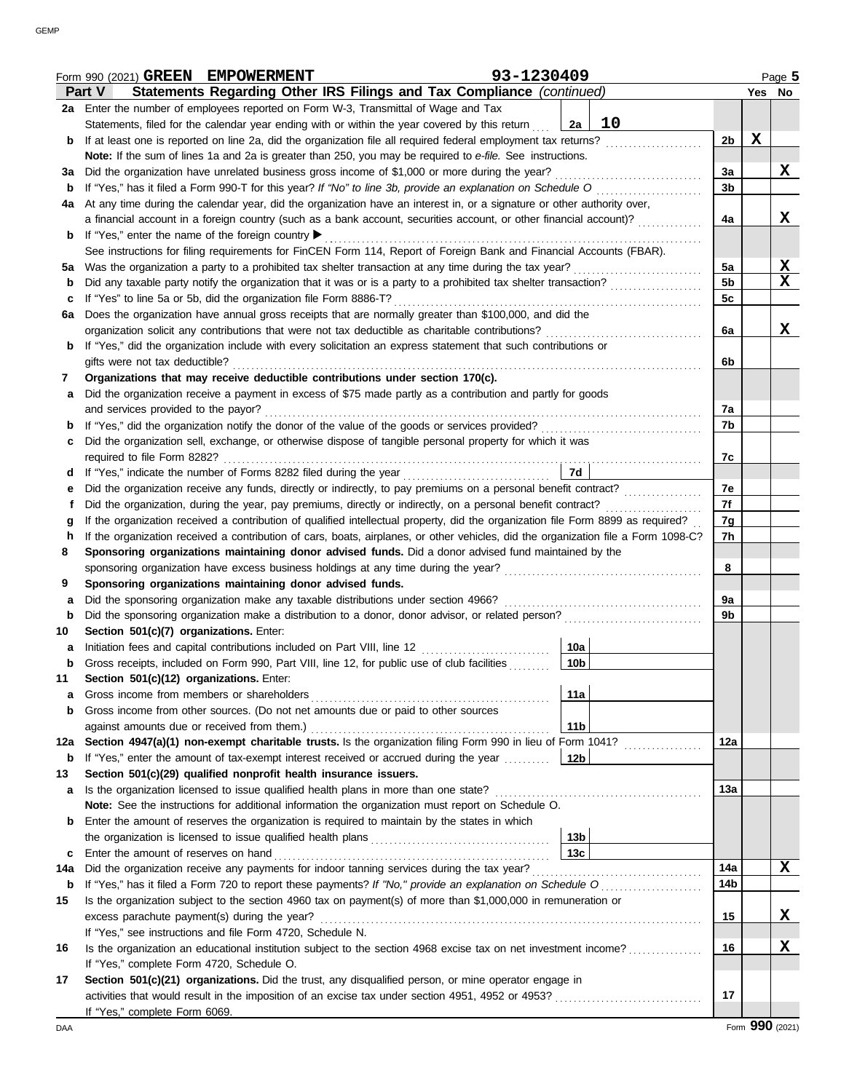|     | 93-1230409<br>Form 990 (2021) GREEN EMPOWERMENT                                                                                    |                |   |             |  |  |  |  |  |  |  |  |
|-----|------------------------------------------------------------------------------------------------------------------------------------|----------------|---|-------------|--|--|--|--|--|--|--|--|
|     | Statements Regarding Other IRS Filings and Tax Compliance (continued)<br><b>Part V</b>                                             |                |   | Yes No      |  |  |  |  |  |  |  |  |
| 2a  | Enter the number of employees reported on Form W-3, Transmittal of Wage and Tax                                                    |                |   |             |  |  |  |  |  |  |  |  |
|     | 10<br>Statements, filed for the calendar year ending with or within the year covered by this return<br>2a                          |                |   |             |  |  |  |  |  |  |  |  |
| b   | If at least one is reported on line 2a, did the organization file all required federal employment tax returns?                     | 2b             | X |             |  |  |  |  |  |  |  |  |
|     | Note: If the sum of lines 1a and 2a is greater than 250, you may be required to e-file. See instructions.                          |                |   |             |  |  |  |  |  |  |  |  |
| За  | Did the organization have unrelated business gross income of \$1,000 or more during the year?                                      | Зa             |   | X           |  |  |  |  |  |  |  |  |
| b   | If "Yes," has it filed a Form 990-T for this year? If "No" to line 3b, provide an explanation on Schedule O                        | 3 <sub>b</sub> |   |             |  |  |  |  |  |  |  |  |
| 4a  | At any time during the calendar year, did the organization have an interest in, or a signature or other authority over,            |                |   |             |  |  |  |  |  |  |  |  |
|     | a financial account in a foreign country (such as a bank account, securities account, or other financial account)?                 | 4a             |   | X.          |  |  |  |  |  |  |  |  |
| b   | If "Yes," enter the name of the foreign country ▶                                                                                  |                |   |             |  |  |  |  |  |  |  |  |
|     | See instructions for filing requirements for FinCEN Form 114, Report of Foreign Bank and Financial Accounts (FBAR).                |                |   |             |  |  |  |  |  |  |  |  |
| 5а  | Was the organization a party to a prohibited tax shelter transaction at any time during the tax year?                              | 5a             |   | $\mathbf x$ |  |  |  |  |  |  |  |  |
| b   | Did any taxable party notify the organization that it was or is a party to a prohibited tax shelter transaction?                   |                |   |             |  |  |  |  |  |  |  |  |
| c   | If "Yes" to line 5a or 5b, did the organization file Form 8886-T?                                                                  | 5c             |   |             |  |  |  |  |  |  |  |  |
| 6a  | Does the organization have annual gross receipts that are normally greater than \$100,000, and did the                             |                |   |             |  |  |  |  |  |  |  |  |
|     | organization solicit any contributions that were not tax deductible as charitable contributions?                                   | 6a             |   | X           |  |  |  |  |  |  |  |  |
| b   | If "Yes," did the organization include with every solicitation an express statement that such contributions or                     |                |   |             |  |  |  |  |  |  |  |  |
|     | gifts were not tax deductible?                                                                                                     | 6b             |   |             |  |  |  |  |  |  |  |  |
| 7   | Organizations that may receive deductible contributions under section 170(c).                                                      |                |   |             |  |  |  |  |  |  |  |  |
| а   | Did the organization receive a payment in excess of \$75 made partly as a contribution and partly for goods                        |                |   |             |  |  |  |  |  |  |  |  |
|     | and services provided to the payor?                                                                                                | 7a             |   |             |  |  |  |  |  |  |  |  |
| b   | If "Yes," did the organization notify the donor of the value of the goods or services provided?                                    | 7b             |   |             |  |  |  |  |  |  |  |  |
| c   | Did the organization sell, exchange, or otherwise dispose of tangible personal property for which it was                           |                |   |             |  |  |  |  |  |  |  |  |
|     | required to file Form 8282?                                                                                                        | 7c             |   |             |  |  |  |  |  |  |  |  |
| d   | 7d<br>If "Yes," indicate the number of Forms 8282 filed during the year                                                            |                |   |             |  |  |  |  |  |  |  |  |
| е   | Did the organization receive any funds, directly or indirectly, to pay premiums on a personal benefit contract?                    | 7e             |   |             |  |  |  |  |  |  |  |  |
| t   | Did the organization, during the year, pay premiums, directly or indirectly, on a personal benefit contract?                       | 7f             |   |             |  |  |  |  |  |  |  |  |
| g   | If the organization received a contribution of qualified intellectual property, did the organization file Form 8899 as required?   | 7g             |   |             |  |  |  |  |  |  |  |  |
| h   | If the organization received a contribution of cars, boats, airplanes, or other vehicles, did the organization file a Form 1098-C? | 7h             |   |             |  |  |  |  |  |  |  |  |
| 8   | Sponsoring organizations maintaining donor advised funds. Did a donor advised fund maintained by the                               |                |   |             |  |  |  |  |  |  |  |  |
|     | sponsoring organization have excess business holdings at any time during the year?                                                 | 8              |   |             |  |  |  |  |  |  |  |  |
| 9   | Sponsoring organizations maintaining donor advised funds.                                                                          |                |   |             |  |  |  |  |  |  |  |  |
| a   | Did the sponsoring organization make any taxable distributions under section 4966?                                                 | 9а             |   |             |  |  |  |  |  |  |  |  |
| b   | Did the sponsoring organization make a distribution to a donor, donor advisor, or related person?                                  | 9b             |   |             |  |  |  |  |  |  |  |  |
| 10  | Section 501(c)(7) organizations. Enter:                                                                                            |                |   |             |  |  |  |  |  |  |  |  |
| a   | Initiation fees and capital contributions included on Part VIII, line 12<br>10a                                                    |                |   |             |  |  |  |  |  |  |  |  |
|     | 10 <sub>b</sub><br>Gross receipts, included on Form 990, Part VIII, line 12, for public use of club facilities                     |                |   |             |  |  |  |  |  |  |  |  |
| 11  | Section 501(c)(12) organizations. Enter:                                                                                           |                |   |             |  |  |  |  |  |  |  |  |
| a   | 11a<br>Gross income from members or shareholders                                                                                   |                |   |             |  |  |  |  |  |  |  |  |
| b   | Gross income from other sources. (Do not net amounts due or paid to other sources                                                  |                |   |             |  |  |  |  |  |  |  |  |
|     | 11 <sub>b</sub><br>against amounts due or received from them.)                                                                     |                |   |             |  |  |  |  |  |  |  |  |
| 12a | Section 4947(a)(1) non-exempt charitable trusts. Is the organization filing Form 990 in lieu of Form 1041?                         | 12a            |   |             |  |  |  |  |  |  |  |  |
| b   | If "Yes," enter the amount of tax-exempt interest received or accrued during the year<br>12 <sub>b</sub>                           |                |   |             |  |  |  |  |  |  |  |  |
| 13  | Section 501(c)(29) qualified nonprofit health insurance issuers.                                                                   |                |   |             |  |  |  |  |  |  |  |  |
| a   | Is the organization licensed to issue qualified health plans in more than one state?                                               | 13a            |   |             |  |  |  |  |  |  |  |  |
|     | Note: See the instructions for additional information the organization must report on Schedule O.                                  |                |   |             |  |  |  |  |  |  |  |  |
| b   | Enter the amount of reserves the organization is required to maintain by the states in which                                       |                |   |             |  |  |  |  |  |  |  |  |
|     | 13 <sub>b</sub>                                                                                                                    |                |   |             |  |  |  |  |  |  |  |  |
| c   | 13 <sub>c</sub><br>Enter the amount of reserves on hand                                                                            |                |   |             |  |  |  |  |  |  |  |  |
| 14a | Did the organization receive any payments for indoor tanning services during the tax year?                                         | 14a            |   | X           |  |  |  |  |  |  |  |  |
| b   | If "Yes," has it filed a Form 720 to report these payments? If "No," provide an explanation on Schedule O                          | 14b            |   |             |  |  |  |  |  |  |  |  |
| 15  | Is the organization subject to the section 4960 tax on payment(s) of more than \$1,000,000 in remuneration or                      |                |   |             |  |  |  |  |  |  |  |  |
|     | excess parachute payment(s) during the year?                                                                                       | 15             |   | X           |  |  |  |  |  |  |  |  |
|     | If "Yes," see instructions and file Form 4720, Schedule N.                                                                         |                |   |             |  |  |  |  |  |  |  |  |
| 16  | Is the organization an educational institution subject to the section 4968 excise tax on net investment income?                    | 16             |   | X           |  |  |  |  |  |  |  |  |
|     | If "Yes," complete Form 4720, Schedule O.                                                                                          |                |   |             |  |  |  |  |  |  |  |  |
| 17  | Section 501(c)(21) organizations. Did the trust, any disqualified person, or mine operator engage in                               |                |   |             |  |  |  |  |  |  |  |  |
|     |                                                                                                                                    | 17             |   |             |  |  |  |  |  |  |  |  |
|     |                                                                                                                                    |                |   |             |  |  |  |  |  |  |  |  |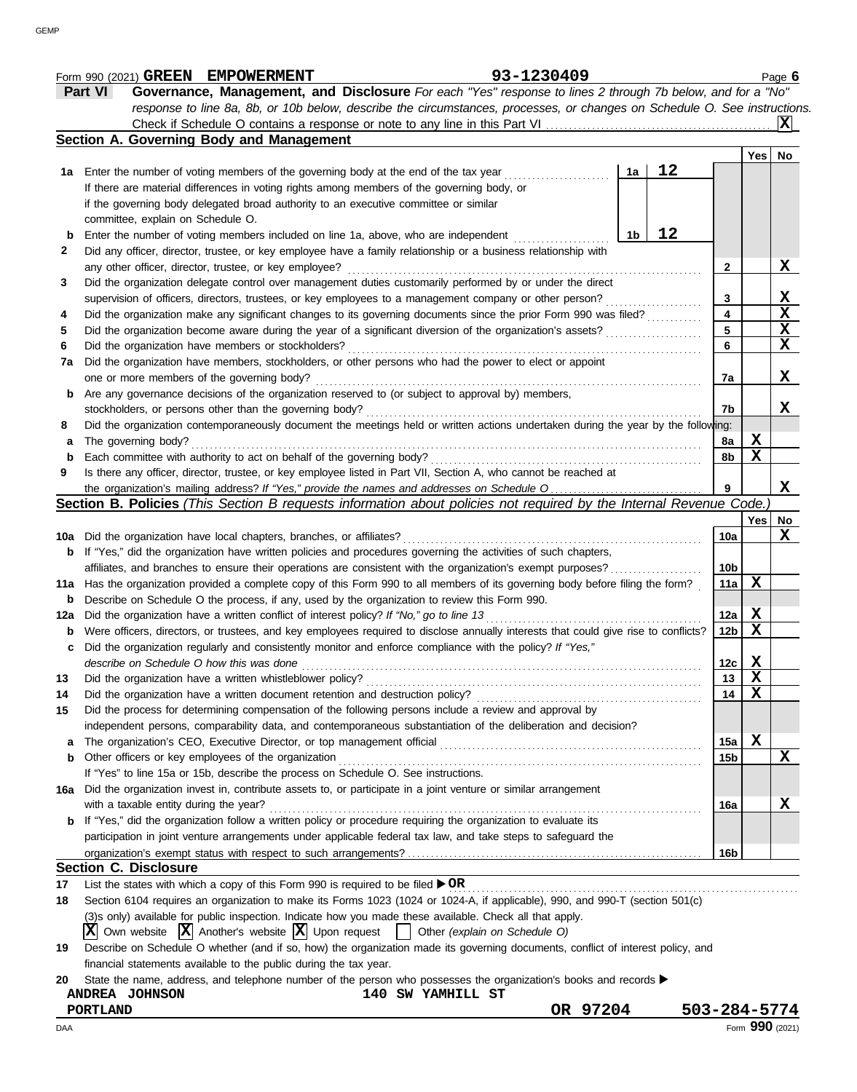|          | Section A. Governing Body and Management                                                                                                                                                                                                 |                 |                  |             |
|----------|------------------------------------------------------------------------------------------------------------------------------------------------------------------------------------------------------------------------------------------|-----------------|------------------|-------------|
|          |                                                                                                                                                                                                                                          |                 | Yes   No         |             |
|          | 12<br>1a<br><b>1a</b> Enter the number of voting members of the governing body at the end of the tax year                                                                                                                                |                 |                  |             |
|          | If there are material differences in voting rights among members of the governing body, or                                                                                                                                               |                 |                  |             |
|          | if the governing body delegated broad authority to an executive committee or similar                                                                                                                                                     |                 |                  |             |
|          | committee, explain on Schedule O.                                                                                                                                                                                                        |                 |                  |             |
| b        | 12<br>1 <sub>b</sub><br>Enter the number of voting members included on line 1a, above, who are independent                                                                                                                               |                 |                  |             |
| 2        | Did any officer, director, trustee, or key employee have a family relationship or a business relationship with                                                                                                                           |                 |                  |             |
|          | any other officer, director, trustee, or key employee?                                                                                                                                                                                   | 2               |                  | $\mathbf x$ |
| 3        | Did the organization delegate control over management duties customarily performed by or under the direct                                                                                                                                |                 |                  |             |
|          | supervision of officers, directors, trustees, or key employees to a management company or other person?                                                                                                                                  | 3               |                  | $\mathbf x$ |
| 4        | Did the organization make any significant changes to its governing documents since the prior Form 990 was filed?                                                                                                                         | 4               |                  | $\mathbf X$ |
| 5        | Did the organization become aware during the year of a significant diversion of the organization's assets?                                                                                                                               | 5               |                  | $\mathbf x$ |
| 6        | Did the organization have members or stockholders?                                                                                                                                                                                       | 6               |                  | $\mathbf x$ |
| 7a       | Did the organization have members, stockholders, or other persons who had the power to elect or appoint                                                                                                                                  |                 |                  |             |
|          | one or more members of the governing body?                                                                                                                                                                                               | 7a              |                  | X           |
| b        | Are any governance decisions of the organization reserved to (or subject to approval by) members,                                                                                                                                        |                 |                  |             |
|          | stockholders, or persons other than the governing body?                                                                                                                                                                                  | 7b              |                  | X           |
| 8        | Did the organization contemporaneously document the meetings held or written actions undertaken during the year by the following:                                                                                                        |                 |                  |             |
| а        | The governing body?                                                                                                                                                                                                                      | 8а              | X                |             |
| b        | Each committee with authority to act on behalf of the governing body?                                                                                                                                                                    | 8b              | $\mathbf X$      |             |
| 9        | Is there any officer, director, trustee, or key employee listed in Part VII, Section A, who cannot be reached at                                                                                                                         |                 |                  |             |
|          |                                                                                                                                                                                                                                          |                 |                  | X           |
|          | <b>Section B. Policies</b> (This Section B requests information about policies not required by the Internal Revenue Code.)                                                                                                               |                 |                  |             |
|          |                                                                                                                                                                                                                                          |                 | Yes <sub>1</sub> | No          |
|          | 10a Did the organization have local chapters, branches, or affiliates?                                                                                                                                                                   | 10a             |                  | X           |
|          | <b>b</b> If "Yes," did the organization have written policies and procedures governing the activities of such chapters,                                                                                                                  |                 |                  |             |
|          |                                                                                                                                                                                                                                          | 10 <sub>b</sub> |                  |             |
|          | 11a Has the organization provided a complete copy of this Form 990 to all members of its governing body before filing the form?                                                                                                          | 11a             | $\mathbf X$      |             |
| b        | Describe on Schedule O the process, if any, used by the organization to review this Form 990.                                                                                                                                            |                 |                  |             |
| 12a      | Did the organization have a written conflict of interest policy? If "No," go to line 13                                                                                                                                                  | 12a             | X                |             |
| b        | Were officers, directors, or trustees, and key employees required to disclose annually interests that could give rise to conflicts?                                                                                                      | 12 <sub>b</sub> | $\mathbf x$      |             |
| c        | Did the organization regularly and consistently monitor and enforce compliance with the policy? If "Yes,"                                                                                                                                |                 |                  |             |
|          | describe on Schedule O how this was done                                                                                                                                                                                                 | 12c             | X                |             |
|          | Did the organization have a written whistleblower policy?                                                                                                                                                                                | 13              | $\mathbf X$      |             |
| 14       | Did the organization have a written document retention and destruction policy?                                                                                                                                                           | 14              | X                |             |
| 15       | Did the process for determining compensation of the following persons include a review and approval by                                                                                                                                   |                 |                  |             |
|          | independent persons, comparability data, and contemporaneous substantiation of the deliberation and decision?                                                                                                                            |                 |                  |             |
| a        | The organization's CEO, Executive Director, or top management official                                                                                                                                                                   | 15a             | $\mathbf X$      |             |
| b        | Other officers or key employees of the organization                                                                                                                                                                                      | 15b             |                  | $\mathbf X$ |
|          | If "Yes" to line 15a or 15b, describe the process on Schedule O. See instructions.                                                                                                                                                       |                 |                  |             |
|          | Did the organization invest in, contribute assets to, or participate in a joint venture or similar arrangement                                                                                                                           |                 |                  |             |
| 16а      |                                                                                                                                                                                                                                          |                 |                  |             |
|          | with a taxable entity during the year?                                                                                                                                                                                                   | 16a             |                  | Х           |
| b        | If "Yes," did the organization follow a written policy or procedure requiring the organization to evaluate its                                                                                                                           |                 |                  |             |
|          | participation in joint venture arrangements under applicable federal tax law, and take steps to safeguard the                                                                                                                            |                 |                  |             |
|          |                                                                                                                                                                                                                                          | 16b             |                  |             |
|          | <b>Section C. Disclosure</b>                                                                                                                                                                                                             |                 |                  |             |
|          | List the states with which a copy of this Form 990 is required to be filed $\triangleright$ OR                                                                                                                                           |                 |                  |             |
|          |                                                                                                                                                                                                                                          |                 |                  |             |
| 17<br>18 | Section 6104 requires an organization to make its Forms 1023 (1024 or 1024-A, if applicable), 990, and 990-T (section 501(c)<br>(3)s only) available for public inspection. Indicate how you made these available. Check all that apply. |                 |                  |             |

|  |  | memoral statements aramazio to mo pazno admig mo tan jean. |  |                                                                                                                   |  |  |  |  |
|--|--|------------------------------------------------------------|--|-------------------------------------------------------------------------------------------------------------------|--|--|--|--|
|  |  |                                                            |  | 20 State the name, address, and telephone number of the person who possesses the organization's books and records |  |  |  |  |
|  |  |                                                            |  |                                                                                                                   |  |  |  |  |

| ANDREA JOHNSON |  | 140 SW YAMHILL ST |  |
|----------------|--|-------------------|--|

DAA Form **990** (2021)

**Form 990 (2021) GREEN EMPOWERMENT** Page 6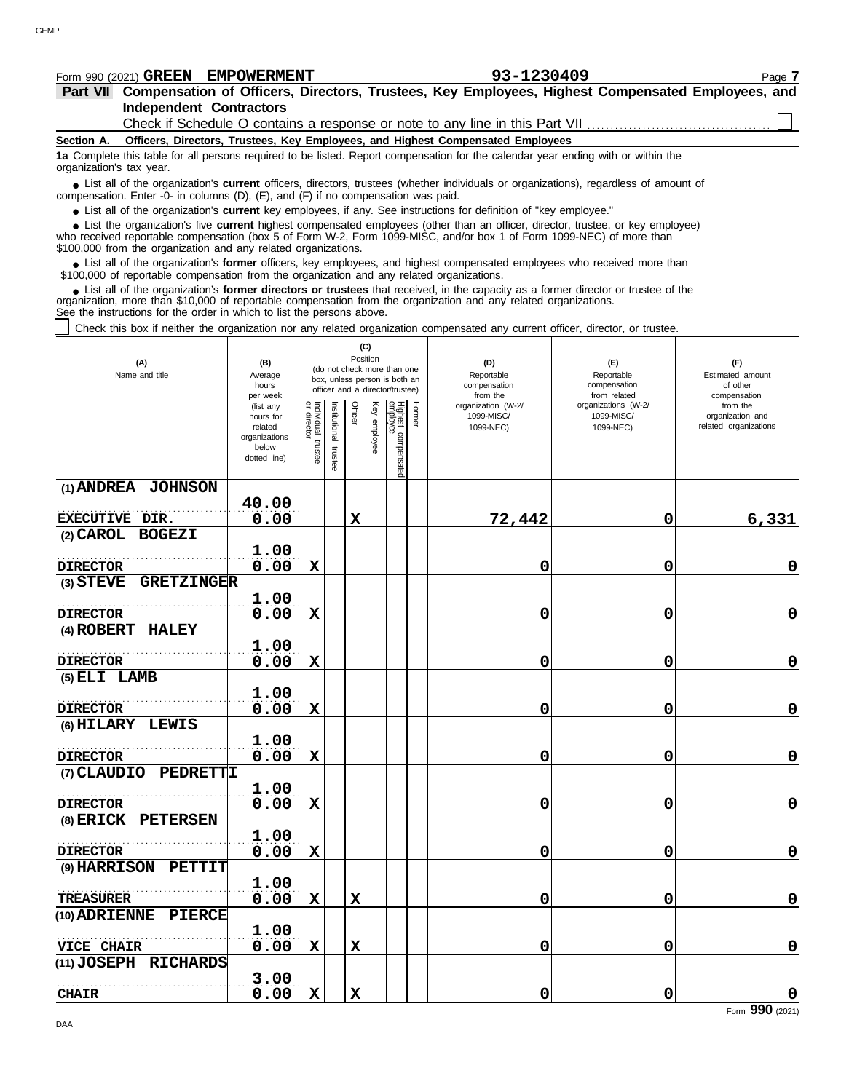**Independent Contractors**

|                                                                                                                                                                                                                                                                                                                            |                                                                                   |                           |              |             |              |                                                              |        | Check if Schedule O contains a response or note to any line in this Part VII    |                              |                                           |  |  |
|----------------------------------------------------------------------------------------------------------------------------------------------------------------------------------------------------------------------------------------------------------------------------------------------------------------------------|-----------------------------------------------------------------------------------|---------------------------|--------------|-------------|--------------|--------------------------------------------------------------|--------|---------------------------------------------------------------------------------|------------------------------|-------------------------------------------|--|--|
| Section A.                                                                                                                                                                                                                                                                                                                 |                                                                                   |                           |              |             |              |                                                              |        | Officers, Directors, Trustees, Key Employees, and Highest Compensated Employees |                              |                                           |  |  |
| 1a Complete this table for all persons required to be listed. Report compensation for the calendar year ending with or within the<br>organization's tax year.                                                                                                                                                              |                                                                                   |                           |              |             |              |                                                              |        |                                                                                 |                              |                                           |  |  |
| • List all of the organization's current officers, directors, trustees (whether individuals or organizations), regardless of amount of                                                                                                                                                                                     |                                                                                   |                           |              |             |              |                                                              |        |                                                                                 |                              |                                           |  |  |
|                                                                                                                                                                                                                                                                                                                            | compensation. Enter -0- in columns (D), (E), and (F) if no compensation was paid. |                           |              |             |              |                                                              |        |                                                                                 |                              |                                           |  |  |
| • List all of the organization's current key employees, if any. See instructions for definition of "key employee."                                                                                                                                                                                                         |                                                                                   |                           |              |             |              |                                                              |        |                                                                                 |                              |                                           |  |  |
| • List the organization's five current highest compensated employees (other than an officer, director, trustee, or key employee)<br>who received reportable compensation (box 5 of Form W-2, Form 1099-MISC, and/or box 1 of Form 1099-NEC) of more than<br>\$100,000 from the organization and any related organizations. |                                                                                   |                           |              |             |              |                                                              |        |                                                                                 |                              |                                           |  |  |
| • List all of the organization's former officers, key employees, and highest compensated employees who received more than<br>\$100,000 of reportable compensation from the organization and any related organizations.                                                                                                     |                                                                                   |                           |              |             |              |                                                              |        |                                                                                 |                              |                                           |  |  |
| • List all of the organization's former directors or trustees that received, in the capacity as a former director or trustee of the                                                                                                                                                                                        |                                                                                   |                           |              |             |              |                                                              |        |                                                                                 |                              |                                           |  |  |
| organization, more than \$10,000 of reportable compensation from the organization and any related organizations.<br>See the instructions for the order in which to list the persons above.                                                                                                                                 |                                                                                   |                           |              |             |              |                                                              |        |                                                                                 |                              |                                           |  |  |
| Check this box if neither the organization nor any related organization compensated any current officer, director, or trustee.                                                                                                                                                                                             |                                                                                   |                           |              |             |              |                                                              |        |                                                                                 |                              |                                           |  |  |
|                                                                                                                                                                                                                                                                                                                            |                                                                                   |                           |              |             | (C)          |                                                              |        |                                                                                 |                              |                                           |  |  |
| (A)                                                                                                                                                                                                                                                                                                                        | (B)                                                                               |                           |              | Position    |              |                                                              |        | (D)                                                                             | (E)                          | (F)                                       |  |  |
| Name and title                                                                                                                                                                                                                                                                                                             | Average                                                                           |                           |              |             |              | (do not check more than one<br>box, unless person is both an |        | Reportable                                                                      | Reportable                   | Estimated amount                          |  |  |
|                                                                                                                                                                                                                                                                                                                            | hours<br>per week                                                                 |                           |              |             |              | officer and a director/trustee)                              |        | compensation<br>from the                                                        | compensation<br>from related | of other<br>compensation                  |  |  |
|                                                                                                                                                                                                                                                                                                                            | (list any                                                                         | Individual<br>or director |              | Officer     |              |                                                              | Former | organization (W-2/                                                              | organizations (W-2/          | from the                                  |  |  |
|                                                                                                                                                                                                                                                                                                                            | hours for<br>related                                                              |                           | nstitutional |             | Key employee |                                                              |        | 1099-MISC/<br>1099-NEC)                                                         | 1099-MISC/<br>1099-NEC)      | organization and<br>related organizations |  |  |
|                                                                                                                                                                                                                                                                                                                            | organizations<br>below                                                            |                           |              |             |              |                                                              |        |                                                                                 |                              |                                           |  |  |
|                                                                                                                                                                                                                                                                                                                            | dotted line)                                                                      | trustee                   | trustee      |             |              | Highest compensated<br>employee                              |        |                                                                                 |                              |                                           |  |  |
|                                                                                                                                                                                                                                                                                                                            |                                                                                   |                           |              |             |              |                                                              |        |                                                                                 |                              |                                           |  |  |
| (1) ANDREA<br><b>JOHNSON</b>                                                                                                                                                                                                                                                                                               |                                                                                   |                           |              |             |              |                                                              |        |                                                                                 |                              |                                           |  |  |
|                                                                                                                                                                                                                                                                                                                            | 40.00                                                                             |                           |              |             |              |                                                              |        |                                                                                 |                              |                                           |  |  |
| EXECUTIVE DIR.                                                                                                                                                                                                                                                                                                             | 0.00                                                                              |                           |              | X           |              |                                                              |        | 72,442                                                                          | 0                            | 6,331                                     |  |  |
| <b>BOGEZI</b><br>$(2)$ CAROL                                                                                                                                                                                                                                                                                               |                                                                                   |                           |              |             |              |                                                              |        |                                                                                 |                              |                                           |  |  |
| <b>DIRECTOR</b>                                                                                                                                                                                                                                                                                                            | 1.00<br>0.00                                                                      | X                         |              |             |              |                                                              |        | 0                                                                               | 0                            | 0                                         |  |  |
| <b>GRETZINGER</b><br>$(3)$ STEVE                                                                                                                                                                                                                                                                                           |                                                                                   |                           |              |             |              |                                                              |        |                                                                                 |                              |                                           |  |  |
|                                                                                                                                                                                                                                                                                                                            | 1.00                                                                              |                           |              |             |              |                                                              |        |                                                                                 |                              |                                           |  |  |
| <b>DIRECTOR</b>                                                                                                                                                                                                                                                                                                            | 0.00                                                                              | $\mathbf x$               |              |             |              |                                                              |        | 0                                                                               | 0                            | 0                                         |  |  |
| <b>HALEY</b><br>(4) ROBERT                                                                                                                                                                                                                                                                                                 |                                                                                   |                           |              |             |              |                                                              |        |                                                                                 |                              |                                           |  |  |
|                                                                                                                                                                                                                                                                                                                            | 1.00                                                                              |                           |              |             |              |                                                              |        |                                                                                 |                              |                                           |  |  |
| <b>DIRECTOR</b>                                                                                                                                                                                                                                                                                                            | 0.00                                                                              | X                         |              |             |              |                                                              |        | 0                                                                               | 0                            | 0                                         |  |  |
| $(5)$ ELI LAMB                                                                                                                                                                                                                                                                                                             |                                                                                   |                           |              |             |              |                                                              |        |                                                                                 |                              |                                           |  |  |
|                                                                                                                                                                                                                                                                                                                            | 1.00                                                                              |                           |              |             |              |                                                              |        |                                                                                 |                              |                                           |  |  |
| <b>DIRECTOR</b>                                                                                                                                                                                                                                                                                                            | 0.00                                                                              | X                         |              |             |              |                                                              |        | Ü                                                                               | 0                            | O                                         |  |  |
| (6) HILARY LEWIS                                                                                                                                                                                                                                                                                                           | 1.00                                                                              |                           |              |             |              |                                                              |        |                                                                                 |                              |                                           |  |  |
| <b>DIRECTOR</b>                                                                                                                                                                                                                                                                                                            | 0.00                                                                              | $\mathbf X$               |              |             |              |                                                              |        | 0                                                                               | 0                            | $\mathbf 0$                               |  |  |
| (7) CLAUDIO PEDRETTI                                                                                                                                                                                                                                                                                                       |                                                                                   |                           |              |             |              |                                                              |        |                                                                                 |                              |                                           |  |  |
|                                                                                                                                                                                                                                                                                                                            | 1.00                                                                              |                           |              |             |              |                                                              |        |                                                                                 |                              |                                           |  |  |
| <b>DIRECTOR</b>                                                                                                                                                                                                                                                                                                            | 0.00                                                                              | $\mathbf X$               |              |             |              |                                                              |        | 0                                                                               | 0                            | $\mathbf 0$                               |  |  |
| (8) ERICK PETERSEN                                                                                                                                                                                                                                                                                                         |                                                                                   |                           |              |             |              |                                                              |        |                                                                                 |                              |                                           |  |  |
|                                                                                                                                                                                                                                                                                                                            | 1.00                                                                              |                           |              |             |              |                                                              |        |                                                                                 |                              |                                           |  |  |
| <b>DIRECTOR</b>                                                                                                                                                                                                                                                                                                            | 0.00                                                                              | $\mathbf X$               |              |             |              |                                                              |        | 0                                                                               | 0                            | $\mathbf 0$                               |  |  |
| (9) HARRISON PETTIT                                                                                                                                                                                                                                                                                                        |                                                                                   |                           |              |             |              |                                                              |        |                                                                                 |                              |                                           |  |  |
|                                                                                                                                                                                                                                                                                                                            | 1.00                                                                              |                           |              |             |              |                                                              |        |                                                                                 |                              |                                           |  |  |
| <b>TREASURER</b>                                                                                                                                                                                                                                                                                                           | 0.00                                                                              | $\mathbf X$               |              | X           |              |                                                              |        | 0                                                                               | 0                            | $\mathbf 0$                               |  |  |
| (10) ADRIENNE PIERCE                                                                                                                                                                                                                                                                                                       | 1.00                                                                              |                           |              |             |              |                                                              |        |                                                                                 |                              |                                           |  |  |
| VICE CHAIR                                                                                                                                                                                                                                                                                                                 | 0.00                                                                              | $\mathbf X$               |              | $\mathbf X$ |              |                                                              |        | 0                                                                               | 0                            | $\mathbf 0$                               |  |  |
| (11) JOSEPH RICHARDS                                                                                                                                                                                                                                                                                                       |                                                                                   |                           |              |             |              |                                                              |        |                                                                                 |                              |                                           |  |  |
|                                                                                                                                                                                                                                                                                                                            | 3.00                                                                              |                           |              |             |              |                                                              |        |                                                                                 |                              |                                           |  |  |
| <b>CHAIR</b>                                                                                                                                                                                                                                                                                                               | 0.00                                                                              | $\mathbf X$               |              | X           |              |                                                              |        | 0                                                                               | 0                            | 0                                         |  |  |
|                                                                                                                                                                                                                                                                                                                            |                                                                                   |                           |              |             |              |                                                              |        |                                                                                 |                              | nnn                                       |  |  |

**Part VII Compensation of Officers, Directors, Trustees, Key Employees, Highest Compensated Employees, and Form 990 (2021) GREEN EMPOWERMENT** Page 7

Form **990** (2021)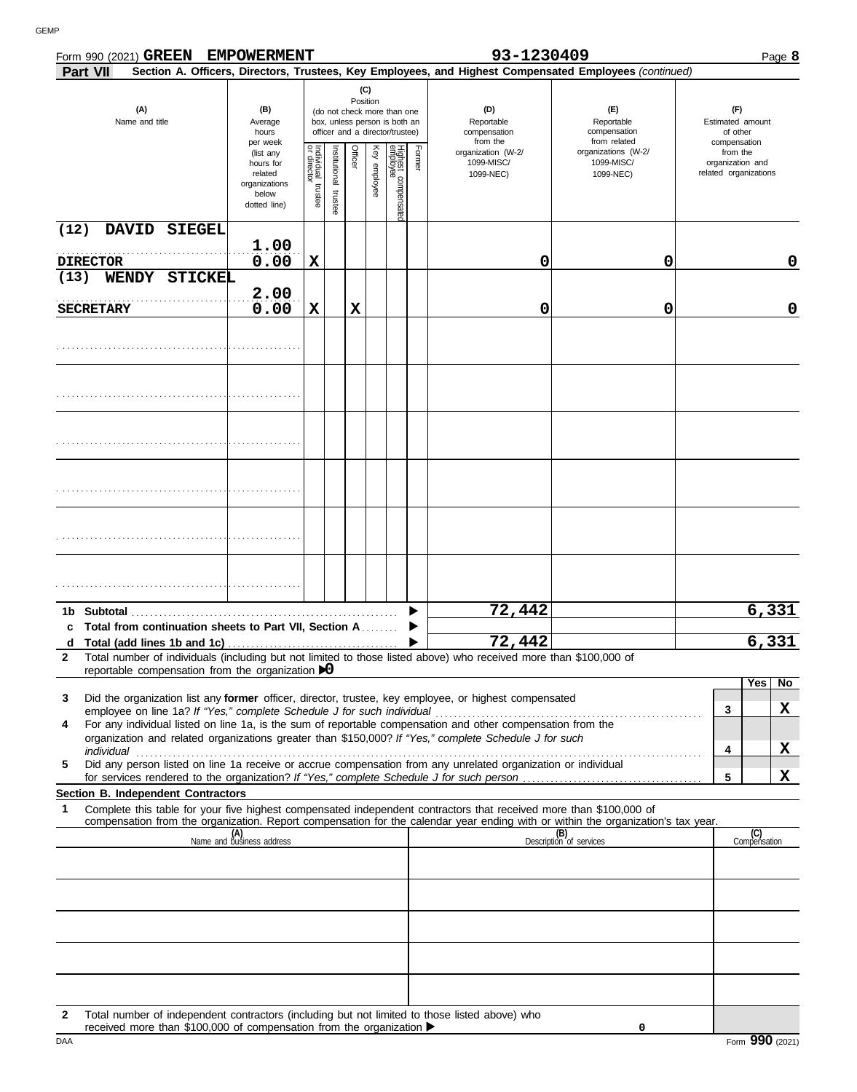|                       |                  | Form 990 (2021) GREEN                                                  | <b>EMPOWERMENT</b>                                                          |                                   |                          |         |                 |                                                                                                 |        | 93-1230409                                                                                                                                                                                                           |                                                                                                                                  |                                                       |                     | Page 8 |
|-----------------------|------------------|------------------------------------------------------------------------|-----------------------------------------------------------------------------|-----------------------------------|--------------------------|---------|-----------------|-------------------------------------------------------------------------------------------------|--------|----------------------------------------------------------------------------------------------------------------------------------------------------------------------------------------------------------------------|----------------------------------------------------------------------------------------------------------------------------------|-------------------------------------------------------|---------------------|--------|
|                       | Part VII         |                                                                        |                                                                             |                                   |                          |         |                 |                                                                                                 |        |                                                                                                                                                                                                                      | Section A. Officers, Directors, Trustees, Key Employees, and Highest Compensated Employees (continued)                           |                                                       |                     |        |
| (A)<br>Name and title |                  |                                                                        | (B)<br>Average<br>hours<br>per week                                         |                                   |                          |         | (C)<br>Position | (do not check more than one<br>box, unless person is both an<br>officer and a director/trustee) |        | (D)<br>Reportable<br>compensation<br>from the                                                                                                                                                                        | (E)<br>Reportable<br>compensation<br>from related                                                                                | (F)<br>Estimated amount<br>of other<br>compensation   |                     |        |
|                       |                  |                                                                        | (list any<br>hours for<br>related<br>organizations<br>below<br>dotted line) | Individual trustee<br>or director | Institutional<br>trustee | Officer | Key employee    | Highest compensatec<br>employee                                                                 | Former | organization (W-2/<br>1099-MISC/<br>1099-NEC)                                                                                                                                                                        | organizations (W-2/<br>1099-MISC/<br>1099-NEC)                                                                                   | from the<br>organization and<br>related organizations |                     |        |
| (12)                  |                  | <b>DAVID</b><br><b>SIEGEL</b>                                          |                                                                             |                                   |                          |         |                 |                                                                                                 |        |                                                                                                                                                                                                                      |                                                                                                                                  |                                                       |                     |        |
|                       | <b>DIRECTOR</b>  |                                                                        | 1.00<br>0.00                                                                | $\mathbf X$                       |                          |         |                 |                                                                                                 |        | 0                                                                                                                                                                                                                    | 0                                                                                                                                |                                                       |                     | 0      |
| (13)                  |                  | WENDY<br><b>STICKEL</b>                                                |                                                                             |                                   |                          |         |                 |                                                                                                 |        |                                                                                                                                                                                                                      |                                                                                                                                  |                                                       |                     |        |
|                       | <b>SECRETARY</b> |                                                                        | 2.00<br>0.00                                                                | $\mathbf X$                       |                          | X       |                 |                                                                                                 |        | 0                                                                                                                                                                                                                    | 0                                                                                                                                |                                                       |                     | 0      |
|                       |                  |                                                                        |                                                                             |                                   |                          |         |                 |                                                                                                 |        |                                                                                                                                                                                                                      |                                                                                                                                  |                                                       |                     |        |
|                       |                  |                                                                        |                                                                             |                                   |                          |         |                 |                                                                                                 |        |                                                                                                                                                                                                                      |                                                                                                                                  |                                                       |                     |        |
|                       |                  |                                                                        |                                                                             |                                   |                          |         |                 |                                                                                                 |        |                                                                                                                                                                                                                      |                                                                                                                                  |                                                       |                     |        |
|                       |                  |                                                                        |                                                                             |                                   |                          |         |                 |                                                                                                 |        |                                                                                                                                                                                                                      |                                                                                                                                  |                                                       |                     |        |
|                       |                  |                                                                        |                                                                             |                                   |                          |         |                 |                                                                                                 |        |                                                                                                                                                                                                                      |                                                                                                                                  |                                                       |                     |        |
|                       |                  |                                                                        |                                                                             |                                   |                          |         |                 |                                                                                                 |        |                                                                                                                                                                                                                      |                                                                                                                                  |                                                       |                     |        |
|                       |                  | 1b Subtotal<br>c Total from continuation sheets to Part VII, Section A |                                                                             |                                   |                          |         |                 |                                                                                                 |        | 72,442                                                                                                                                                                                                               |                                                                                                                                  |                                                       | 6,331               |        |
|                       |                  | d Total (add lines 1b and 1c) $\ldots$ $\qquad \qquad$ $\qquad \qquad$ |                                                                             |                                   |                          |         |                 |                                                                                                 |        | 72,442                                                                                                                                                                                                               |                                                                                                                                  |                                                       | 6,331               |        |
| $\mathbf{2}$          |                  | reportable compensation from the organization $\bigtriangledown$       |                                                                             |                                   |                          |         |                 |                                                                                                 |        | Total number of individuals (including but not limited to those listed above) who received more than \$100,000 of                                                                                                    |                                                                                                                                  |                                                       |                     |        |
|                       |                  |                                                                        |                                                                             |                                   |                          |         |                 |                                                                                                 |        |                                                                                                                                                                                                                      |                                                                                                                                  |                                                       | Yes                 | No     |
| 3                     |                  |                                                                        |                                                                             |                                   |                          |         |                 |                                                                                                 |        | Did the organization list any former officer, director, trustee, key employee, or highest compensated                                                                                                                |                                                                                                                                  | 3                                                     |                     | X      |
| 4                     |                  |                                                                        |                                                                             |                                   |                          |         |                 |                                                                                                 |        | For any individual listed on line 1a, is the sum of reportable compensation and other compensation from the<br>organization and related organizations greater than \$150,000? If "Yes," complete Schedule J for such |                                                                                                                                  |                                                       |                     |        |
|                       |                  |                                                                        |                                                                             |                                   |                          |         |                 |                                                                                                 |        |                                                                                                                                                                                                                      |                                                                                                                                  | 4                                                     |                     | X      |
| 5                     |                  |                                                                        |                                                                             |                                   |                          |         |                 |                                                                                                 |        | Did any person listed on line 1a receive or accrue compensation from any unrelated organization or individual                                                                                                        |                                                                                                                                  | $\sqrt{5}$                                            |                     | X      |
|                       |                  | Section B. Independent Contractors                                     |                                                                             |                                   |                          |         |                 |                                                                                                 |        |                                                                                                                                                                                                                      |                                                                                                                                  |                                                       |                     |        |
| 1                     |                  |                                                                        |                                                                             |                                   |                          |         |                 |                                                                                                 |        | Complete this table for your five highest compensated independent contractors that received more than \$100,000 of                                                                                                   | compensation from the organization. Report compensation for the calendar year ending with or within the organization's tax year. |                                                       |                     |        |
|                       |                  |                                                                        | (A)<br>Name and business address                                            |                                   |                          |         |                 |                                                                                                 |        |                                                                                                                                                                                                                      | (B)<br>Description of services                                                                                                   |                                                       | (C)<br>Compensation |        |
|                       |                  |                                                                        |                                                                             |                                   |                          |         |                 |                                                                                                 |        |                                                                                                                                                                                                                      |                                                                                                                                  |                                                       |                     |        |
|                       |                  |                                                                        |                                                                             |                                   |                          |         |                 |                                                                                                 |        |                                                                                                                                                                                                                      |                                                                                                                                  |                                                       |                     |        |
|                       |                  |                                                                        |                                                                             |                                   |                          |         |                 |                                                                                                 |        |                                                                                                                                                                                                                      |                                                                                                                                  |                                                       |                     |        |
|                       |                  |                                                                        |                                                                             |                                   |                          |         |                 |                                                                                                 |        |                                                                                                                                                                                                                      |                                                                                                                                  |                                                       |                     |        |
|                       |                  |                                                                        |                                                                             |                                   |                          |         |                 |                                                                                                 |        |                                                                                                                                                                                                                      |                                                                                                                                  |                                                       |                     |        |
|                       |                  |                                                                        |                                                                             |                                   |                          |         |                 |                                                                                                 |        |                                                                                                                                                                                                                      |                                                                                                                                  |                                                       |                     |        |

**2** Total number of independent contractors (including but not limited to those listed above) who received more than \$100,000 of compensation from the organization  $\blacktriangleright$ 

**0**

|--|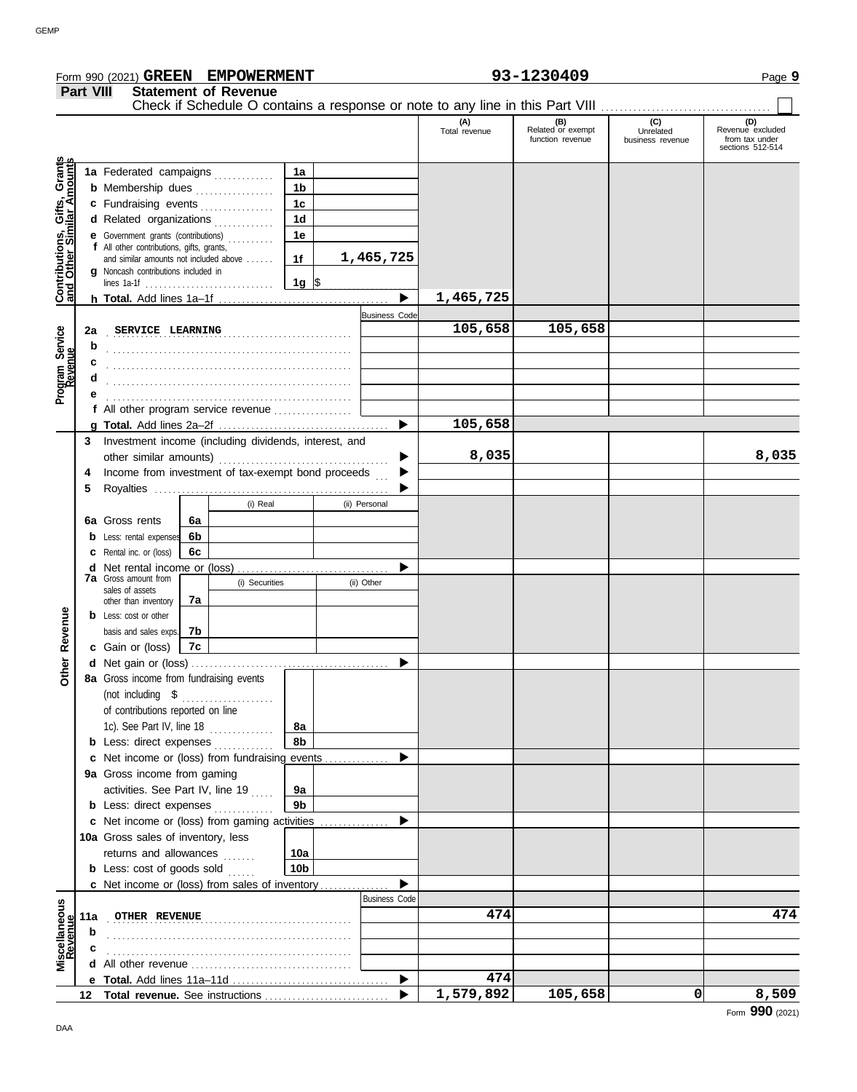|                                                           |                  | Form 990 (2021) GREEN EMPOWERMENT                                                   |    |                             |                |               |                      |                                                                               | 93-1230409                                   |                                      | Page 9                                                        |
|-----------------------------------------------------------|------------------|-------------------------------------------------------------------------------------|----|-----------------------------|----------------|---------------|----------------------|-------------------------------------------------------------------------------|----------------------------------------------|--------------------------------------|---------------------------------------------------------------|
|                                                           | <b>Part VIII</b> |                                                                                     |    | <b>Statement of Revenue</b> |                |               |                      | Check if Schedule O contains a response or note to any line in this Part VIII |                                              |                                      |                                                               |
|                                                           |                  |                                                                                     |    |                             |                |               |                      | (A)<br>Total revenue                                                          | (B)<br>Related or exempt<br>function revenue | (C)<br>Unrelated<br>business revenue | (D)<br>Revenue excluded<br>from tax under<br>sections 512-514 |
| Contributions, Gifts, Grants<br>and Other Similar Amounts |                  | 1a Federated campaigns                                                              |    |                             | 1a             |               |                      |                                                                               |                                              |                                      |                                                               |
|                                                           |                  | <b>b</b> Membership dues <i>[[[[[[[[[[[[[[[[[[[[[[[[[[[[]]]</i> ]]]                 |    |                             | 1 <sub>b</sub> |               |                      |                                                                               |                                              |                                      |                                                               |
|                                                           |                  | c Fundraising events                                                                |    |                             | 1c             |               |                      |                                                                               |                                              |                                      |                                                               |
|                                                           |                  | d Related organizations                                                             |    |                             | 1 <sub>d</sub> |               |                      |                                                                               |                                              |                                      |                                                               |
|                                                           |                  | e Government grants (contributions)                                                 |    |                             | 1e             |               |                      |                                                                               |                                              |                                      |                                                               |
|                                                           |                  | f All other contributions, gifts, grants,<br>and similar amounts not included above |    |                             | 1f             |               | 1,465,725            |                                                                               |                                              |                                      |                                                               |
|                                                           |                  | g Noncash contributions included in                                                 |    |                             |                |               |                      |                                                                               |                                              |                                      |                                                               |
|                                                           |                  |                                                                                     |    |                             | 1g  \$         |               |                      |                                                                               |                                              |                                      |                                                               |
|                                                           |                  |                                                                                     |    |                             |                |               |                      | 1,465,725                                                                     |                                              |                                      |                                                               |
|                                                           |                  |                                                                                     |    |                             |                |               | <b>Business Code</b> |                                                                               |                                              |                                      |                                                               |
|                                                           | 2a               | SERVICE LEARNING                                                                    |    |                             |                |               |                      | 105,658                                                                       | 105,658                                      |                                      |                                                               |
| Program Service<br>Revenue                                | b                |                                                                                     |    |                             |                |               |                      |                                                                               |                                              |                                      |                                                               |
|                                                           | c                | d                                                                                   |    |                             |                |               |                      |                                                                               |                                              |                                      |                                                               |
|                                                           |                  |                                                                                     |    |                             |                |               |                      |                                                                               |                                              |                                      |                                                               |
|                                                           | е                | f All other program service revenue                                                 |    |                             |                |               |                      |                                                                               |                                              |                                      |                                                               |
|                                                           |                  |                                                                                     |    |                             |                |               | ▶                    | 105,658                                                                       |                                              |                                      |                                                               |
|                                                           |                  | 3 Investment income (including dividends, interest, and                             |    |                             |                |               |                      |                                                                               |                                              |                                      |                                                               |
|                                                           |                  |                                                                                     |    |                             |                | ▶             | 8,035                |                                                                               |                                              | 8,035                                |                                                               |
|                                                           | 4                | Income from investment of tax-exempt bond proceeds                                  |    |                             |                |               |                      |                                                                               |                                              |                                      |                                                               |
|                                                           | 5                |                                                                                     |    |                             |                |               |                      |                                                                               |                                              |                                      |                                                               |
|                                                           |                  |                                                                                     |    | (i) Real                    |                | (ii) Personal |                      |                                                                               |                                              |                                      |                                                               |
|                                                           |                  | 6a Gross rents                                                                      | 6a |                             |                |               |                      |                                                                               |                                              |                                      |                                                               |
|                                                           |                  | <b>b</b> Less: rental expenses                                                      | 6b |                             |                |               |                      |                                                                               |                                              |                                      |                                                               |
|                                                           |                  | <b>c</b> Rental inc. or (loss)                                                      | 6с |                             |                |               |                      |                                                                               |                                              |                                      |                                                               |
|                                                           |                  |                                                                                     |    |                             |                |               | ▶                    |                                                                               |                                              |                                      |                                                               |
|                                                           |                  | <b>7a</b> Gross amount from<br>sales of assets                                      |    | (i) Securities              |                | (ii) Other    |                      |                                                                               |                                              |                                      |                                                               |
|                                                           |                  | other than inventory                                                                | 7a |                             |                |               |                      |                                                                               |                                              |                                      |                                                               |
| evenue                                                    |                  | <b>b</b> Less: cost or other                                                        |    |                             |                |               |                      |                                                                               |                                              |                                      |                                                               |
|                                                           |                  | basis and sales exps.                                                               | 7b |                             |                |               |                      |                                                                               |                                              |                                      |                                                               |
| œ                                                         |                  | c Gain or (loss) $7c$                                                               |    |                             |                |               |                      |                                                                               |                                              |                                      |                                                               |
| Other                                                     |                  | 8a Gross income from fundraising events                                             |    |                             |                |               | ▶                    |                                                                               |                                              |                                      |                                                               |
|                                                           |                  |                                                                                     |    |                             |                |               |                      |                                                                               |                                              |                                      |                                                               |
|                                                           |                  |                                                                                     |    |                             |                |               |                      |                                                                               |                                              |                                      |                                                               |
|                                                           |                  | of contributions reported on line<br>1c). See Part IV, line $18$                    |    |                             | 8a             |               |                      |                                                                               |                                              |                                      |                                                               |
|                                                           |                  | <b>b</b> Less: direct expenses                                                      |    |                             | 8b             |               |                      |                                                                               |                                              |                                      |                                                               |
|                                                           |                  | c Net income or (loss) from fundraising events                                      |    |                             |                |               |                      |                                                                               |                                              |                                      |                                                               |
|                                                           |                  |                                                                                     |    |                             |                |               |                      |                                                                               |                                              |                                      |                                                               |

|                     |     | activities. See Part IV, line 19                      | 9а              |  |                      |           |         |       |
|---------------------|-----|-------------------------------------------------------|-----------------|--|----------------------|-----------|---------|-------|
|                     |     | <b>b</b> Less: direct expenses                        | 9b              |  |                      |           |         |       |
|                     |     | <b>c</b> Net income or (loss) from gaming activities  |                 |  |                      |           |         |       |
|                     |     | <b>10a</b> Gross sales of inventory, less             |                 |  |                      |           |         |       |
|                     |     | returns and allowances<br>1.1.1.1.1.1                 | 10a             |  |                      |           |         |       |
|                     |     | <b>b</b> Less: cost of goods sold                     | 10 <sub>b</sub> |  |                      |           |         |       |
|                     |     | <b>c</b> Net income or (loss) from sales of inventory |                 |  |                      |           |         |       |
| g                   |     |                                                       |                 |  | <b>Business Code</b> |           |         |       |
|                     | ∣1a | OTHER REVENUE                                         |                 |  |                      | 474       |         | 474   |
|                     | p   |                                                       |                 |  |                      |           |         |       |
| Miscellan<br>Revenu | с   |                                                       |                 |  |                      |           |         |       |
|                     |     |                                                       |                 |  |                      |           |         |       |
|                     |     |                                                       |                 |  |                      | 474       |         |       |
|                     |     | 12 Total revenue. See instructions                    |                 |  |                      | 1,579,892 | 105,658 | 8,509 |

**9a** Gross income from gaming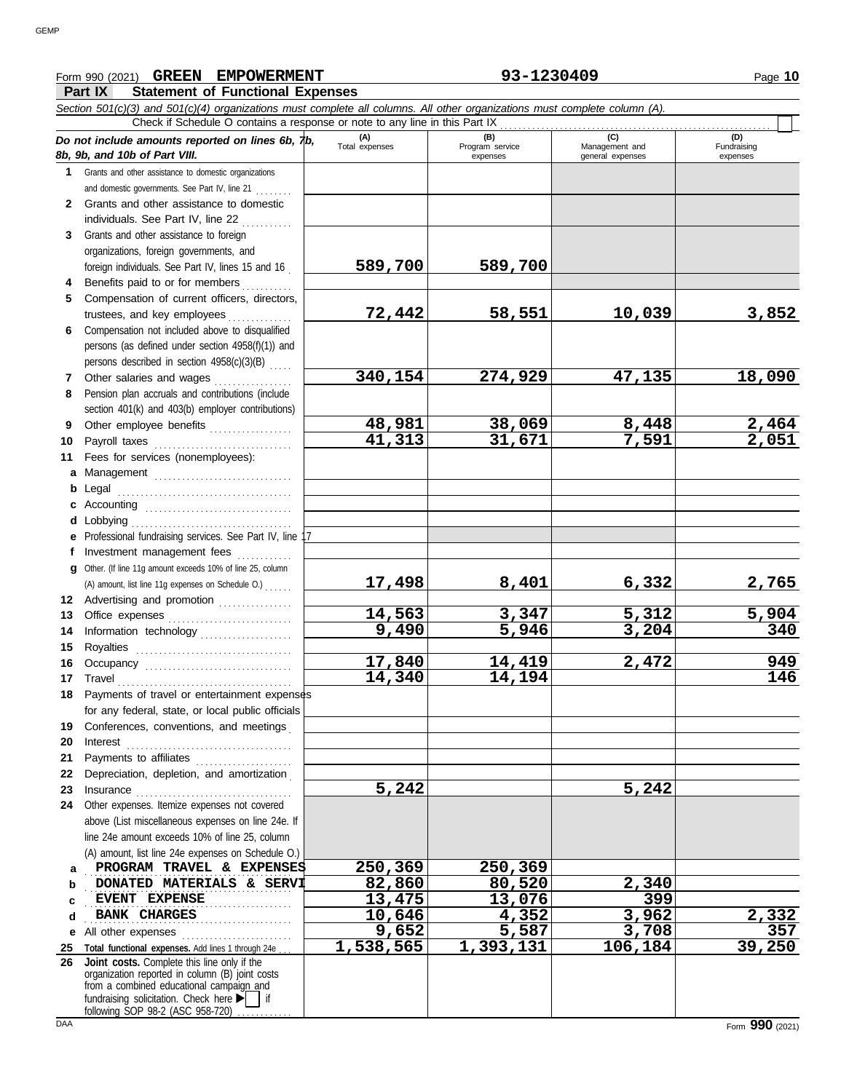| I<br>۰. |  |  |
|---------|--|--|

## **Form 990 (2021) GREEN EMPOWERMENT** 2001 230-1230409 Page 10

### **Part IX Statement of Functional Expenses**

|    | <b>Part IX</b><br>Statement of Functional Expenses                                                                         |                       |                 |                  |             |
|----|----------------------------------------------------------------------------------------------------------------------------|-----------------------|-----------------|------------------|-------------|
|    | Section 501(c)(3) and 501(c)(4) organizations must complete all columns. All other organizations must complete column (A). |                       |                 |                  |             |
|    | Check if Schedule O contains a response or note to any line in this Part IX                                                |                       | (B)             | (C)              | (D)         |
|    | Do not include amounts reported on lines 6b, $\n  tb$ ,<br>8b, 9b, and 10b of Part VIII.                                   | (A)<br>Total expenses | Program service | Management and   | Fundraising |
|    |                                                                                                                            |                       | expenses        | general expenses | expenses    |
|    | 1 Grants and other assistance to domestic organizations                                                                    |                       |                 |                  |             |
|    | and domestic governments. See Part IV, line 21<br>2 Grants and other assistance to domestic                                |                       |                 |                  |             |
|    | individuals. See Part IV, line 22                                                                                          |                       |                 |                  |             |
| 3  | Grants and other assistance to foreign                                                                                     |                       |                 |                  |             |
|    | organizations, foreign governments, and                                                                                    |                       |                 |                  |             |
|    | foreign individuals. See Part IV, lines 15 and 16                                                                          | 589,700               | 589,700         |                  |             |
|    | Benefits paid to or for members                                                                                            |                       |                 |                  |             |
| 5. | Compensation of current officers, directors,                                                                               |                       |                 |                  |             |
|    | trustees, and key employees                                                                                                | 72,442                | 58,551          | 10,039           | 3,852       |
| 6. | Compensation not included above to disqualified                                                                            |                       |                 |                  |             |
|    | persons (as defined under section 4958(f)(1)) and                                                                          |                       |                 |                  |             |
|    | persons described in section 4958(c)(3)(B)                                                                                 |                       |                 |                  |             |
| 7  | Other salaries and wages                                                                                                   | 340,154               | 274,929         | 47,135           | 18,090      |
| 8  | Pension plan accruals and contributions (include                                                                           |                       |                 |                  |             |
|    | section 401(k) and 403(b) employer contributions)                                                                          |                       |                 |                  |             |
| 9  | Other employee benefits                                                                                                    | 48,981                | 38,069          | 8,448            | 2,464       |
| 10 | Payroll taxes                                                                                                              | 41,313                | 31,671          | 7,591            | 2,051       |
| 11 | Fees for services (nonemployees):                                                                                          |                       |                 |                  |             |
| a  | Management                                                                                                                 |                       |                 |                  |             |
| b  | Legal                                                                                                                      |                       |                 |                  |             |
| c  |                                                                                                                            |                       |                 |                  |             |
| d  | Lobbying                                                                                                                   |                       |                 |                  |             |
|    | Professional fundraising services. See Part IV, line 1                                                                     |                       |                 |                  |             |
| f  | Investment management fees                                                                                                 |                       |                 |                  |             |
|    | Other. (If line 11g amount exceeds 10% of line 25, column                                                                  |                       |                 |                  |             |
|    | (A) amount, list line 11g expenses on Schedule O.)                                                                         | 17,498                | 8,401           | 6,332            | 2,765       |
|    | 12 Advertising and promotion                                                                                               |                       |                 |                  |             |
| 13 |                                                                                                                            | 14,563                | 3,347           | 5,312            | 5,904       |
| 14 | Information technology                                                                                                     | 9,490                 | 5,946           | 3,204            | 340         |
| 15 | Royalties                                                                                                                  |                       |                 |                  |             |
| 16 | Occupancy                                                                                                                  | 17,840                | 14,419          | 2,472            | 949         |
|    | 17 Travel                                                                                                                  | 14,340                | 14,194          |                  | 146         |
|    | 18 Payments of travel or entertainment expenses                                                                            |                       |                 |                  |             |
|    | for any federal, state, or local public officials                                                                          |                       |                 |                  |             |
| 19 | Conferences, conventions, and meetings                                                                                     |                       |                 |                  |             |
| 20 | Interest                                                                                                                   |                       |                 |                  |             |
| 21 | Payments to affiliates                                                                                                     |                       |                 |                  |             |
| 22 | Depreciation, depletion, and amortization                                                                                  |                       |                 |                  |             |
| 23 | Insurance                                                                                                                  | 5,242                 |                 | 5,242            |             |
| 24 | Other expenses. Itemize expenses not covered                                                                               |                       |                 |                  |             |
|    | above (List miscellaneous expenses on line 24e. If                                                                         |                       |                 |                  |             |
|    | line 24e amount exceeds 10% of line 25, column                                                                             |                       |                 |                  |             |
|    | (A) amount, list line 24e expenses on Schedule O.)                                                                         |                       |                 |                  |             |
| а  | PROGRAM TRAVEL & EXPENSES                                                                                                  | 250,369               | 250,369         |                  |             |
| b  | DONATED MATERIALS & SERVI                                                                                                  | 82,860                | 80,520          | 2,340            |             |
| с  | EVENT EXPENSE                                                                                                              | 13,475                | 13,076          | 399              |             |
| d  | <b>BANK CHARGES</b>                                                                                                        | 10,646                | 4,352           | 3,962            | 2,332       |
| е  | All other expenses<br>.                                                                                                    | 9,652                 | 5,587           | 3,708            | 357         |
| 25 | Total functional expenses. Add lines 1 through 24e                                                                         | 1,538,565             | 1,393,131       | 106,184          | 39,250      |
| 26 | Joint costs. Complete this line only if the<br>organization reported in column (B) joint costs                             |                       |                 |                  |             |
|    | from a combined educational campaign and                                                                                   |                       |                 |                  |             |
|    | fundraising solicitation. Check here                                                                                       |                       |                 |                  |             |

following SOP 98-2 (ASC 958-720) .............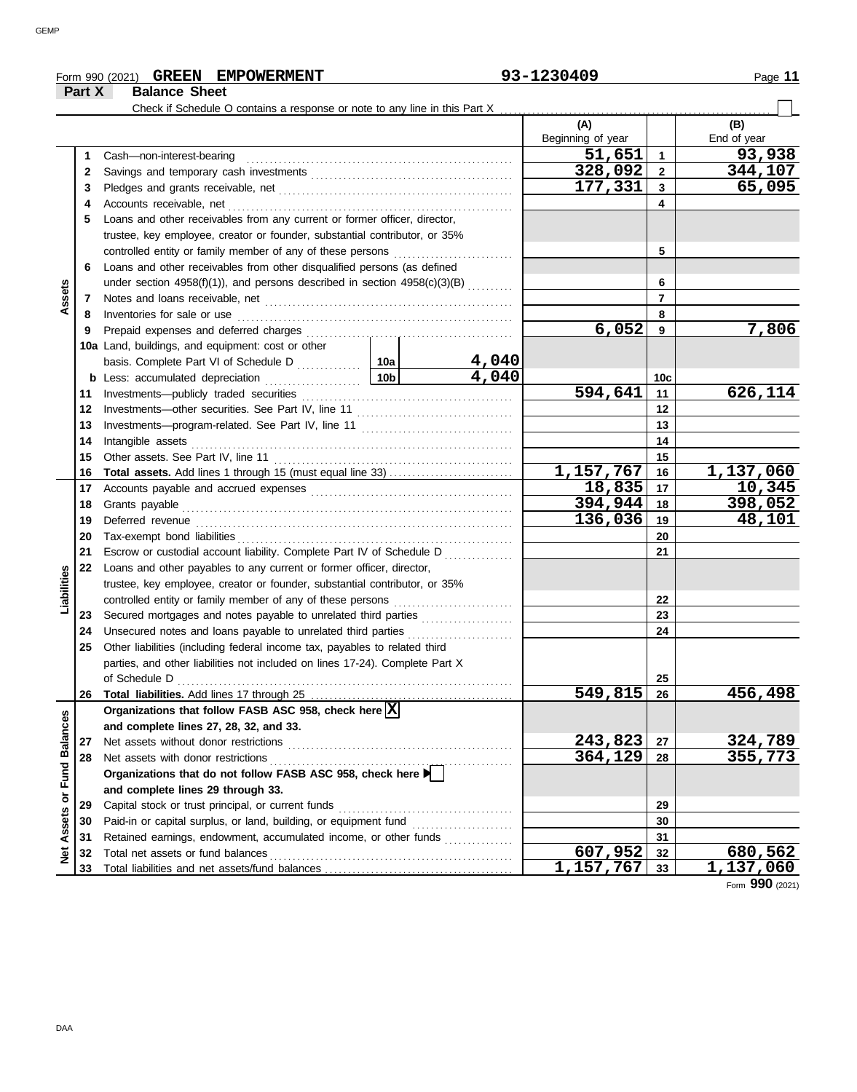| <b>GREEN</b><br>orm 990 (2021) | <b>EMPOWERMENT</b>                                                         | 93-1230409              | Page 11            |
|--------------------------------|----------------------------------------------------------------------------|-------------------------|--------------------|
| Part X<br><b>Balance Sheet</b> |                                                                            |                         |                    |
|                                | Check if Schedule O contains a response or note to any line in this Part X |                         |                    |
|                                |                                                                            | (A<br>Beginning of year | (B)<br>Fnd of vear |

|                      |              |                                                                                |         |                         | (A)<br>Beginning of year |                 | (B)<br>End of year                  |
|----------------------|--------------|--------------------------------------------------------------------------------|---------|-------------------------|--------------------------|-----------------|-------------------------------------|
|                      |              | Cash-non-interest-bearing                                                      |         |                         | 51,651                   | $\mathbf{1}$    | 93,938                              |
|                      | $\mathbf{2}$ |                                                                                | 328,092 | $\overline{\mathbf{2}}$ | 344,107                  |                 |                                     |
|                      | 3            |                                                                                | 177,331 | $\mathbf{3}$            | 65,095                   |                 |                                     |
|                      | 4            |                                                                                |         | 4                       |                          |                 |                                     |
|                      | 5            | Loans and other receivables from any current or former officer, director,      |         |                         |                          |                 |                                     |
|                      |              | trustee, key employee, creator or founder, substantial contributor, or 35%     |         |                         |                          |                 |                                     |
|                      |              | controlled entity or family member of any of these persons                     |         |                         |                          | 5               |                                     |
|                      | 6.           | Loans and other receivables from other disqualified persons (as defined        |         |                         |                          |                 |                                     |
|                      |              | under section $4958(f)(1)$ ), and persons described in section $4958(c)(3)(B)$ |         |                         |                          | 6               |                                     |
| Assets               |              |                                                                                |         |                         |                          | $\overline{7}$  |                                     |
|                      | 8            | Inventories for sale or use                                                    |         |                         |                          | 8               |                                     |
|                      | 9            | Prepaid expenses and deferred charges                                          |         |                         | $\overline{6}$ ,052      | 9               | 7,806                               |
|                      |              | 10a Land, buildings, and equipment: cost or other                              |         |                         |                          |                 |                                     |
|                      |              |                                                                                |         | 4,040                   |                          |                 |                                     |
|                      |              |                                                                                |         | 4,040                   |                          | 10 <sub>c</sub> |                                     |
|                      |              |                                                                                |         |                         | 594,641                  | 11              | 626, 114                            |
|                      |              |                                                                                |         |                         |                          | $12 \,$         |                                     |
|                      |              |                                                                                |         |                         |                          | 13              |                                     |
|                      | 13           |                                                                                |         |                         |                          |                 |                                     |
|                      | 14           | Intangible assets                                                              |         |                         | 14                       |                 |                                     |
|                      |              | 15 Other assets. See Part IV, line 11                                          |         |                         | $\overline{1,}157,767$   | 15              |                                     |
|                      |              |                                                                                |         | 16                      | 1,137,060                |                 |                                     |
|                      |              |                                                                                |         | 18,835                  | 17                       | 10,345          |                                     |
|                      | 18           | Grants payable                                                                 | 394,944 | 18                      | 398,052                  |                 |                                     |
|                      | 19           | Deferred revenue                                                               | 136,036 | 19                      | 48,101                   |                 |                                     |
|                      | 20           |                                                                                |         | 20                      |                          |                 |                                     |
|                      | 21           | Escrow or custodial account liability. Complete Part IV of Schedule D          |         | 21                      |                          |                 |                                     |
|                      |              | 22 Loans and other payables to any current or former officer, director,        |         |                         |                          |                 |                                     |
| Liabilities          |              | trustee, key employee, creator or founder, substantial contributor, or 35%     |         |                         |                          |                 |                                     |
|                      |              |                                                                                |         | 22                      |                          |                 |                                     |
|                      |              | 23 Secured mortgages and notes payable to unrelated third parties              |         | 23                      |                          |                 |                                     |
|                      | 24           | Unsecured notes and loans payable to unrelated third parties                   |         | 24                      |                          |                 |                                     |
|                      | 25           | Other liabilities (including federal income tax, payables to related third     |         |                         |                          |                 |                                     |
|                      |              | parties, and other liabilities not included on lines 17-24). Complete Part X   |         |                         |                          |                 |                                     |
|                      |              |                                                                                |         |                         | 25                       |                 |                                     |
|                      |              |                                                                                | 549,815 | 26                      | 456,498                  |                 |                                     |
|                      |              | Organizations that follow FASB ASC 958, check here $ X $                       |         |                         |                          |                 |                                     |
|                      |              | and complete lines 27, 28, 32, and 33.                                         |         |                         |                          |                 |                                     |
|                      | 27           | Net assets without donor restrictions                                          | 243,823 | 27                      | <u>324,789</u>           |                 |                                     |
| <b>Fund Balances</b> | 28           | Net assets with donor restrictions                                             |         |                         | 364,129                  | 28              | 355,773                             |
|                      |              |                                                                                |         |                         |                          |                 |                                     |
|                      |              | and complete lines 29 through 33.                                              |         |                         |                          |                 |                                     |
|                      | 29           | Capital stock or trust principal, or current funds                             |         |                         | 29                       |                 |                                     |
|                      | 30           | Paid-in or capital surplus, or land, building, or equipment fund [             |         |                         |                          | 30              |                                     |
|                      | 31           | Retained earnings, endowment, accumulated income, or other funds               |         |                         |                          | 31              |                                     |
| Net Assets or        | 32           | Total net assets or fund balances                                              |         |                         | 607,952                  | 32              | 680,562                             |
|                      | 33           |                                                                                |         |                         | 1,157,767                | 33              | <u>1,137,060</u><br>Form 990 (2021) |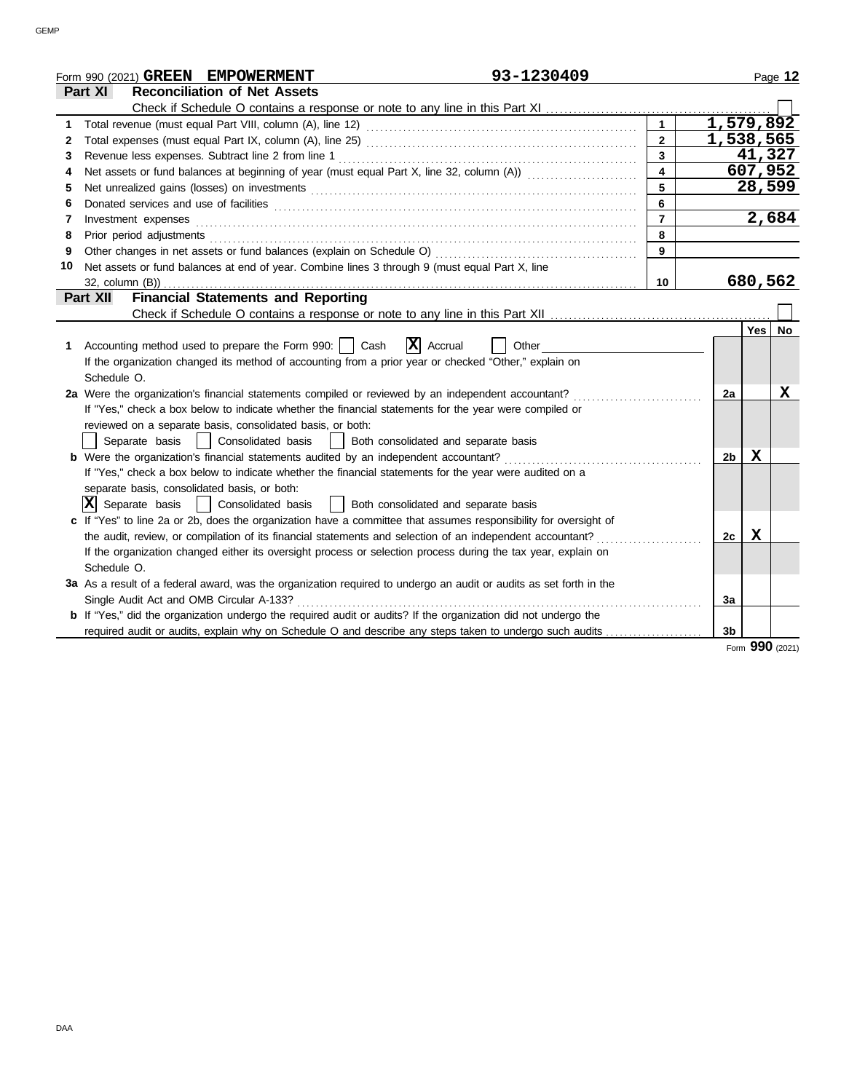|    | 93-1230409<br>Form 990 (2021) GREEN EMPOWERMENT                                                                    |                         |                |        | Page 12 |
|----|--------------------------------------------------------------------------------------------------------------------|-------------------------|----------------|--------|---------|
|    | Part XI<br><b>Reconciliation of Net Assets</b>                                                                     |                         |                |        |         |
|    |                                                                                                                    |                         |                |        |         |
| 1  |                                                                                                                    | $\overline{1}$          | 1,579,892      |        |         |
| 2  |                                                                                                                    | $\mathbf{2}$            | 1,538,565      |        |         |
| 3  | Revenue less expenses. Subtract line 2 from line 1                                                                 | $\overline{3}$          |                | 41,327 |         |
| 4  | Net assets or fund balances at beginning of year (must equal Part X, line 32, column (A)) [[[[[[[[[[[[[[[[[[[      | $\overline{\mathbf{4}}$ |                |        | 607,952 |
| 5  |                                                                                                                    | 5                       |                |        | 28,599  |
| 6  |                                                                                                                    | 6                       |                |        |         |
| 7  | Investment expenses                                                                                                | $\overline{7}$          |                |        | 2,684   |
| 8  | Prior period adjustments                                                                                           | 8                       |                |        |         |
| 9  | Other changes in net assets or fund balances (explain on Schedule O)                                               | 9                       |                |        |         |
| 10 | Net assets or fund balances at end of year. Combine lines 3 through 9 (must equal Part X, line                     |                         |                |        |         |
|    | $32$ , column $(B)$ )                                                                                              | 10 <sup>1</sup>         |                |        | 680,562 |
|    | <b>Financial Statements and Reporting</b><br>Part XII                                                              |                         |                |        |         |
|    |                                                                                                                    |                         |                |        |         |
|    |                                                                                                                    |                         |                | Yes    | No      |
| 1. | $ \mathbf{X} $ Accrual<br>Accounting method used to prepare the Form 990:     Cash<br>Other                        |                         |                |        |         |
|    | If the organization changed its method of accounting from a prior year or checked "Other," explain on              |                         |                |        |         |
|    | Schedule O.                                                                                                        |                         |                |        |         |
|    | 2a Were the organization's financial statements compiled or reviewed by an independent accountant?                 |                         | 2a             |        | X       |
|    | If "Yes," check a box below to indicate whether the financial statements for the year were compiled or             |                         |                |        |         |
|    | reviewed on a separate basis, consolidated basis, or both:                                                         |                         |                |        |         |
|    | Consolidated basis<br>Separate basis<br>  Both consolidated and separate basis                                     |                         |                |        |         |
|    |                                                                                                                    |                         | 2 <sub>b</sub> | x      |         |
|    | If "Yes," check a box below to indicate whether the financial statements for the year were audited on a            |                         |                |        |         |
|    | separate basis, consolidated basis, or both:                                                                       |                         |                |        |         |
|    | $ \mathbf{X} $ Separate basis<br>Consolidated basis<br>  Both consolidated and separate basis                      |                         |                |        |         |
|    | c If "Yes" to line 2a or 2b, does the organization have a committee that assumes responsibility for oversight of   |                         |                |        |         |
|    | the audit, review, or compilation of its financial statements and selection of an independent accountant?          |                         | 2c             | Х      |         |
|    | If the organization changed either its oversight process or selection process during the tax year, explain on      |                         |                |        |         |
|    | Schedule O.                                                                                                        |                         |                |        |         |
|    | 3a As a result of a federal award, was the organization required to undergo an audit or audits as set forth in the |                         |                |        |         |
|    | Single Audit Act and OMB Circular A-133?                                                                           |                         | Зa             |        |         |
|    | b If "Yes," did the organization undergo the required audit or audits? If the organization did not undergo the     |                         |                |        |         |
|    | required audit or audits, explain why on Schedule O and describe any steps taken to undergo such audits            |                         | 3 <sub>b</sub> |        |         |
|    |                                                                                                                    |                         |                | nnn    |         |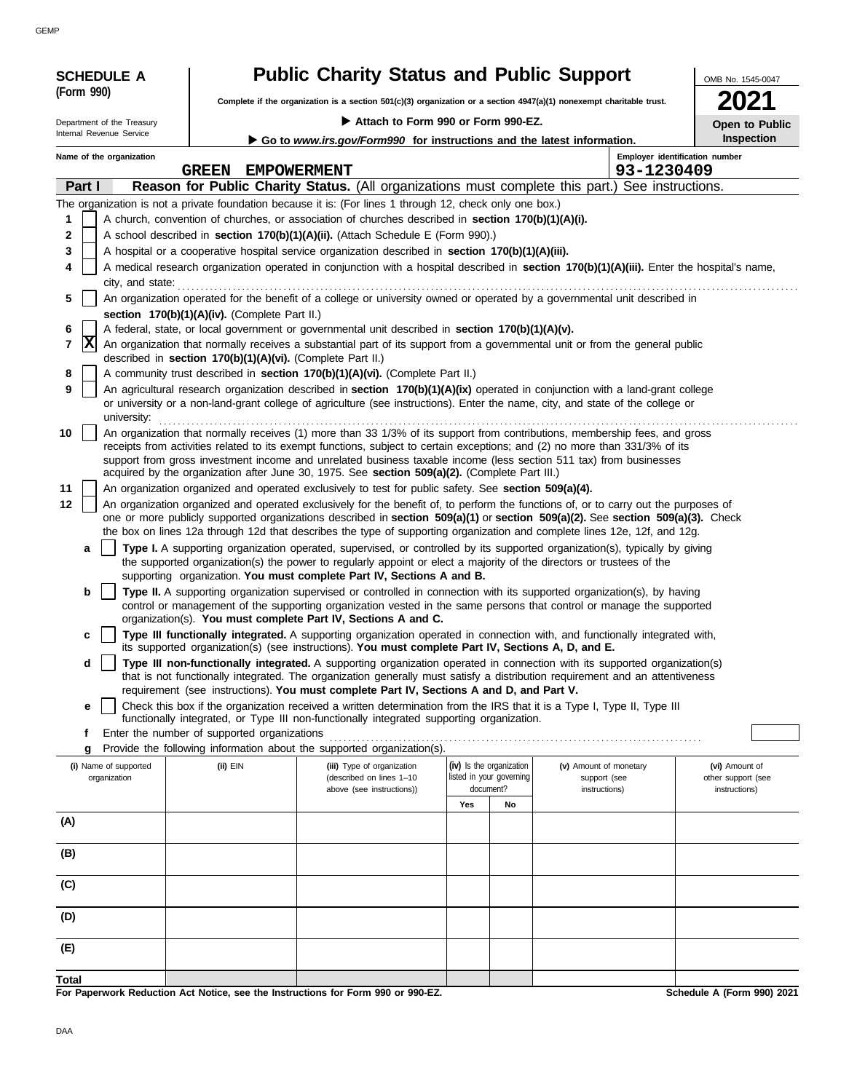GEMP

|                            |                                                            | Complete if the organization is a section $501(c)(3)$ organization or a section $4947(a)(1)$ nonexempt charitable trust.                                                                                                                         |                                       |    |                               |                                |                                     |
|----------------------------|------------------------------------------------------------|--------------------------------------------------------------------------------------------------------------------------------------------------------------------------------------------------------------------------------------------------|---------------------------------------|----|-------------------------------|--------------------------------|-------------------------------------|
| Department of the Treasury |                                                            | Attach to Form 990 or Form 990-EZ.                                                                                                                                                                                                               |                                       |    |                               |                                |                                     |
| Internal Revenue Service   |                                                            | Go to www.irs.gov/Form990 for instructions and the latest information.                                                                                                                                                                           |                                       |    |                               |                                | Open to Public<br>Inspection        |
| Name of the organization   |                                                            |                                                                                                                                                                                                                                                  |                                       |    |                               | Employer identification number |                                     |
|                            | <b>GREEN</b>                                               | <b>EMPOWERMENT</b>                                                                                                                                                                                                                               |                                       |    |                               | 93-1230409                     |                                     |
| Part I                     |                                                            | Reason for Public Charity Status. (All organizations must complete this part.) See instructions.                                                                                                                                                 |                                       |    |                               |                                |                                     |
|                            |                                                            | The organization is not a private foundation because it is: (For lines 1 through 12, check only one box.)                                                                                                                                        |                                       |    |                               |                                |                                     |
| 1                          |                                                            | A church, convention of churches, or association of churches described in section 170(b)(1)(A)(i).                                                                                                                                               |                                       |    |                               |                                |                                     |
| $\mathbf{2}$               |                                                            | A school described in section 170(b)(1)(A)(ii). (Attach Schedule E (Form 990).)                                                                                                                                                                  |                                       |    |                               |                                |                                     |
| 3                          |                                                            | A hospital or a cooperative hospital service organization described in section 170(b)(1)(A)(iii).                                                                                                                                                |                                       |    |                               |                                |                                     |
| 4                          |                                                            | A medical research organization operated in conjunction with a hospital described in section 170(b)(1)(A)(iii). Enter the hospital's name,                                                                                                       |                                       |    |                               |                                |                                     |
| city, and state:           |                                                            |                                                                                                                                                                                                                                                  |                                       |    |                               |                                |                                     |
| 5                          |                                                            | An organization operated for the benefit of a college or university owned or operated by a governmental unit described in                                                                                                                        |                                       |    |                               |                                |                                     |
| 6                          | section 170(b)(1)(A)(iv). (Complete Part II.)              | A federal, state, or local government or governmental unit described in section 170(b)(1)(A)(v).                                                                                                                                                 |                                       |    |                               |                                |                                     |
| X<br>7                     |                                                            | An organization that normally receives a substantial part of its support from a governmental unit or from the general public                                                                                                                     |                                       |    |                               |                                |                                     |
|                            | described in section 170(b)(1)(A)(vi). (Complete Part II.) |                                                                                                                                                                                                                                                  |                                       |    |                               |                                |                                     |
| 8                          |                                                            | A community trust described in section 170(b)(1)(A)(vi). (Complete Part II.)                                                                                                                                                                     |                                       |    |                               |                                |                                     |
| 9                          |                                                            | An agricultural research organization described in section 170(b)(1)(A)(ix) operated in conjunction with a land-grant college                                                                                                                    |                                       |    |                               |                                |                                     |
|                            |                                                            | or university or a non-land-grant college of agriculture (see instructions). Enter the name, city, and state of the college or                                                                                                                   |                                       |    |                               |                                |                                     |
| university:                |                                                            |                                                                                                                                                                                                                                                  |                                       |    |                               |                                |                                     |
| 10                         |                                                            | An organization that normally receives (1) more than 33 1/3% of its support from contributions, membership fees, and gross                                                                                                                       |                                       |    |                               |                                |                                     |
|                            |                                                            | receipts from activities related to its exempt functions, subject to certain exceptions; and (2) no more than 331/3% of its<br>support from gross investment income and unrelated business taxable income (less section 511 tax) from businesses |                                       |    |                               |                                |                                     |
|                            |                                                            | acquired by the organization after June 30, 1975. See section 509(a)(2). (Complete Part III.)                                                                                                                                                    |                                       |    |                               |                                |                                     |
| 11                         |                                                            | An organization organized and operated exclusively to test for public safety. See section 509(a)(4).                                                                                                                                             |                                       |    |                               |                                |                                     |
| 12                         |                                                            | An organization organized and operated exclusively for the benefit of, to perform the functions of, or to carry out the purposes of                                                                                                              |                                       |    |                               |                                |                                     |
|                            |                                                            | one or more publicly supported organizations described in section 509(a)(1) or section 509(a)(2). See section 509(a)(3). Check                                                                                                                   |                                       |    |                               |                                |                                     |
|                            |                                                            | the box on lines 12a through 12d that describes the type of supporting organization and complete lines 12e, 12f, and 12g.                                                                                                                        |                                       |    |                               |                                |                                     |
| a                          |                                                            | Type I. A supporting organization operated, supervised, or controlled by its supported organization(s), typically by giving                                                                                                                      |                                       |    |                               |                                |                                     |
|                            |                                                            | the supported organization(s) the power to regularly appoint or elect a majority of the directors or trustees of the                                                                                                                             |                                       |    |                               |                                |                                     |
| b                          |                                                            | supporting organization. You must complete Part IV, Sections A and B.<br>Type II. A supporting organization supervised or controlled in connection with its supported organization(s), by having                                                 |                                       |    |                               |                                |                                     |
|                            |                                                            | control or management of the supporting organization vested in the same persons that control or manage the supported                                                                                                                             |                                       |    |                               |                                |                                     |
|                            |                                                            | organization(s). You must complete Part IV, Sections A and C.                                                                                                                                                                                    |                                       |    |                               |                                |                                     |
| c                          |                                                            | Type III functionally integrated. A supporting organization operated in connection with, and functionally integrated with,                                                                                                                       |                                       |    |                               |                                |                                     |
|                            |                                                            | its supported organization(s) (see instructions). You must complete Part IV, Sections A, D, and E.                                                                                                                                               |                                       |    |                               |                                |                                     |
| d                          |                                                            | Type III non-functionally integrated. A supporting organization operated in connection with its supported organization(s)                                                                                                                        |                                       |    |                               |                                |                                     |
|                            |                                                            | that is not functionally integrated. The organization generally must satisfy a distribution requirement and an attentiveness<br>requirement (see instructions). You must complete Part IV, Sections A and D, and Part V.                         |                                       |    |                               |                                |                                     |
| е                          |                                                            | Check this box if the organization received a written determination from the IRS that it is a Type I, Type II, Type III                                                                                                                          |                                       |    |                               |                                |                                     |
|                            |                                                            | functionally integrated, or Type III non-functionally integrated supporting organization.                                                                                                                                                        |                                       |    |                               |                                |                                     |
| f                          | Enter the number of supported organizations                |                                                                                                                                                                                                                                                  |                                       |    |                               |                                |                                     |
|                            |                                                            | Provide the following information about the supported organization(s).                                                                                                                                                                           |                                       |    |                               |                                |                                     |
| g                          | (ii) EIN                                                   | (iii) Type of organization                                                                                                                                                                                                                       | (iv) Is the organization              |    | (v) Amount of monetary        |                                | (vi) Amount of                      |
| (i) Name of supported      |                                                            | (described on lines 1-10<br>above (see instructions))                                                                                                                                                                                            | listed in your governing<br>document? |    | support (see<br>instructions) |                                | other support (see<br>instructions) |
| organization               |                                                            |                                                                                                                                                                                                                                                  |                                       |    |                               |                                |                                     |
|                            |                                                            |                                                                                                                                                                                                                                                  | Yes                                   | No |                               |                                |                                     |
|                            |                                                            |                                                                                                                                                                                                                                                  |                                       |    |                               |                                |                                     |
|                            |                                                            |                                                                                                                                                                                                                                                  |                                       |    |                               |                                |                                     |
|                            |                                                            |                                                                                                                                                                                                                                                  |                                       |    |                               |                                |                                     |
|                            |                                                            |                                                                                                                                                                                                                                                  |                                       |    |                               |                                |                                     |
|                            |                                                            |                                                                                                                                                                                                                                                  |                                       |    |                               |                                |                                     |
| (A)<br>(B)<br>(C)          |                                                            |                                                                                                                                                                                                                                                  |                                       |    |                               |                                |                                     |
|                            |                                                            |                                                                                                                                                                                                                                                  |                                       |    |                               |                                |                                     |
| (D)                        |                                                            |                                                                                                                                                                                                                                                  |                                       |    |                               |                                |                                     |

**For Paperwork Reduction Act Notice, see the Instructions for Form 990 or 990-EZ. Total**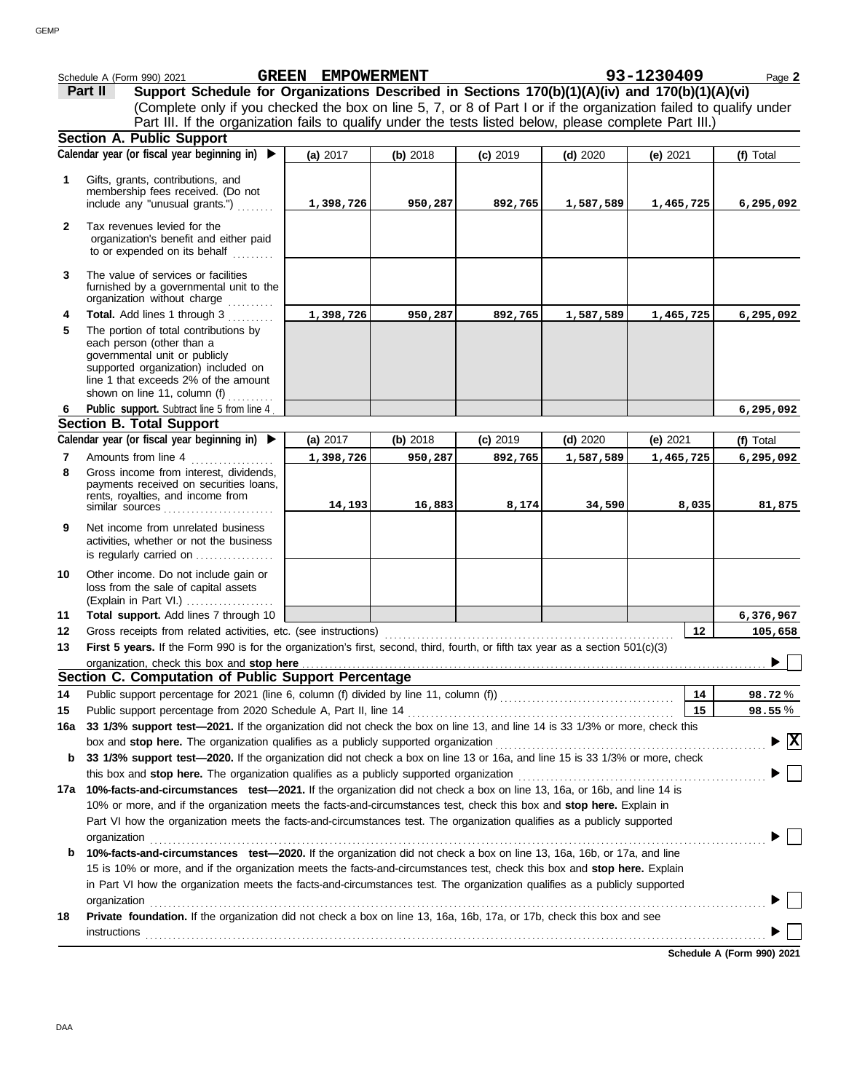|              | Schedule A (Form 990) 2021                                                                                                                                                                                                                                                                                                                                                      | <b>GREEN EMPOWERMENT</b> |          |            |            | 93-1230409 | Page 2                               |
|--------------|---------------------------------------------------------------------------------------------------------------------------------------------------------------------------------------------------------------------------------------------------------------------------------------------------------------------------------------------------------------------------------|--------------------------|----------|------------|------------|------------|--------------------------------------|
|              | Support Schedule for Organizations Described in Sections 170(b)(1)(A)(iv) and 170(b)(1)(A)(vi)<br>Part II<br>(Complete only if you checked the box on line 5, 7, or 8 of Part I or if the organization failed to qualify under                                                                                                                                                  |                          |          |            |            |            |                                      |
|              | Part III. If the organization fails to qualify under the tests listed below, please complete Part III.)                                                                                                                                                                                                                                                                         |                          |          |            |            |            |                                      |
|              | <b>Section A. Public Support</b>                                                                                                                                                                                                                                                                                                                                                |                          |          |            |            |            |                                      |
|              | Calendar year (or fiscal year beginning in) $\blacktriangleright$                                                                                                                                                                                                                                                                                                               | (a) 2017                 | (b) 2018 | $(c)$ 2019 | $(d)$ 2020 | (e) $2021$ | (f) Total                            |
| 1            | Gifts, grants, contributions, and<br>membership fees received. (Do not<br>include any "unusual grants.")                                                                                                                                                                                                                                                                        | 1,398,726                | 950,287  | 892,765    | 1,587,589  | 1,465,725  | 6,295,092                            |
| $\mathbf{2}$ | Tax revenues levied for the<br>organization's benefit and either paid<br>to or expended on its behalf                                                                                                                                                                                                                                                                           |                          |          |            |            |            |                                      |
| 3            | The value of services or facilities<br>furnished by a governmental unit to the<br>organization without charge                                                                                                                                                                                                                                                                   |                          |          |            |            |            |                                      |
| 4            | Total. Add lines 1 through 3                                                                                                                                                                                                                                                                                                                                                    | 1,398,726                | 950,287  | 892,765    | 1,587,589  | 1,465,725  | 6,295,092                            |
| 5            | The portion of total contributions by<br>each person (other than a<br>governmental unit or publicly<br>supported organization) included on<br>line 1 that exceeds 2% of the amount<br>shown on line 11, column (f)                                                                                                                                                              |                          |          |            |            |            |                                      |
| 6            | Public support. Subtract line 5 from line 4                                                                                                                                                                                                                                                                                                                                     |                          |          |            |            |            | 6,295,092                            |
|              | <b>Section B. Total Support</b>                                                                                                                                                                                                                                                                                                                                                 |                          |          |            |            |            |                                      |
|              | Calendar year (or fiscal year beginning in) $\blacktriangleright$                                                                                                                                                                                                                                                                                                               | (a) 2017                 | (b) 2018 | $(c)$ 2019 | $(d)$ 2020 | (e) 2021   | (f) Total                            |
| 7            | Amounts from line 4                                                                                                                                                                                                                                                                                                                                                             | 1,398,726                | 950,287  | 892,765    | 1,587,589  | 1,465,725  | 6,295,092                            |
| 8            | Gross income from interest, dividends,<br>payments received on securities loans,<br>rents, royalties, and income from<br>similar sources                                                                                                                                                                                                                                        | 14,193                   | 16,883   | 8,174      | 34,590     | 8,035      | 81,875                               |
| 9            | Net income from unrelated business<br>activities, whether or not the business<br>is regularly carried on                                                                                                                                                                                                                                                                        |                          |          |            |            |            |                                      |
| 10<br>11     | Other income. Do not include gain or<br>loss from the sale of capital assets<br>(Explain in Part VI.)<br>Total support. Add lines 7 through 10                                                                                                                                                                                                                                  |                          |          |            |            |            |                                      |
| 12           | Gross receipts from related activities, etc. (see instructions)                                                                                                                                                                                                                                                                                                                 |                          |          |            |            | 12         | 6,376,967<br>105,658                 |
| 13           | First 5 years. If the Form 990 is for the organization's first, second, third, fourth, or fifth tax year as a section $501(c)(3)$                                                                                                                                                                                                                                               |                          |          |            |            |            |                                      |
|              | organization, check this box and stop here                                                                                                                                                                                                                                                                                                                                      |                          |          |            |            |            |                                      |
|              | Section C. Computation of Public Support Percentage                                                                                                                                                                                                                                                                                                                             |                          |          |            |            |            |                                      |
| 14           | Public support percentage for 2021 (line 6, column (f) divided by line 11, column (f)) [[[[[[[[[[[[[[[[[[[[[[                                                                                                                                                                                                                                                                   |                          |          |            |            | 14         | 98.72%                               |
| 15           | Public support percentage from 2020 Schedule A, Part II, line 14                                                                                                                                                                                                                                                                                                                |                          |          |            |            | 15         | 98.55%                               |
| 16a          | 33 1/3% support test-2021. If the organization did not check the box on line 13, and line 14 is 33 1/3% or more, check this                                                                                                                                                                                                                                                     |                          |          |            |            |            |                                      |
|              | box and stop here. The organization qualifies as a publicly supported organization                                                                                                                                                                                                                                                                                              |                          |          |            |            |            | $\blacktriangleright$ $ \mathrm{X} $ |
| b            | 33 1/3% support test-2020. If the organization did not check a box on line 13 or 16a, and line 15 is 33 1/3% or more, check                                                                                                                                                                                                                                                     |                          |          |            |            |            |                                      |
|              | this box and stop here. The organization qualifies as a publicly supported organization                                                                                                                                                                                                                                                                                         |                          |          |            |            |            |                                      |
|              | 17a 10%-facts-and-circumstances test-2021. If the organization did not check a box on line 13, 16a, or 16b, and line 14 is                                                                                                                                                                                                                                                      |                          |          |            |            |            |                                      |
|              | 10% or more, and if the organization meets the facts-and-circumstances test, check this box and stop here. Explain in<br>Part VI how the organization meets the facts-and-circumstances test. The organization qualifies as a publicly supported                                                                                                                                |                          |          |            |            |            |                                      |
|              | organization                                                                                                                                                                                                                                                                                                                                                                    |                          |          |            |            |            |                                      |
| b            | 10%-facts-and-circumstances test-2020. If the organization did not check a box on line 13, 16a, 16b, or 17a, and line<br>15 is 10% or more, and if the organization meets the facts-and-circumstances test, check this box and stop here. Explain<br>in Part VI how the organization meets the facts-and-circumstances test. The organization qualifies as a publicly supported |                          |          |            |            |            |                                      |
|              | organization                                                                                                                                                                                                                                                                                                                                                                    |                          |          |            |            |            |                                      |
| 18           | Private foundation. If the organization did not check a box on line 13, 16a, 16b, 17a, or 17b, check this box and see                                                                                                                                                                                                                                                           |                          |          |            |            |            |                                      |
|              | instructions                                                                                                                                                                                                                                                                                                                                                                    |                          |          |            |            |            |                                      |
|              |                                                                                                                                                                                                                                                                                                                                                                                 |                          |          |            |            |            |                                      |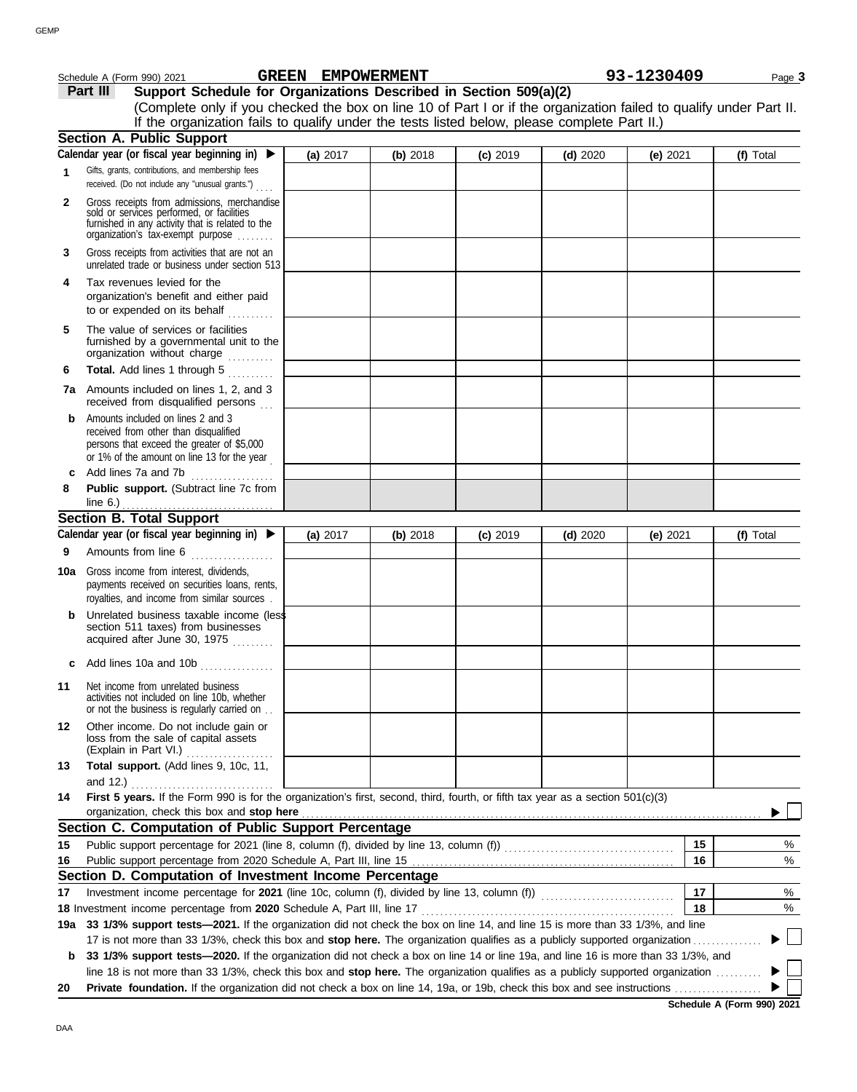|     | Schedule A (Form 990) 2021                                                                                                                                                        | <b>GREEN EMPOWERMENT</b> |          |            |            | 93-1230409 | Page 3    |
|-----|-----------------------------------------------------------------------------------------------------------------------------------------------------------------------------------|--------------------------|----------|------------|------------|------------|-----------|
|     | Support Schedule for Organizations Described in Section 509(a)(2)<br>Part III                                                                                                     |                          |          |            |            |            |           |
|     | (Complete only if you checked the box on line 10 of Part I or if the organization failed to qualify under Part II.                                                                |                          |          |            |            |            |           |
|     | If the organization fails to qualify under the tests listed below, please complete Part II.)                                                                                      |                          |          |            |            |            |           |
|     | Section A. Public Support                                                                                                                                                         |                          |          |            |            |            |           |
|     | Calendar year (or fiscal year beginning in) ▶                                                                                                                                     | (a) 2017                 | (b) 2018 | $(c)$ 2019 | $(d)$ 2020 | (e) 2021   | (f) Total |
|     | Gifts, grants, contributions, and membership fees<br>received. (Do not include any "unusual grants.")                                                                             |                          |          |            |            |            |           |
| 2   | Gross receipts from admissions, merchandise<br>sold or services performed, or facilities<br>furnished in any activity that is related to the<br>organization's fax-exempt purpose |                          |          |            |            |            |           |
| 3   | Gross receipts from activities that are not an<br>unrelated trade or business under section 513                                                                                   |                          |          |            |            |            |           |
| 4   | Tax revenues levied for the<br>organization's benefit and either paid<br>to or expended on its behalf<br>and a supple                                                             |                          |          |            |            |            |           |
| 5   | The value of services or facilities<br>furnished by a governmental unit to the<br>organization without charge                                                                     |                          |          |            |            |            |           |
| 6   | Total. Add lines 1 through 5                                                                                                                                                      |                          |          |            |            |            |           |
|     | <b>7a</b> Amounts included on lines 1, 2, and 3<br>received from disqualified persons                                                                                             |                          |          |            |            |            |           |
| b   | Amounts included on lines 2 and 3<br>received from other than disqualified<br>persons that exceed the greater of \$5,000<br>or 1% of the amount on line 13 for the year           |                          |          |            |            |            |           |
| c   | Add lines 7a and 7b                                                                                                                                                               |                          |          |            |            |            |           |
| 8   | Public support. (Subtract line 7c from<br>line $6.$ )                                                                                                                             |                          |          |            |            |            |           |
|     | <b>Section B. Total Support</b>                                                                                                                                                   |                          |          |            |            |            |           |
|     | Calendar year (or fiscal year beginning in) ▶                                                                                                                                     | (a) 2017                 | (b) 2018 | $(c)$ 2019 | $(d)$ 2020 | (e) $2021$ | (f) Total |
| 9   | Amounts from line 6                                                                                                                                                               |                          |          |            |            |            |           |
| 10a | Gross income from interest, dividends,<br>payments received on securities loans, rents,<br>royalties, and income from similar sources.                                            |                          |          |            |            |            |           |
|     | Unrelated business taxable income (less<br>section 511 taxes) from businesses<br>acquired after June 30, 1975                                                                     |                          |          |            |            |            |           |
| с   | Add lines 10a and 10b                                                                                                                                                             |                          |          |            |            |            |           |
| 11  | Net income from unrelated business<br>activities not included on line 10b, whether<br>or not the business is regularly carried on                                                 |                          |          |            |            |            |           |
| 12  | Other income. Do not include gain or<br>loss from the sale of capital assets<br>(Explain in Part VI.)<br>.                                                                        |                          |          |            |            |            |           |
| 13  | Total support. (Add lines 9, 10c, 11,                                                                                                                                             |                          |          |            |            |            |           |
|     | and $12.$ )                                                                                                                                                                       |                          |          |            |            |            |           |
| 14  | First 5 years. If the Form 990 is for the organization's first, second, third, fourth, or fifth tax year as a section 501(c)(3)<br>organization, check this box and stop here     |                          |          |            |            |            |           |
|     | Section C. Computation of Public Support Percentage                                                                                                                               |                          |          |            |            |            |           |
| 15  |                                                                                                                                                                                   |                          |          |            |            | 15         | %         |
| 16  |                                                                                                                                                                                   |                          |          |            |            | 16         | $\%$      |
|     | Section D. Computation of Investment Income Percentage                                                                                                                            |                          |          |            |            |            |           |
| 17  |                                                                                                                                                                                   |                          |          |            |            | 17         | %         |
|     | 18 Investment income percentage from 2020 Schedule A, Part III, line 17                                                                                                           |                          |          |            |            | 18         | %         |
| 19а | 33 1/3% support tests-2021. If the organization did not check the box on line 14, and line 15 is more than 33 1/3%, and line                                                      |                          |          |            |            |            |           |
|     | 17 is not more than 33 1/3%, check this box and stop here. The organization qualifies as a publicly supported organization                                                        |                          |          |            |            |            |           |
| b   | 33 1/3% support tests-2020. If the organization did not check a box on line 14 or line 19a, and line 16 is more than 33 1/3%, and                                                 |                          |          |            |            |            |           |
|     | line 18 is not more than 33 1/3%, check this box and stop here. The organization qualifies as a publicly supported organization                                                   |                          |          |            |            |            |           |
| 20  |                                                                                                                                                                                   |                          |          |            |            |            |           |

DAA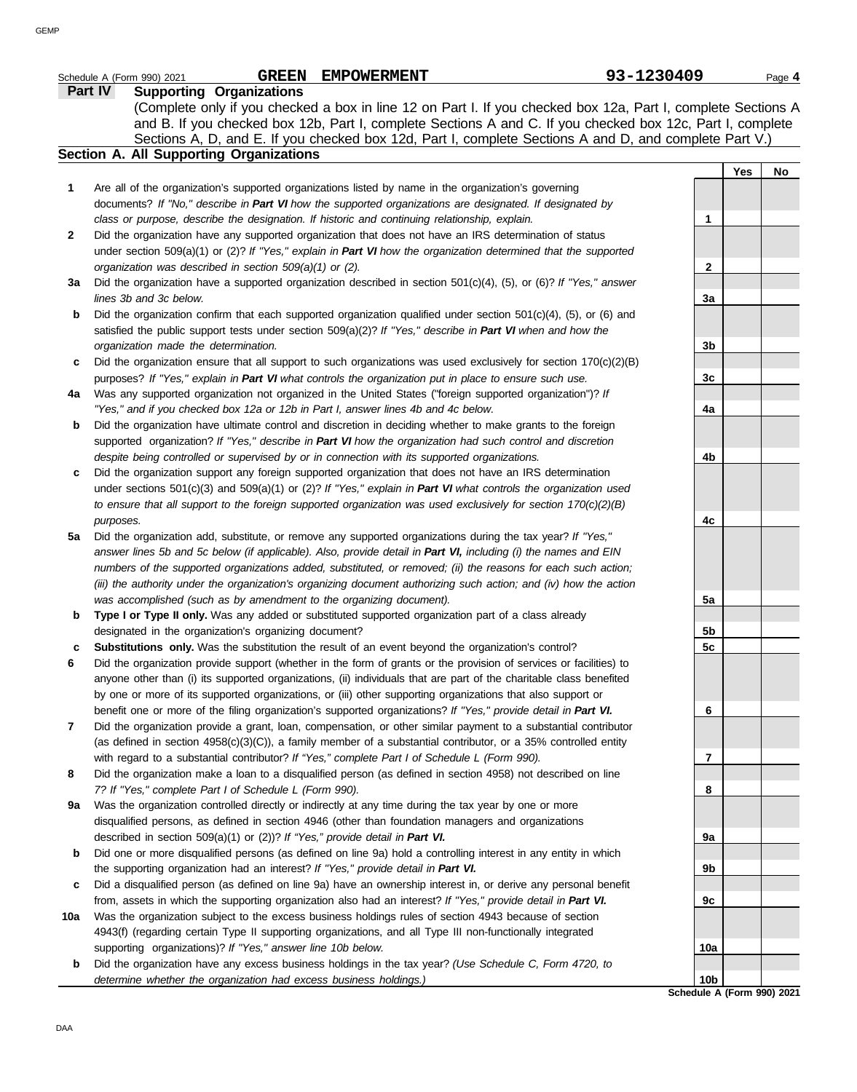|              | <b>GREEN</b><br><b>EMPOWERMENT</b><br>Schedule A (Form 990) 2021                                                                                                                                                                                                                                                                                                                                                                                                                | 93-1230409      |     | Page 4 |
|--------------|---------------------------------------------------------------------------------------------------------------------------------------------------------------------------------------------------------------------------------------------------------------------------------------------------------------------------------------------------------------------------------------------------------------------------------------------------------------------------------|-----------------|-----|--------|
|              | <b>Supporting Organizations</b><br><b>Part IV</b><br>(Complete only if you checked a box in line 12 on Part I. If you checked box 12a, Part I, complete Sections A<br>and B. If you checked box 12b, Part I, complete Sections A and C. If you checked box 12c, Part I, complete<br>Sections A, D, and E. If you checked box 12d, Part I, complete Sections A and D, and complete Part V.)                                                                                      |                 |     |        |
|              | Section A. All Supporting Organizations                                                                                                                                                                                                                                                                                                                                                                                                                                         |                 |     |        |
| 1            | Are all of the organization's supported organizations listed by name in the organization's governing<br>documents? If "No," describe in Part VI how the supported organizations are designated. If designated by                                                                                                                                                                                                                                                                |                 | Yes | No     |
| $\mathbf{2}$ | class or purpose, describe the designation. If historic and continuing relationship, explain.<br>Did the organization have any supported organization that does not have an IRS determination of status<br>under section $509(a)(1)$ or (2)? If "Yes," explain in Part VI how the organization determined that the supported<br>organization was described in section 509(a)(1) or (2).                                                                                         | 1<br>2          |     |        |
| 3a           | Did the organization have a supported organization described in section 501(c)(4), (5), or (6)? If "Yes," answer<br>lines 3b and 3c below.                                                                                                                                                                                                                                                                                                                                      | 3a              |     |        |
| b            | Did the organization confirm that each supported organization qualified under section $501(c)(4)$ , (5), or (6) and<br>satisfied the public support tests under section $509(a)(2)?$ If "Yes," describe in Part VI when and how the<br>organization made the determination.                                                                                                                                                                                                     | 3b              |     |        |
| c            | Did the organization ensure that all support to such organizations was used exclusively for section $170(c)(2)(B)$<br>purposes? If "Yes," explain in Part VI what controls the organization put in place to ensure such use.                                                                                                                                                                                                                                                    | 3c              |     |        |
| 4a           | Was any supported organization not organized in the United States ("foreign supported organization")? If<br>"Yes," and if you checked box 12a or 12b in Part I, answer lines 4b and 4c below.                                                                                                                                                                                                                                                                                   | 4a              |     |        |
| b            | Did the organization have ultimate control and discretion in deciding whether to make grants to the foreign<br>supported organization? If "Yes," describe in Part VI how the organization had such control and discretion                                                                                                                                                                                                                                                       |                 |     |        |
| c            | despite being controlled or supervised by or in connection with its supported organizations.<br>Did the organization support any foreign supported organization that does not have an IRS determination<br>under sections $501(c)(3)$ and $509(a)(1)$ or (2)? If "Yes," explain in Part VI what controls the organization used<br>to ensure that all support to the foreign supported organization was used exclusively for section $170(c)(2)(B)$                              | 4b              |     |        |
| 5a           | purposes.<br>Did the organization add, substitute, or remove any supported organizations during the tax year? If "Yes,"<br>answer lines 5b and 5c below (if applicable). Also, provide detail in Part VI, including (i) the names and EIN<br>numbers of the supported organizations added, substituted, or removed; (ii) the reasons for each such action;<br>(iii) the authority under the organization's organizing document authorizing such action; and (iv) how the action | 4c              |     |        |
| b            | was accomplished (such as by amendment to the organizing document).<br>Type I or Type II only. Was any added or substituted supported organization part of a class already                                                                                                                                                                                                                                                                                                      | 5a<br>5b        |     |        |
| c            | designated in the organization's organizing document?<br>Substitutions only. Was the substitution the result of an event beyond the organization's control?                                                                                                                                                                                                                                                                                                                     | 5c              |     |        |
| 6            | Did the organization provide support (whether in the form of grants or the provision of services or facilities) to<br>anyone other than (i) its supported organizations, (ii) individuals that are part of the charitable class benefited<br>by one or more of its supported organizations, or (iii) other supporting organizations that also support or                                                                                                                        |                 |     |        |
| 7            | benefit one or more of the filing organization's supported organizations? If "Yes," provide detail in Part VI.<br>Did the organization provide a grant, loan, compensation, or other similar payment to a substantial contributor<br>(as defined in section 4958(c)(3)(C)), a family member of a substantial contributor, or a 35% controlled entity                                                                                                                            | 6               |     |        |
| 8            | with regard to a substantial contributor? If "Yes," complete Part I of Schedule L (Form 990).<br>Did the organization make a loan to a disqualified person (as defined in section 4958) not described on line                                                                                                                                                                                                                                                                   | 7               |     |        |
| 9а           | 7? If "Yes," complete Part I of Schedule L (Form 990).<br>Was the organization controlled directly or indirectly at any time during the tax year by one or more                                                                                                                                                                                                                                                                                                                 | 8               |     |        |
|              | disqualified persons, as defined in section 4946 (other than foundation managers and organizations<br>described in section 509(a)(1) or (2))? If "Yes," provide detail in Part VI.                                                                                                                                                                                                                                                                                              | 9a              |     |        |
| b            | Did one or more disqualified persons (as defined on line 9a) hold a controlling interest in any entity in which<br>the supporting organization had an interest? If "Yes," provide detail in Part VI.                                                                                                                                                                                                                                                                            | 9b              |     |        |
| c            | Did a disqualified person (as defined on line 9a) have an ownership interest in, or derive any personal benefit<br>from, assets in which the supporting organization also had an interest? If "Yes," provide detail in Part VI.                                                                                                                                                                                                                                                 | 9c              |     |        |
| 10a          | Was the organization subject to the excess business holdings rules of section 4943 because of section<br>4943(f) (regarding certain Type II supporting organizations, and all Type III non-functionally integrated<br>supporting organizations)? If "Yes," answer line 10b below.                                                                                                                                                                                               | 10a             |     |        |
| b            | Did the organization have any excess business holdings in the tax year? (Use Schedule C, Form 4720, to<br>determine whether the organization had excess business holdings.)                                                                                                                                                                                                                                                                                                     | 10 <sub>b</sub> |     |        |

GEMP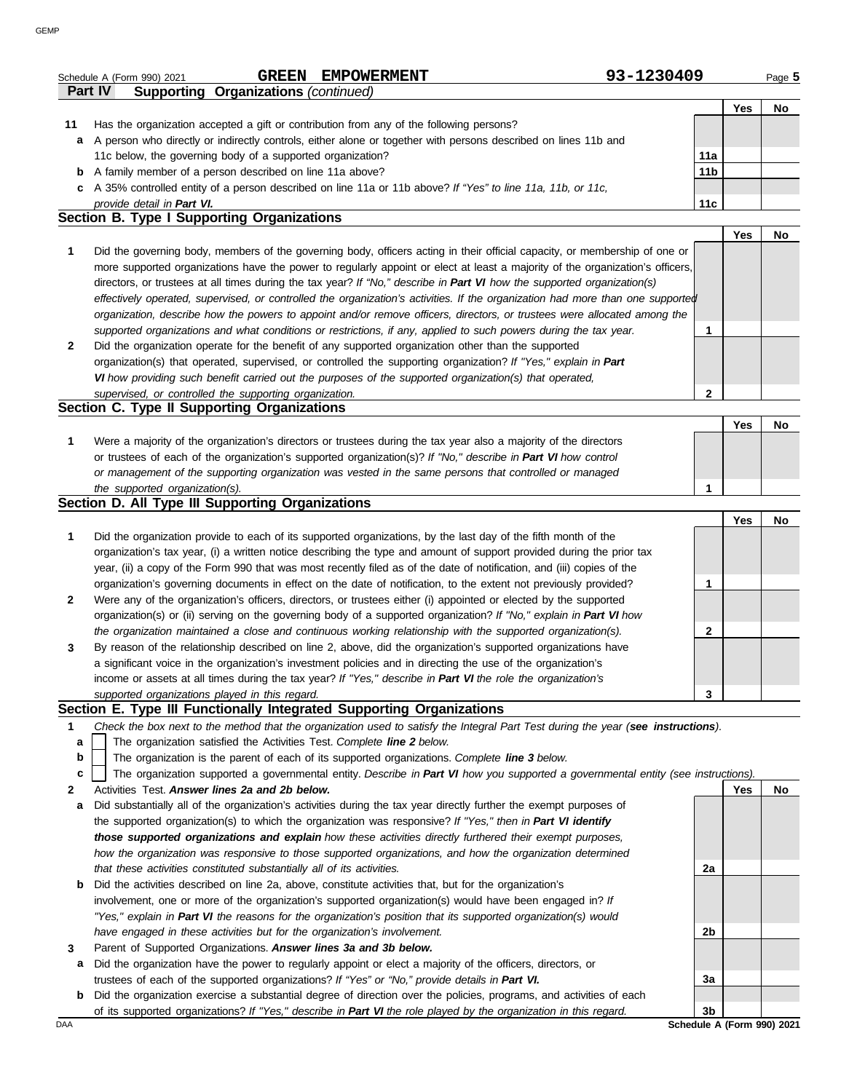|              | <b>GREEN</b><br><b>EMPOWERMENT</b><br>Schedule A (Form 990) 2021                                                                                                                                            | 93-1230409      |            | Page 5    |
|--------------|-------------------------------------------------------------------------------------------------------------------------------------------------------------------------------------------------------------|-----------------|------------|-----------|
|              | <b>Supporting Organizations (continued)</b><br><b>Part IV</b>                                                                                                                                               |                 |            |           |
|              |                                                                                                                                                                                                             |                 | Yes        | No        |
| 11           | Has the organization accepted a gift or contribution from any of the following persons?<br>A person who directly or indirectly controls, either alone or together with persons described on lines 11b and   |                 |            |           |
| a            | 11c below, the governing body of a supported organization?                                                                                                                                                  | 11a             |            |           |
| b            | A family member of a person described on line 11a above?                                                                                                                                                    | 11 <sub>b</sub> |            |           |
| C.           | A 35% controlled entity of a person described on line 11a or 11b above? If "Yes" to line 11a, 11b, or 11c,                                                                                                  |                 |            |           |
|              | provide detail in Part VI.                                                                                                                                                                                  | 11c             |            |           |
|              | <b>Section B. Type I Supporting Organizations</b>                                                                                                                                                           |                 |            |           |
|              |                                                                                                                                                                                                             |                 | <b>Yes</b> | No        |
| 1            | Did the governing body, members of the governing body, officers acting in their official capacity, or membership of one or                                                                                  |                 |            |           |
|              | more supported organizations have the power to regularly appoint or elect at least a majority of the organization's officers,                                                                               |                 |            |           |
|              | directors, or trustees at all times during the tax year? If "No," describe in Part VI how the supported organization(s)                                                                                     |                 |            |           |
|              | effectively operated, supervised, or controlled the organization's activities. If the organization had more than one supported                                                                              |                 |            |           |
|              | organization, describe how the powers to appoint and/or remove officers, directors, or trustees were allocated among the                                                                                    |                 |            |           |
|              | supported organizations and what conditions or restrictions, if any, applied to such powers during the tax year.                                                                                            | 1               |            |           |
| $\mathbf{2}$ | Did the organization operate for the benefit of any supported organization other than the supported                                                                                                         |                 |            |           |
|              | organization(s) that operated, supervised, or controlled the supporting organization? If "Yes," explain in Part                                                                                             |                 |            |           |
|              | VI how providing such benefit carried out the purposes of the supported organization(s) that operated,                                                                                                      |                 |            |           |
|              | supervised, or controlled the supporting organization.<br>Section C. Type II Supporting Organizations                                                                                                       | 2               |            |           |
|              |                                                                                                                                                                                                             |                 | Yes        | No        |
| 1            | Were a majority of the organization's directors or trustees during the tax year also a majority of the directors                                                                                            |                 |            |           |
|              | or trustees of each of the organization's supported organization(s)? If "No," describe in Part VI how control                                                                                               |                 |            |           |
|              | or management of the supporting organization was vested in the same persons that controlled or managed                                                                                                      |                 |            |           |
|              | the supported organization(s).                                                                                                                                                                              | 1               |            |           |
|              | Section D. All Type III Supporting Organizations                                                                                                                                                            |                 |            |           |
|              |                                                                                                                                                                                                             |                 | Yes        | No        |
| 1            | Did the organization provide to each of its supported organizations, by the last day of the fifth month of the                                                                                              |                 |            |           |
|              | organization's tax year, (i) a written notice describing the type and amount of support provided during the prior tax                                                                                       |                 |            |           |
|              | year, (ii) a copy of the Form 990 that was most recently filed as of the date of notification, and (iii) copies of the                                                                                      |                 |            |           |
|              | organization's governing documents in effect on the date of notification, to the extent not previously provided?                                                                                            | 1               |            |           |
| $\mathbf{2}$ | Were any of the organization's officers, directors, or trustees either (i) appointed or elected by the supported                                                                                            |                 |            |           |
|              | organization(s) or (ii) serving on the governing body of a supported organization? If "No," explain in Part VI how                                                                                          |                 |            |           |
|              | the organization maintained a close and continuous working relationship with the supported organization(s).                                                                                                 | $\mathbf{2}$    |            |           |
|              | By reason of the relationship described on line 2, above, did the organization's supported organizations have                                                                                               |                 |            |           |
|              | a significant voice in the organization's investment policies and in directing the use of the organization's                                                                                                |                 |            |           |
|              | income or assets at all times during the tax year? If "Yes," describe in Part VI the role the organization's                                                                                                |                 |            |           |
|              | supported organizations played in this regard.                                                                                                                                                              | 3               |            |           |
|              | Section E. Type III Functionally Integrated Supporting Organizations                                                                                                                                        |                 |            |           |
| 1<br>a       | Check the box next to the method that the organization used to satisfy the Integral Part Test during the year (see instructions).<br>The organization satisfied the Activities Test. Complete line 2 below. |                 |            |           |
| b            | The organization is the parent of each of its supported organizations. Complete line 3 below.                                                                                                               |                 |            |           |
| c            | The organization supported a governmental entity. Describe in Part VI how you supported a governmental entity (see instructions).                                                                           |                 |            |           |
| 2            | Activities Test. Answer lines 2a and 2b below.                                                                                                                                                              |                 | Yes        | <b>No</b> |
| а            | Did substantially all of the organization's activities during the tax year directly further the exempt purposes of                                                                                          |                 |            |           |
|              | the supported organization(s) to which the organization was responsive? If "Yes," then in Part VI identify                                                                                                  |                 |            |           |
|              | those supported organizations and explain how these activities directly furthered their exempt purposes,                                                                                                    |                 |            |           |
|              | how the organization was responsive to those supported organizations, and how the organization determined                                                                                                   |                 |            |           |
|              | that these activities constituted substantially all of its activities.                                                                                                                                      | 2a              |            |           |
| b            | Did the activities described on line 2a, above, constitute activities that, but for the organization's                                                                                                      |                 |            |           |
|              | involvement, one or more of the organization's supported organization(s) would have been engaged in? If                                                                                                     |                 |            |           |
|              | "Yes," explain in Part VI the reasons for the organization's position that its supported organization(s) would                                                                                              |                 |            |           |
|              | have engaged in these activities but for the organization's involvement.                                                                                                                                    | 2b              |            |           |
| 3            | Parent of Supported Organizations. Answer lines 3a and 3b below.                                                                                                                                            |                 |            |           |
| а            | Did the organization have the power to regularly appoint or elect a majority of the officers, directors, or                                                                                                 |                 |            |           |
|              | trustees of each of the supported organizations? If "Yes" or "No," provide details in Part VI.                                                                                                              | 3a              |            |           |
|              |                                                                                                                                                                                                             |                 |            |           |

DAA **Schedule A (Form 990) 2021 b** Did the organization exercise a substantial degree of direction over the policies, programs, and activities of each of its supported organizations? *If "Yes," describe in Part VI the role played by the organization in this regard.*

**3b**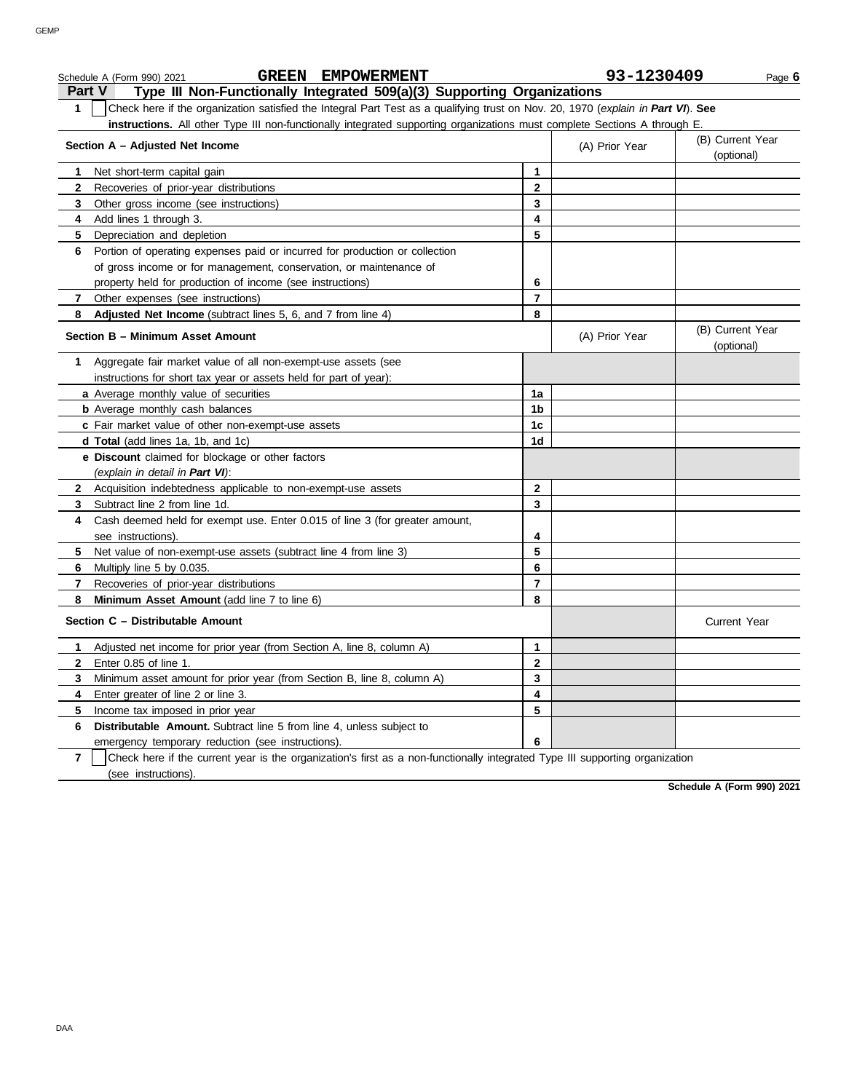| <b>GREEN EMPOWERMENT</b><br>Schedule A (Form 990) 2021                                                                                                  |                | 93-1230409     |                                | Page 6 |
|---------------------------------------------------------------------------------------------------------------------------------------------------------|----------------|----------------|--------------------------------|--------|
| Type III Non-Functionally Integrated 509(a)(3) Supporting Organizations<br><b>Part V</b>                                                                |                |                |                                |        |
| Check here if the organization satisfied the Integral Part Test as a qualifying trust on Nov. 20, 1970 (explain in Part VI). See<br>$\mathbf 1$         |                |                |                                |        |
| instructions. All other Type III non-functionally integrated supporting organizations must complete Sections A through E.                               |                |                |                                |        |
| Section A - Adjusted Net Income                                                                                                                         |                | (A) Prior Year | (B) Current Year<br>(optional) |        |
| 1<br>Net short-term capital gain                                                                                                                        | 1              |                |                                |        |
| $\mathbf{2}$<br>Recoveries of prior-year distributions                                                                                                  | 2              |                |                                |        |
| 3<br>Other gross income (see instructions)                                                                                                              | 3              |                |                                |        |
| Add lines 1 through 3.<br>4                                                                                                                             | 4              |                |                                |        |
| 5<br>Depreciation and depletion                                                                                                                         | 5              |                |                                |        |
| Portion of operating expenses paid or incurred for production or collection<br>6                                                                        |                |                |                                |        |
| of gross income or for management, conservation, or maintenance of                                                                                      |                |                |                                |        |
| property held for production of income (see instructions)                                                                                               | 6              |                |                                |        |
| 7<br>Other expenses (see instructions)                                                                                                                  | $\overline{7}$ |                |                                |        |
| Adjusted Net Income (subtract lines 5, 6, and 7 from line 4)<br>8                                                                                       | 8              |                |                                |        |
| Section B – Minimum Asset Amount                                                                                                                        |                | (A) Prior Year | (B) Current Year<br>(optional) |        |
| Aggregate fair market value of all non-exempt-use assets (see<br>1                                                                                      |                |                |                                |        |
| instructions for short tax year or assets held for part of year):                                                                                       |                |                |                                |        |
| a Average monthly value of securities                                                                                                                   | 1a             |                |                                |        |
| <b>b</b> Average monthly cash balances                                                                                                                  | 1b             |                |                                |        |
| c Fair market value of other non-exempt-use assets                                                                                                      | 1c             |                |                                |        |
| d Total (add lines 1a, 1b, and 1c)                                                                                                                      | 1d             |                |                                |        |
| e Discount claimed for blockage or other factors<br>(explain in detail in Part VI):                                                                     |                |                |                                |        |
| $\mathbf{2}$<br>Acquisition indebtedness applicable to non-exempt-use assets                                                                            | 2              |                |                                |        |
| Subtract line 2 from line 1d.<br>3                                                                                                                      | 3              |                |                                |        |
| Cash deemed held for exempt use. Enter 0.015 of line 3 (for greater amount,<br>4                                                                        |                |                |                                |        |
| see instructions).                                                                                                                                      | 4              |                |                                |        |
| Net value of non-exempt-use assets (subtract line 4 from line 3)<br>5                                                                                   | 5              |                |                                |        |
| Multiply line 5 by 0.035.<br>6                                                                                                                          | 6              |                |                                |        |
| 7<br>Recoveries of prior-year distributions                                                                                                             | $\overline{7}$ |                |                                |        |
| Minimum Asset Amount (add line 7 to line 6)<br>8                                                                                                        | 8              |                |                                |        |
| Section C - Distributable Amount                                                                                                                        |                |                | <b>Current Year</b>            |        |
| Adjusted net income for prior year (from Section A, line 8, column A)<br>1                                                                              | 1              |                |                                |        |
| 2<br>Enter 0.85 of line 1.                                                                                                                              | 2              |                |                                |        |
| Minimum asset amount for prior year (from Section B, line 8, column A)<br>3                                                                             | 3              |                |                                |        |
| Enter greater of line 2 or line 3.<br>4                                                                                                                 | 4              |                |                                |        |
| 5<br>Income tax imposed in prior year                                                                                                                   | 5              |                |                                |        |
| Distributable Amount. Subtract line 5 from line 4, unless subject to<br>6                                                                               |                |                |                                |        |
| emergency temporary reduction (see instructions).                                                                                                       | 6              |                |                                |        |
| $\overline{\mathbf{r}}$<br>Check here if the current year is the organization's first as a non-functionally integrated Type III supporting organization |                |                |                                |        |
| (see instructions).                                                                                                                                     |                |                |                                |        |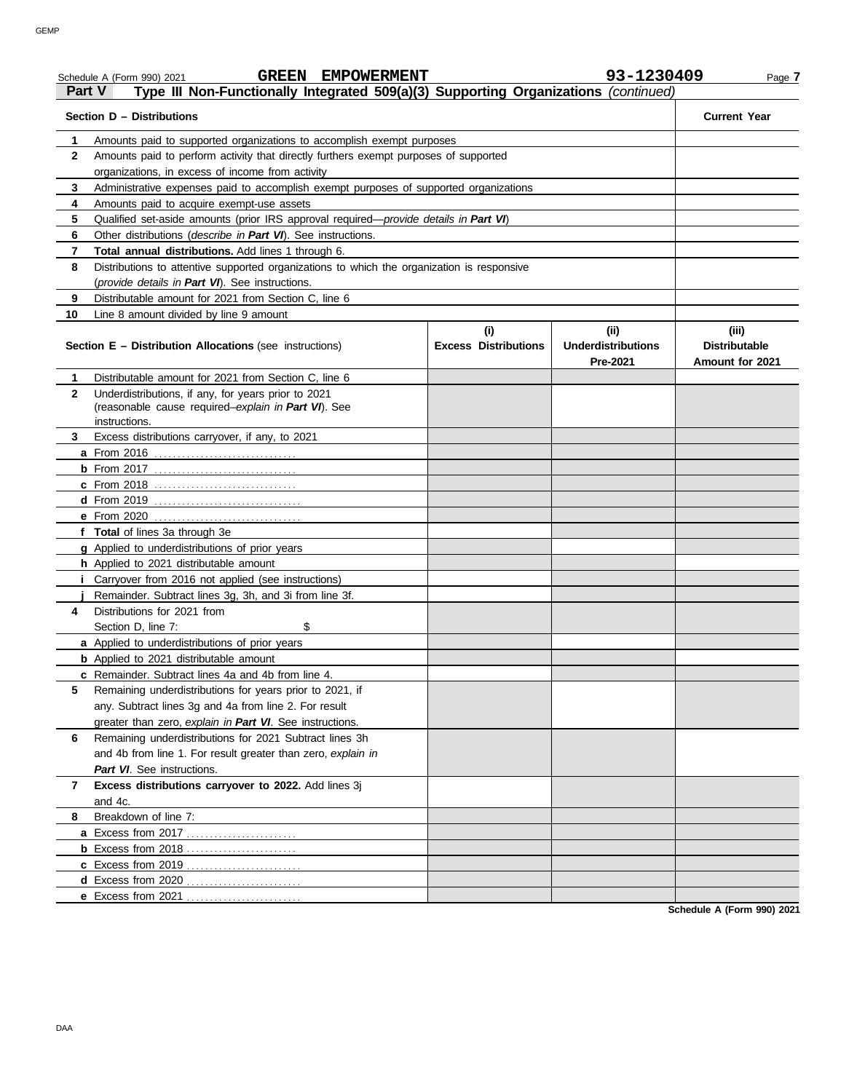| Part V       | <b>GREEN EMPOWERMENT</b><br>Schedule A (Form 990) 2021<br>Type III Non-Functionally Integrated 509(a)(3) Supporting Organizations (continued) |                                    | 93-1230409                                   | Page 7                                           |
|--------------|-----------------------------------------------------------------------------------------------------------------------------------------------|------------------------------------|----------------------------------------------|--------------------------------------------------|
|              | Section D - Distributions                                                                                                                     |                                    |                                              | <b>Current Year</b>                              |
| 1            | Amounts paid to supported organizations to accomplish exempt purposes                                                                         |                                    |                                              |                                                  |
| $\mathbf{2}$ | Amounts paid to perform activity that directly furthers exempt purposes of supported                                                          |                                    |                                              |                                                  |
|              | organizations, in excess of income from activity                                                                                              |                                    |                                              |                                                  |
| 3            | Administrative expenses paid to accomplish exempt purposes of supported organizations                                                         |                                    |                                              |                                                  |
| 4            | Amounts paid to acquire exempt-use assets                                                                                                     |                                    |                                              |                                                  |
| 5            | Qualified set-aside amounts (prior IRS approval required-provide details in Part VI)                                                          |                                    |                                              |                                                  |
| 6            | Other distributions (describe in Part VI). See instructions.                                                                                  |                                    |                                              |                                                  |
| 7            | <b>Total annual distributions.</b> Add lines 1 through 6.                                                                                     |                                    |                                              |                                                  |
| 8            | Distributions to attentive supported organizations to which the organization is responsive                                                    |                                    |                                              |                                                  |
|              | (provide details in Part VI). See instructions.                                                                                               |                                    |                                              |                                                  |
| 9            | Distributable amount for 2021 from Section C, line 6                                                                                          |                                    |                                              |                                                  |
| 10           | Line 8 amount divided by line 9 amount                                                                                                        |                                    |                                              |                                                  |
|              | Section E - Distribution Allocations (see instructions)                                                                                       | (i)<br><b>Excess Distributions</b> | (i)<br><b>Underdistributions</b><br>Pre-2021 | (iii)<br><b>Distributable</b><br>Amount for 2021 |
| 1.           | Distributable amount for 2021 from Section C, line 6                                                                                          |                                    |                                              |                                                  |
| $\mathbf{2}$ | Underdistributions, if any, for years prior to 2021<br>(reasonable cause required-explain in Part VI). See<br>instructions.                   |                                    |                                              |                                                  |
| 3            | Excess distributions carryover, if any, to 2021                                                                                               |                                    |                                              |                                                  |
|              |                                                                                                                                               |                                    |                                              |                                                  |
|              |                                                                                                                                               |                                    |                                              |                                                  |
|              | <b>c</b> From 2018                                                                                                                            |                                    |                                              |                                                  |
|              |                                                                                                                                               |                                    |                                              |                                                  |
|              | e From 2020                                                                                                                                   |                                    |                                              |                                                  |
|              | f Total of lines 3a through 3e                                                                                                                |                                    |                                              |                                                  |
|              | g Applied to underdistributions of prior years                                                                                                |                                    |                                              |                                                  |
|              | h Applied to 2021 distributable amount                                                                                                        |                                    |                                              |                                                  |
|              | <i>i</i> Carryover from 2016 not applied (see instructions)                                                                                   |                                    |                                              |                                                  |
|              | Remainder. Subtract lines 3g, 3h, and 3i from line 3f.                                                                                        |                                    |                                              |                                                  |
| 4            | Distributions for 2021 from                                                                                                                   |                                    |                                              |                                                  |
|              | Section D. line 7:<br>\$                                                                                                                      |                                    |                                              |                                                  |
|              | a Applied to underdistributions of prior years                                                                                                |                                    |                                              |                                                  |
|              | <b>b</b> Applied to 2021 distributable amount                                                                                                 |                                    |                                              |                                                  |
|              | <b>c</b> Remainder. Subtract lines 4a and 4b from line 4.                                                                                     |                                    |                                              |                                                  |
| 5            | Remaining underdistributions for years prior to 2021, if                                                                                      |                                    |                                              |                                                  |
|              | any. Subtract lines 3g and 4a from line 2. For result                                                                                         |                                    |                                              |                                                  |
|              | greater than zero, explain in Part VI. See instructions.                                                                                      |                                    |                                              |                                                  |
| 6            | Remaining underdistributions for 2021 Subtract lines 3h                                                                                       |                                    |                                              |                                                  |
|              | and 4b from line 1. For result greater than zero, explain in                                                                                  |                                    |                                              |                                                  |
|              | Part VI. See instructions.                                                                                                                    |                                    |                                              |                                                  |
| 7            | Excess distributions carryover to 2022. Add lines 3j                                                                                          |                                    |                                              |                                                  |
|              | and 4c.                                                                                                                                       |                                    |                                              |                                                  |
| 8            | Breakdown of line 7:                                                                                                                          |                                    |                                              |                                                  |
|              |                                                                                                                                               |                                    |                                              |                                                  |
|              | <b>b</b> Excess from 2018                                                                                                                     |                                    |                                              |                                                  |
|              |                                                                                                                                               |                                    |                                              |                                                  |
|              |                                                                                                                                               |                                    |                                              |                                                  |
|              | e Excess from 2021                                                                                                                            |                                    |                                              | Schedule A (Form 990) 2021                       |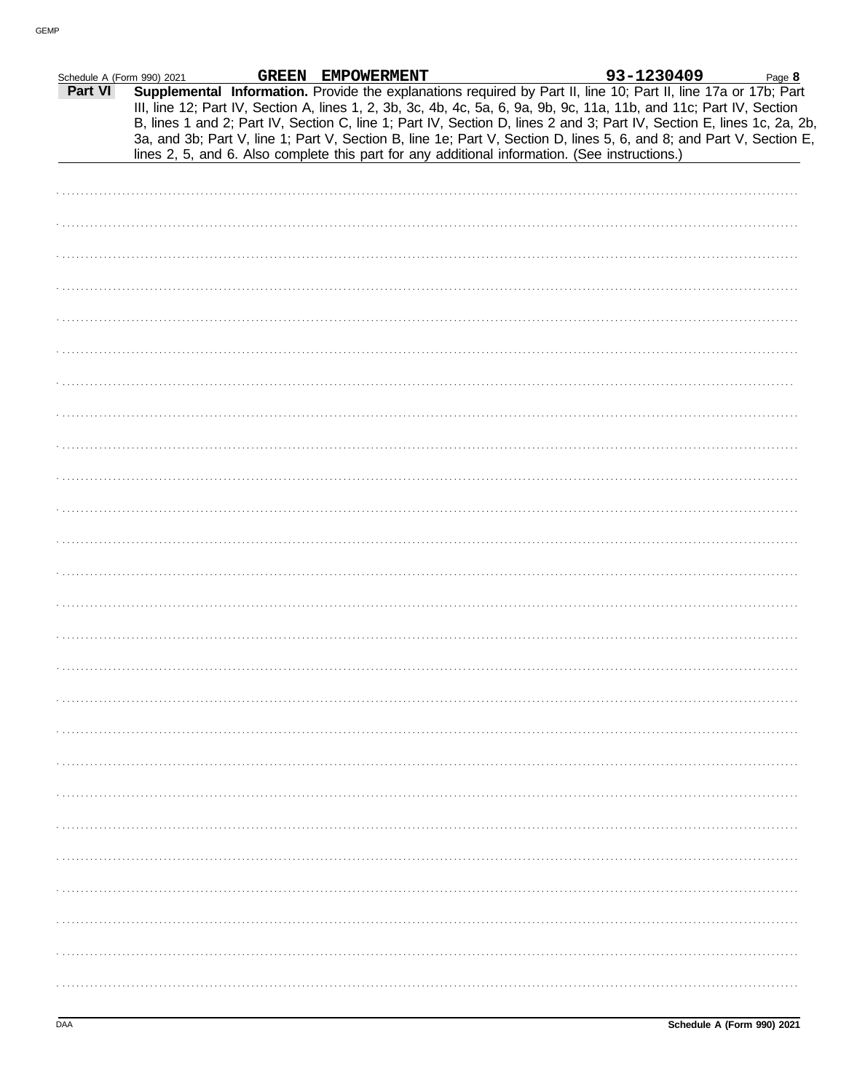| Schedule A (Form 990) 2021 | <b>GREEN EMPOWERMENT</b>                                                                                                                                                                                                                                                                                                                                                                                                                                                                                                                                                                    | 93-1230409<br>Page 8 |
|----------------------------|---------------------------------------------------------------------------------------------------------------------------------------------------------------------------------------------------------------------------------------------------------------------------------------------------------------------------------------------------------------------------------------------------------------------------------------------------------------------------------------------------------------------------------------------------------------------------------------------|----------------------|
| Part VI                    | Supplemental Information. Provide the explanations required by Part II, line 10; Part II, line 17a or 17b; Part<br>III, line 12; Part IV, Section A, lines 1, 2, 3b, 3c, 4b, 4c, 5a, 6, 9a, 9b, 9c, 11a, 11b, and 11c; Part IV, Section<br>B, lines 1 and 2; Part IV, Section C, line 1; Part IV, Section D, lines 2 and 3; Part IV, Section E, lines 1c, 2a, 2b,<br>3a, and 3b; Part V, line 1; Part V, Section B, line 1e; Part V, Section D, lines 5, 6, and 8; and Part V, Section E,<br>lines 2, 5, and 6. Also complete this part for any additional information. (See instructions.) |                      |
|                            |                                                                                                                                                                                                                                                                                                                                                                                                                                                                                                                                                                                             |                      |
|                            |                                                                                                                                                                                                                                                                                                                                                                                                                                                                                                                                                                                             |                      |
|                            |                                                                                                                                                                                                                                                                                                                                                                                                                                                                                                                                                                                             |                      |
|                            |                                                                                                                                                                                                                                                                                                                                                                                                                                                                                                                                                                                             |                      |
|                            |                                                                                                                                                                                                                                                                                                                                                                                                                                                                                                                                                                                             |                      |
|                            |                                                                                                                                                                                                                                                                                                                                                                                                                                                                                                                                                                                             |                      |
|                            |                                                                                                                                                                                                                                                                                                                                                                                                                                                                                                                                                                                             |                      |
|                            |                                                                                                                                                                                                                                                                                                                                                                                                                                                                                                                                                                                             |                      |
|                            |                                                                                                                                                                                                                                                                                                                                                                                                                                                                                                                                                                                             |                      |
|                            |                                                                                                                                                                                                                                                                                                                                                                                                                                                                                                                                                                                             |                      |
|                            |                                                                                                                                                                                                                                                                                                                                                                                                                                                                                                                                                                                             |                      |
|                            |                                                                                                                                                                                                                                                                                                                                                                                                                                                                                                                                                                                             |                      |
|                            |                                                                                                                                                                                                                                                                                                                                                                                                                                                                                                                                                                                             |                      |
|                            |                                                                                                                                                                                                                                                                                                                                                                                                                                                                                                                                                                                             |                      |
|                            |                                                                                                                                                                                                                                                                                                                                                                                                                                                                                                                                                                                             |                      |
|                            |                                                                                                                                                                                                                                                                                                                                                                                                                                                                                                                                                                                             |                      |
|                            |                                                                                                                                                                                                                                                                                                                                                                                                                                                                                                                                                                                             |                      |
|                            |                                                                                                                                                                                                                                                                                                                                                                                                                                                                                                                                                                                             |                      |
|                            |                                                                                                                                                                                                                                                                                                                                                                                                                                                                                                                                                                                             |                      |
|                            |                                                                                                                                                                                                                                                                                                                                                                                                                                                                                                                                                                                             |                      |
|                            |                                                                                                                                                                                                                                                                                                                                                                                                                                                                                                                                                                                             |                      |
|                            |                                                                                                                                                                                                                                                                                                                                                                                                                                                                                                                                                                                             |                      |
|                            |                                                                                                                                                                                                                                                                                                                                                                                                                                                                                                                                                                                             |                      |
|                            |                                                                                                                                                                                                                                                                                                                                                                                                                                                                                                                                                                                             |                      |
|                            |                                                                                                                                                                                                                                                                                                                                                                                                                                                                                                                                                                                             |                      |
|                            |                                                                                                                                                                                                                                                                                                                                                                                                                                                                                                                                                                                             |                      |
|                            |                                                                                                                                                                                                                                                                                                                                                                                                                                                                                                                                                                                             |                      |
|                            |                                                                                                                                                                                                                                                                                                                                                                                                                                                                                                                                                                                             |                      |
|                            |                                                                                                                                                                                                                                                                                                                                                                                                                                                                                                                                                                                             |                      |
|                            |                                                                                                                                                                                                                                                                                                                                                                                                                                                                                                                                                                                             |                      |
|                            |                                                                                                                                                                                                                                                                                                                                                                                                                                                                                                                                                                                             |                      |
|                            |                                                                                                                                                                                                                                                                                                                                                                                                                                                                                                                                                                                             |                      |
|                            |                                                                                                                                                                                                                                                                                                                                                                                                                                                                                                                                                                                             |                      |
|                            |                                                                                                                                                                                                                                                                                                                                                                                                                                                                                                                                                                                             |                      |
|                            |                                                                                                                                                                                                                                                                                                                                                                                                                                                                                                                                                                                             |                      |
|                            |                                                                                                                                                                                                                                                                                                                                                                                                                                                                                                                                                                                             |                      |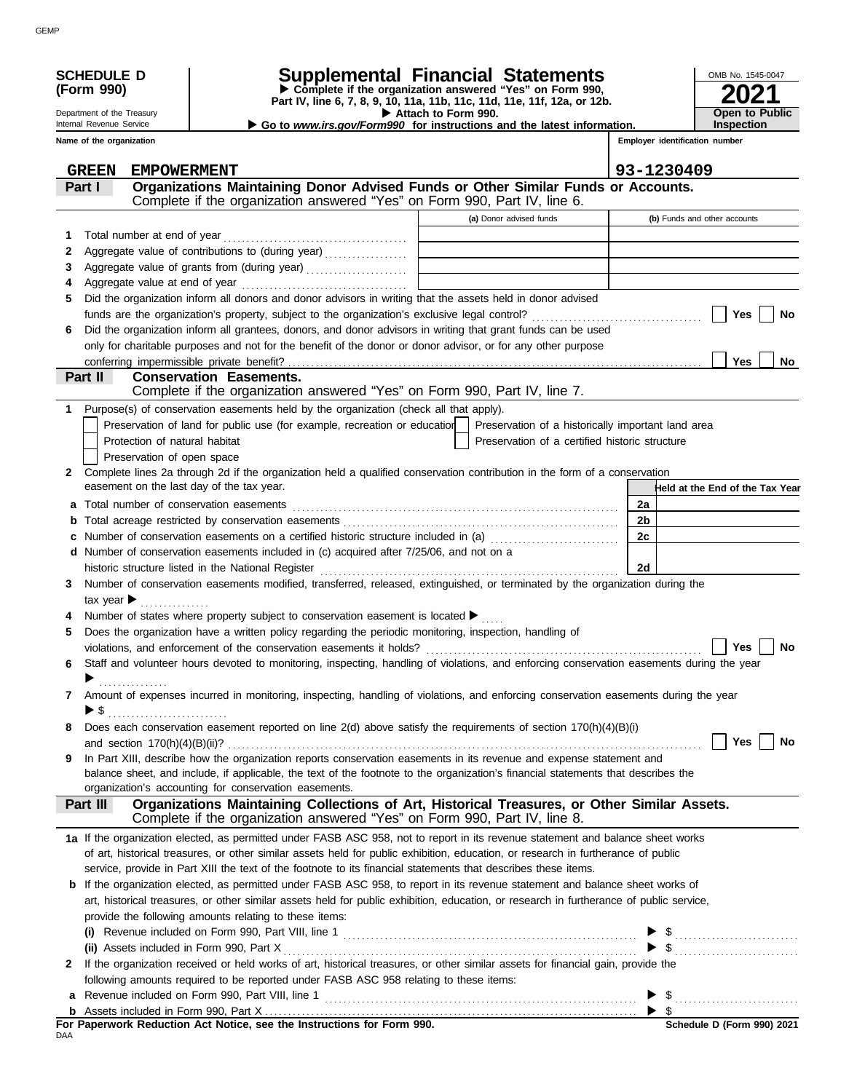|              | <b>SCHEDULE D</b>                         | Supplemental Financial Statements                                                                                                                              |                     |                                                             |                                | OMB No. 1545-0047               |
|--------------|-------------------------------------------|----------------------------------------------------------------------------------------------------------------------------------------------------------------|---------------------|-------------------------------------------------------------|--------------------------------|---------------------------------|
| (Form 990)   |                                           |                                                                                                                                                                |                     | Complete if the organization answered "Yes" on Form 990,    |                                |                                 |
|              | Department of the Treasury                | Part IV, line 6, 7, 8, 9, 10, 11a, 11b, 11c, 11d, 11e, 11f, 12a, or 12b.                                                                                       | Attach to Form 990. |                                                             |                                | <b>Open to Public</b>           |
|              | Internal Revenue Service                  | Go to www.irs.gov/Form990 for instructions and the latest information.                                                                                         |                     |                                                             |                                | Inspection                      |
|              | Name of the organization                  |                                                                                                                                                                |                     |                                                             | Employer identification number |                                 |
|              |                                           |                                                                                                                                                                |                     |                                                             |                                |                                 |
|              | <b>GREEN</b><br><b>EMPOWERMENT</b>        |                                                                                                                                                                |                     |                                                             | 93-1230409                     |                                 |
|              | Part I                                    | Organizations Maintaining Donor Advised Funds or Other Similar Funds or Accounts.<br>Complete if the organization answered "Yes" on Form 990, Part IV, line 6. |                     |                                                             |                                |                                 |
|              |                                           |                                                                                                                                                                |                     |                                                             |                                |                                 |
|              |                                           |                                                                                                                                                                |                     | (a) Donor advised funds                                     |                                | (b) Funds and other accounts    |
| 1            |                                           |                                                                                                                                                                |                     |                                                             |                                |                                 |
| 2<br>3       |                                           | Aggregate value of contributions to (during year)<br>Aggregate value of grants from (during year)                                                              |                     |                                                             |                                |                                 |
|              |                                           |                                                                                                                                                                |                     | the control of the control of the control of the control of |                                |                                 |
|              |                                           | Did the organization inform all donors and donor advisors in writing that the assets held in donor advised                                                     |                     |                                                             |                                |                                 |
|              |                                           |                                                                                                                                                                |                     |                                                             |                                | Yes<br>No                       |
| 6            |                                           | Did the organization inform all grantees, donors, and donor advisors in writing that grant funds can be used                                                   |                     |                                                             |                                |                                 |
|              |                                           | only for charitable purposes and not for the benefit of the donor or donor advisor, or for any other purpose                                                   |                     |                                                             |                                |                                 |
|              |                                           | conferring impermissible private benefit?                                                                                                                      |                     |                                                             |                                | Yes<br>No                       |
|              | Part II                                   | <b>Conservation Easements.</b>                                                                                                                                 |                     |                                                             |                                |                                 |
|              |                                           | Complete if the organization answered "Yes" on Form 990, Part IV, line 7.                                                                                      |                     |                                                             |                                |                                 |
|              |                                           | Purpose(s) of conservation easements held by the organization (check all that apply).                                                                          |                     |                                                             |                                |                                 |
|              |                                           | Preservation of land for public use (for example, recreation or education                                                                                      |                     | Preservation of a historically important land area          |                                |                                 |
|              | Protection of natural habitat             |                                                                                                                                                                |                     | Preservation of a certified historic structure              |                                |                                 |
|              | Preservation of open space                |                                                                                                                                                                |                     |                                                             |                                |                                 |
| 2            |                                           | Complete lines 2a through 2d if the organization held a qualified conservation contribution in the form of a conservation                                      |                     |                                                             |                                |                                 |
|              | easement on the last day of the tax year. |                                                                                                                                                                |                     |                                                             |                                | Held at the End of the Tax Year |
| а            | Total number of conservation easements    |                                                                                                                                                                |                     |                                                             | 2a                             |                                 |
|              |                                           |                                                                                                                                                                |                     |                                                             | 2 <sub>b</sub>                 |                                 |
|              |                                           | Number of conservation easements on a certified historic structure included in (a) [[[[[[[[[[[[[[[[[[[[[[[[[]]]]]]]                                            |                     |                                                             | 2c                             |                                 |
|              |                                           | d Number of conservation easements included in (c) acquired after 7/25/06, and not on a                                                                        |                     |                                                             |                                |                                 |
|              |                                           | historic structure listed in the National Register                                                                                                             |                     |                                                             | 2d                             |                                 |
| 3            |                                           | Number of conservation easements modified, transferred, released, extinguished, or terminated by the organization during the                                   |                     |                                                             |                                |                                 |
|              | tax year $\blacktriangleright$            |                                                                                                                                                                |                     |                                                             |                                |                                 |
|              |                                           | Number of states where property subject to conservation easement is located $\blacktriangleright$                                                              |                     |                                                             |                                |                                 |
|              |                                           | Does the organization have a written policy regarding the periodic monitoring, inspection, handling of                                                         |                     |                                                             |                                |                                 |
|              |                                           |                                                                                                                                                                |                     |                                                             |                                | <b>Yes</b><br>No                |
|              |                                           | Staff and volunteer hours devoted to monitoring, inspecting, handling of violations, and enforcing conservation easements during the year                      |                     |                                                             |                                |                                 |
|              |                                           |                                                                                                                                                                |                     |                                                             |                                |                                 |
| $\mathbf{7}$ |                                           | Amount of expenses incurred in monitoring, inspecting, handling of violations, and enforcing conservation easements during the year                            |                     |                                                             |                                |                                 |
|              | $\blacktriangleright$ \$                  |                                                                                                                                                                |                     |                                                             |                                |                                 |
| 8            |                                           | Does each conservation easement reported on line 2(d) above satisfy the requirements of section 170(h)(4)(B)(i)                                                |                     |                                                             |                                | Yes<br>No                       |
|              |                                           | In Part XIII, describe how the organization reports conservation easements in its revenue and expense statement and                                            |                     |                                                             |                                |                                 |
| 9            |                                           | balance sheet, and include, if applicable, the text of the footnote to the organization's financial statements that describes the                              |                     |                                                             |                                |                                 |
|              |                                           | organization's accounting for conservation easements.                                                                                                          |                     |                                                             |                                |                                 |
|              | Part III                                  | Organizations Maintaining Collections of Art, Historical Treasures, or Other Similar Assets.                                                                   |                     |                                                             |                                |                                 |
|              |                                           | Complete if the organization answered "Yes" on Form 990, Part IV, line 8.                                                                                      |                     |                                                             |                                |                                 |
|              |                                           | 1a If the organization elected, as permitted under FASB ASC 958, not to report in its revenue statement and balance sheet works                                |                     |                                                             |                                |                                 |
|              |                                           | of art, historical treasures, or other similar assets held for public exhibition, education, or research in furtherance of public                              |                     |                                                             |                                |                                 |
|              |                                           | service, provide in Part XIII the text of the footnote to its financial statements that describes these items.                                                 |                     |                                                             |                                |                                 |
| b            |                                           | If the organization elected, as permitted under FASB ASC 958, to report in its revenue statement and balance sheet works of                                    |                     |                                                             |                                |                                 |
|              |                                           | art, historical treasures, or other similar assets held for public exhibition, education, or research in furtherance of public service,                        |                     |                                                             |                                |                                 |
|              |                                           | provide the following amounts relating to these items:                                                                                                         |                     |                                                             |                                |                                 |
|              |                                           |                                                                                                                                                                |                     |                                                             |                                |                                 |
|              | (ii) Assets included in Form 990, Part X  |                                                                                                                                                                |                     |                                                             |                                |                                 |
| $\mathbf{2}$ |                                           | If the organization received or held works of art, historical treasures, or other similar assets for financial gain, provide the                               |                     |                                                             |                                |                                 |
|              |                                           | following amounts required to be reported under FASB ASC 958 relating to these items:                                                                          |                     |                                                             |                                |                                 |
| a            |                                           | Revenue included on Form 990, Part VIII, line 1                                                                                                                |                     |                                                             |                                |                                 |
| b            |                                           |                                                                                                                                                                |                     |                                                             |                                |                                 |
| DAA          |                                           | For Paperwork Reduction Act Notice, see the Instructions for Form 990.                                                                                         |                     |                                                             |                                | Schedule D (Form 990) 2021      |
|              |                                           |                                                                                                                                                                |                     |                                                             |                                |                                 |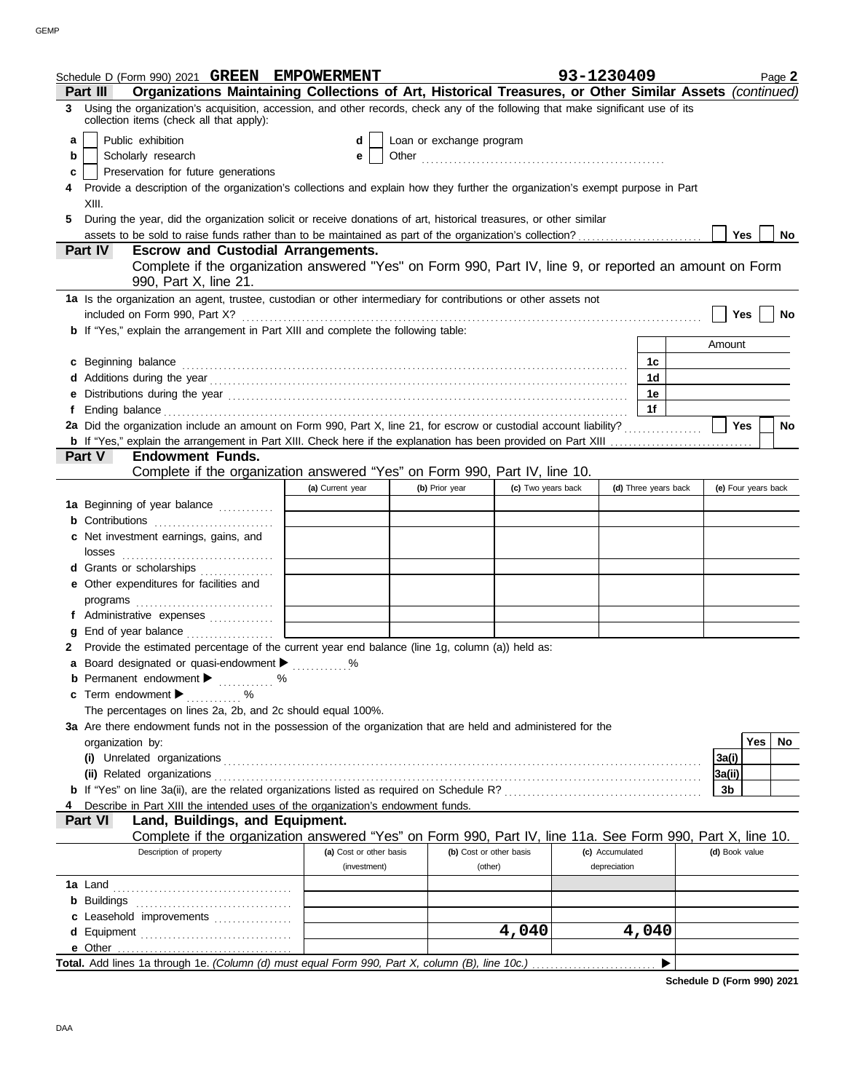|    | Schedule D (Form 990) 2021 GREEN EMPOWERMENT                                                                                                                                                                                   |                         |                          |                    | 93-1230409      |                      | Page 2              |
|----|--------------------------------------------------------------------------------------------------------------------------------------------------------------------------------------------------------------------------------|-------------------------|--------------------------|--------------------|-----------------|----------------------|---------------------|
|    | Organizations Maintaining Collections of Art, Historical Treasures, or Other Similar Assets (continued)<br><b>Part III</b>                                                                                                     |                         |                          |                    |                 |                      |                     |
|    | 3 Using the organization's acquisition, accession, and other records, check any of the following that make significant use of its<br>collection items (check all that apply):                                                  |                         |                          |                    |                 |                      |                     |
| a  | Public exhibition                                                                                                                                                                                                              | d                       | Loan or exchange program |                    |                 |                      |                     |
| b  | Scholarly research                                                                                                                                                                                                             | е                       |                          |                    |                 |                      |                     |
| c  | Preservation for future generations                                                                                                                                                                                            |                         |                          |                    |                 |                      |                     |
| 4  | Provide a description of the organization's collections and explain how they further the organization's exempt purpose in Part                                                                                                 |                         |                          |                    |                 |                      |                     |
|    | XIII.                                                                                                                                                                                                                          |                         |                          |                    |                 |                      |                     |
| 5. | During the year, did the organization solicit or receive donations of art, historical treasures, or other similar                                                                                                              |                         |                          |                    |                 |                      |                     |
|    |                                                                                                                                                                                                                                |                         |                          |                    |                 |                      | Yes<br>No           |
|    | Part IV<br><b>Escrow and Custodial Arrangements.</b>                                                                                                                                                                           |                         |                          |                    |                 |                      |                     |
|    | Complete if the organization answered "Yes" on Form 990, Part IV, line 9, or reported an amount on Form<br>990, Part X, line 21.                                                                                               |                         |                          |                    |                 |                      |                     |
|    | 1a Is the organization an agent, trustee, custodian or other intermediary for contributions or other assets not                                                                                                                |                         |                          |                    |                 |                      |                     |
|    | included on Form 990, Part X?                                                                                                                                                                                                  |                         |                          |                    |                 |                      | Yes<br>No           |
|    | <b>b</b> If "Yes," explain the arrangement in Part XIII and complete the following table:                                                                                                                                      |                         |                          |                    |                 |                      |                     |
|    |                                                                                                                                                                                                                                |                         |                          |                    |                 |                      | Amount              |
|    | c Beginning balance                                                                                                                                                                                                            |                         |                          |                    |                 | 1c                   |                     |
|    |                                                                                                                                                                                                                                |                         |                          |                    |                 | 1d                   |                     |
|    | e Distributions during the year manufactured contains and the year manufactured with the set of the set of the set of the set of the set of the set of the set of the set of the set of the set of the set of the set of the s |                         |                          |                    |                 | 1e                   |                     |
|    |                                                                                                                                                                                                                                |                         |                          |                    |                 | 1f                   |                     |
|    | 2a Did the organization include an amount on Form 990, Part X, line 21, for escrow or custodial account liability?                                                                                                             |                         |                          |                    |                 |                      | Yes<br><b>No</b>    |
|    |                                                                                                                                                                                                                                |                         |                          |                    |                 |                      |                     |
|    | <b>Part V</b><br><b>Endowment Funds.</b>                                                                                                                                                                                       |                         |                          |                    |                 |                      |                     |
|    | Complete if the organization answered "Yes" on Form 990, Part IV, line 10.                                                                                                                                                     |                         |                          |                    |                 | (d) Three years back | (e) Four years back |
|    |                                                                                                                                                                                                                                | (a) Current year        | (b) Prior year           | (c) Two years back |                 |                      |                     |
|    | 1a Beginning of year balance                                                                                                                                                                                                   |                         |                          |                    |                 |                      |                     |
|    | <b>b</b> Contributions <b>contributions</b>                                                                                                                                                                                    |                         |                          |                    |                 |                      |                     |
|    | c Net investment earnings, gains, and                                                                                                                                                                                          |                         |                          |                    |                 |                      |                     |
|    | d Grants or scholarships                                                                                                                                                                                                       |                         |                          |                    |                 |                      |                     |
|    | e Other expenditures for facilities and                                                                                                                                                                                        |                         |                          |                    |                 |                      |                     |
|    |                                                                                                                                                                                                                                |                         |                          |                    |                 |                      |                     |
|    | f Administrative expenses                                                                                                                                                                                                      |                         |                          |                    |                 |                      |                     |
|    |                                                                                                                                                                                                                                |                         |                          |                    |                 |                      |                     |
|    | 2 Provide the estimated percentage of the current year end balance (line 1g, column (a)) held as:                                                                                                                              |                         |                          |                    |                 |                      |                     |
|    | a Board designated or quasi-endowment >                                                                                                                                                                                        | ℅                       |                          |                    |                 |                      |                     |
|    | Permanent endowment ><br>$\sim$ %                                                                                                                                                                                              |                         |                          |                    |                 |                      |                     |
| c  | Term endowment ▶                                                                                                                                                                                                               |                         |                          |                    |                 |                      |                     |
|    | The percentages on lines 2a, 2b, and 2c should equal 100%.                                                                                                                                                                     |                         |                          |                    |                 |                      |                     |
|    | 3a Are there endowment funds not in the possession of the organization that are held and administered for the                                                                                                                  |                         |                          |                    |                 |                      |                     |
|    | organization by:                                                                                                                                                                                                               |                         |                          |                    |                 |                      | <b>Yes</b><br>No    |
|    |                                                                                                                                                                                                                                |                         |                          |                    |                 |                      | 3a(i)               |
|    |                                                                                                                                                                                                                                |                         |                          |                    |                 |                      | 3a(ii)              |
|    |                                                                                                                                                                                                                                |                         |                          |                    |                 |                      | 3b                  |
| 4  | Describe in Part XIII the intended uses of the organization's endowment funds.                                                                                                                                                 |                         |                          |                    |                 |                      |                     |
|    | <b>Part VI</b><br>Land, Buildings, and Equipment.                                                                                                                                                                              |                         |                          |                    |                 |                      |                     |
|    | Complete if the organization answered "Yes" on Form 990, Part IV, line 11a. See Form 990, Part X, line 10.                                                                                                                     |                         |                          |                    |                 |                      |                     |
|    | Description of property                                                                                                                                                                                                        | (a) Cost or other basis | (b) Cost or other basis  |                    | (c) Accumulated |                      | (d) Book value      |
|    |                                                                                                                                                                                                                                | (investment)            | (other)                  |                    | depreciation    |                      |                     |
|    |                                                                                                                                                                                                                                |                         |                          |                    |                 |                      |                     |
|    |                                                                                                                                                                                                                                |                         |                          |                    |                 |                      |                     |
|    | c Leasehold improvements                                                                                                                                                                                                       |                         |                          |                    |                 |                      |                     |
|    |                                                                                                                                                                                                                                |                         |                          | 4,040              |                 | 4,040                |                     |
|    |                                                                                                                                                                                                                                |                         |                          |                    |                 | ▶                    |                     |
|    |                                                                                                                                                                                                                                |                         |                          |                    |                 |                      |                     |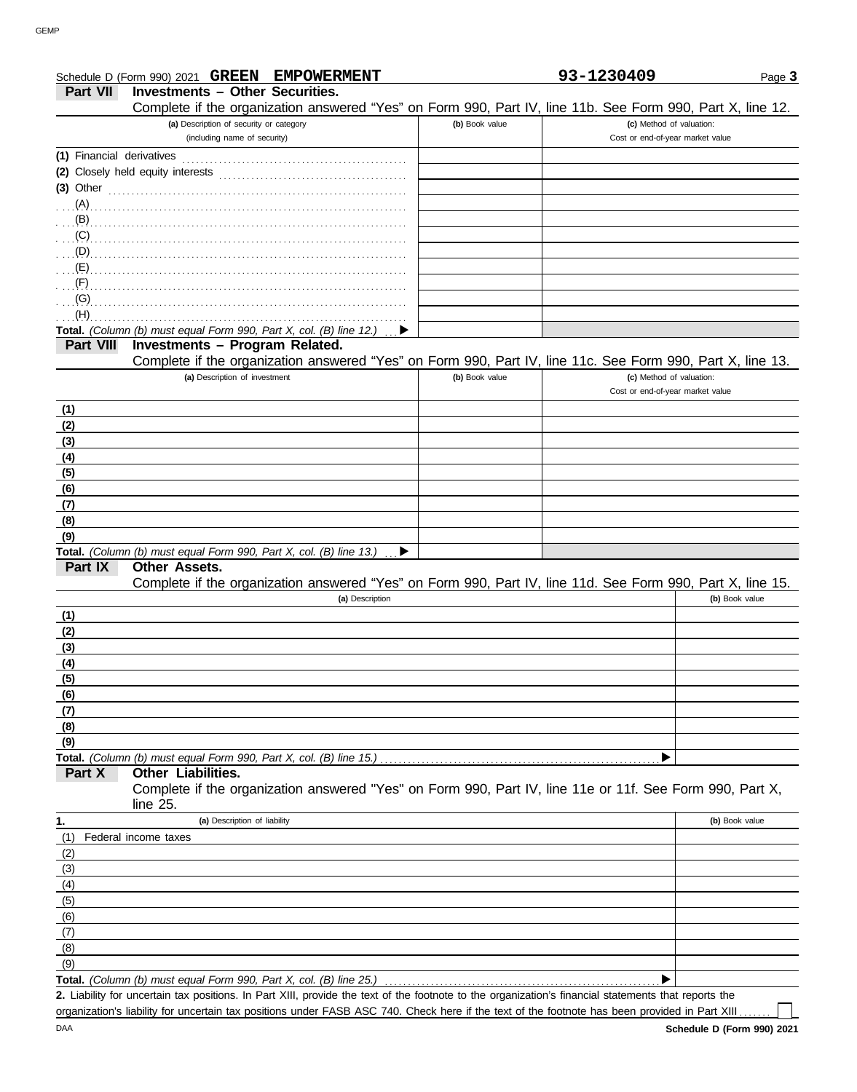|                           | Schedule D (Form 990) 2021 GREEN EMPOWERMENT                                                                                                                                                                                        |                | 93-1230409                       | Page 3         |
|---------------------------|-------------------------------------------------------------------------------------------------------------------------------------------------------------------------------------------------------------------------------------|----------------|----------------------------------|----------------|
| Part VII                  | <b>Investments - Other Securities.</b>                                                                                                                                                                                              |                |                                  |                |
|                           | Complete if the organization answered "Yes" on Form 990, Part IV, line 11b. See Form 990, Part X, line 12.                                                                                                                          |                |                                  |                |
|                           | (a) Description of security or category                                                                                                                                                                                             | (b) Book value | (c) Method of valuation:         |                |
|                           | (including name of security)                                                                                                                                                                                                        |                | Cost or end-of-year market value |                |
| (1) Financial derivatives |                                                                                                                                                                                                                                     |                |                                  |                |
|                           |                                                                                                                                                                                                                                     |                |                                  |                |
|                           | (3) Other $\ldots$ $\ldots$ $\ldots$ $\ldots$ $\ldots$ $\ldots$ $\ldots$ $\ldots$ $\ldots$ $\ldots$ $\ldots$                                                                                                                        |                |                                  |                |
|                           |                                                                                                                                                                                                                                     |                |                                  |                |
|                           |                                                                                                                                                                                                                                     |                |                                  |                |
|                           | $\overline{C}$ (C) and the contract of the contract of the contract of the contract of the contract of the contract of the contract of the contract of the contract of the contract of the contract of the contract of the contract |                |                                  |                |
|                           |                                                                                                                                                                                                                                     |                |                                  |                |
|                           |                                                                                                                                                                                                                                     |                |                                  |                |
|                           |                                                                                                                                                                                                                                     |                |                                  |                |
| (G)<br>(H)                |                                                                                                                                                                                                                                     |                |                                  |                |
|                           | Total. (Column (b) must equal Form 990, Part X, col. (B) line 12.)                                                                                                                                                                  |                |                                  |                |
| <b>Part VIII</b>          | Investments - Program Related.                                                                                                                                                                                                      |                |                                  |                |
|                           | Complete if the organization answered "Yes" on Form 990, Part IV, line 11c. See Form 990, Part X, line 13.                                                                                                                          |                |                                  |                |
|                           | (a) Description of investment                                                                                                                                                                                                       | (b) Book value | (c) Method of valuation:         |                |
|                           |                                                                                                                                                                                                                                     |                | Cost or end-of-year market value |                |
| (1)                       |                                                                                                                                                                                                                                     |                |                                  |                |
| (2)                       |                                                                                                                                                                                                                                     |                |                                  |                |
| (3)                       |                                                                                                                                                                                                                                     |                |                                  |                |
| (4)                       |                                                                                                                                                                                                                                     |                |                                  |                |
| (5)                       |                                                                                                                                                                                                                                     |                |                                  |                |
| (6)                       |                                                                                                                                                                                                                                     |                |                                  |                |
| (7)                       |                                                                                                                                                                                                                                     |                |                                  |                |
| (8)                       |                                                                                                                                                                                                                                     |                |                                  |                |
| (9)                       |                                                                                                                                                                                                                                     |                |                                  |                |
|                           | Total. (Column (b) must equal Form 990, Part X, col. (B) line 13.)<br>▶                                                                                                                                                             |                |                                  |                |
| Part IX                   | Other Assets.                                                                                                                                                                                                                       |                |                                  |                |
|                           | Complete if the organization answered "Yes" on Form 990, Part IV, line 11d. See Form 990, Part X, line 15.                                                                                                                          |                |                                  |                |
|                           | (a) Description                                                                                                                                                                                                                     |                |                                  | (b) Book value |
| (1)                       |                                                                                                                                                                                                                                     |                |                                  |                |
| (2)                       |                                                                                                                                                                                                                                     |                |                                  |                |
| (3)                       |                                                                                                                                                                                                                                     |                |                                  |                |
| (4)                       |                                                                                                                                                                                                                                     |                |                                  |                |
| (5)                       |                                                                                                                                                                                                                                     |                |                                  |                |
| (6)                       |                                                                                                                                                                                                                                     |                |                                  |                |
| (7)                       |                                                                                                                                                                                                                                     |                |                                  |                |
| (8)<br>(9)                |                                                                                                                                                                                                                                     |                |                                  |                |
|                           | Total. (Column (b) must equal Form 990, Part X, col. (B) line 15.)                                                                                                                                                                  |                |                                  |                |
| Part X                    | Other Liabilities.                                                                                                                                                                                                                  |                |                                  |                |
|                           | Complete if the organization answered "Yes" on Form 990, Part IV, line 11e or 11f. See Form 990, Part X,                                                                                                                            |                |                                  |                |
|                           | line 25.                                                                                                                                                                                                                            |                |                                  |                |
| 1.                        | (a) Description of liability                                                                                                                                                                                                        |                |                                  | (b) Book value |
| (1)                       | Federal income taxes                                                                                                                                                                                                                |                |                                  |                |
| (2)                       |                                                                                                                                                                                                                                     |                |                                  |                |
| (3)                       |                                                                                                                                                                                                                                     |                |                                  |                |
| (4)                       |                                                                                                                                                                                                                                     |                |                                  |                |
| (5)                       |                                                                                                                                                                                                                                     |                |                                  |                |
| (6)                       |                                                                                                                                                                                                                                     |                |                                  |                |
| (7)                       |                                                                                                                                                                                                                                     |                |                                  |                |
| (8)                       |                                                                                                                                                                                                                                     |                |                                  |                |
| (9)                       |                                                                                                                                                                                                                                     |                |                                  |                |
|                           | Total. (Column (b) must equal Form 990, Part X, col. (B) line 25.)                                                                                                                                                                  |                |                                  |                |
|                           | 2. Liability for uncertain tax positions. In Part XIII, provide the text of the footnote to the organization's financial statements that reports the                                                                                |                |                                  |                |
|                           | organization's liability for uncertain tax positions under FASB ASC 740. Check here if the text of the footnote has been provided in Part XIII                                                                                      |                |                                  |                |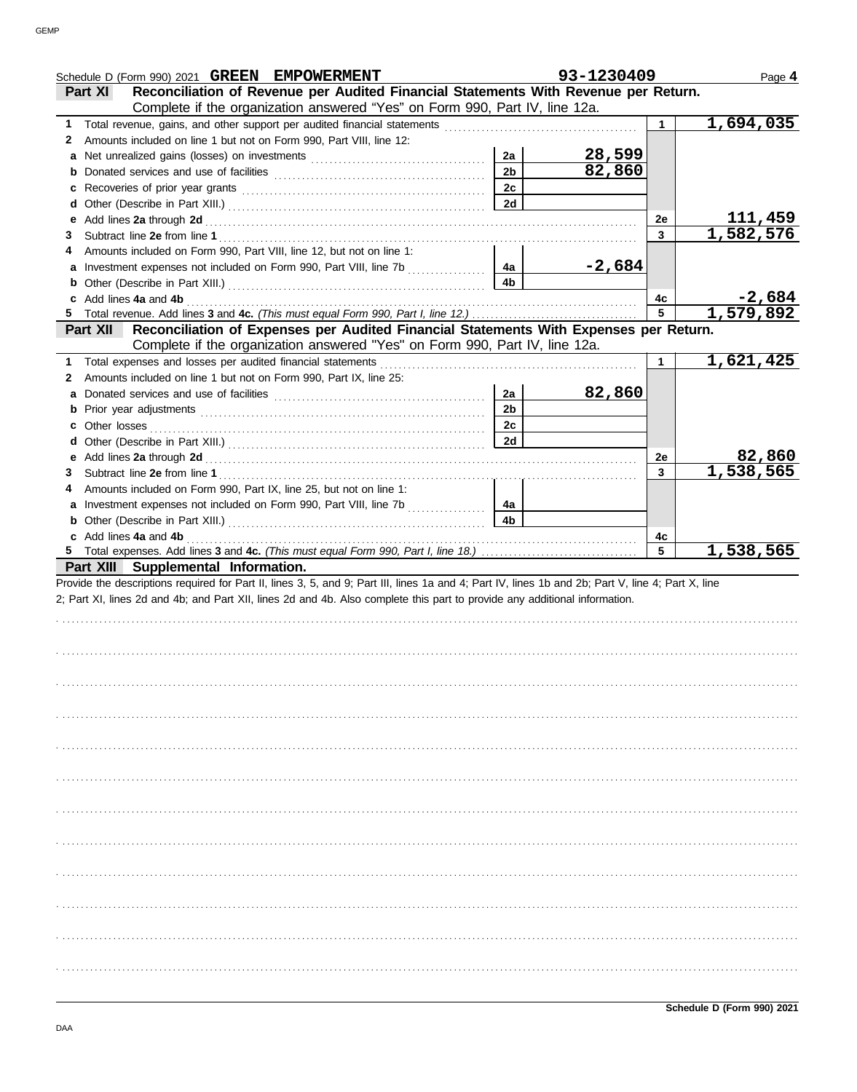|              | Schedule D (Form 990) 2021 GREEN EMPOWERMENT                                                                                                                                                                    |                | 93-1230409 |    | Page 4                       |
|--------------|-----------------------------------------------------------------------------------------------------------------------------------------------------------------------------------------------------------------|----------------|------------|----|------------------------------|
|              | Reconciliation of Revenue per Audited Financial Statements With Revenue per Return.<br>Part XI                                                                                                                  |                |            |    |                              |
|              | Complete if the organization answered "Yes" on Form 990, Part IV, line 12a.                                                                                                                                     |                |            |    |                              |
| 1.           |                                                                                                                                                                                                                 |                |            | 1  | $\overline{1,694,035}$       |
| 2            | Amounts included on line 1 but not on Form 990, Part VIII, line 12:                                                                                                                                             |                |            |    |                              |
|              |                                                                                                                                                                                                                 | 2a             | 28,599     |    |                              |
| b            |                                                                                                                                                                                                                 | 2 <sub>b</sub> | 82,860     |    |                              |
| c            |                                                                                                                                                                                                                 | 2c             |            |    |                              |
| d            |                                                                                                                                                                                                                 | 2d             |            |    |                              |
|              |                                                                                                                                                                                                                 |                |            | 2e | <u>111,459</u>               |
| 3            |                                                                                                                                                                                                                 |                |            | 3  | 1,582,576                    |
| 4            | Amounts included on Form 990, Part VIII, line 12, but not on line 1:                                                                                                                                            |                |            |    |                              |
|              | a Investment expenses not included on Form 990, Part VIII, line 7b                                                                                                                                              | 4a             | $-2,684$   |    |                              |
| b            |                                                                                                                                                                                                                 | 4 <sub>b</sub> |            |    |                              |
| C            | Add lines 4a and 4b                                                                                                                                                                                             |                |            | 4с | <u>2,684 - </u><br>1,579,892 |
| 5            |                                                                                                                                                                                                                 |                |            | 5  |                              |
|              | Reconciliation of Expenses per Audited Financial Statements With Expenses per Return.<br><b>Part XII</b>                                                                                                        |                |            |    |                              |
|              | Complete if the organization answered "Yes" on Form 990, Part IV, line 12a.                                                                                                                                     |                |            |    |                              |
| 1.           | Total expenses and losses per audited financial statements                                                                                                                                                      |                |            | 1  | 1,621,425                    |
| $\mathbf{2}$ | Amounts included on line 1 but not on Form 990, Part IX, line 25:                                                                                                                                               |                |            |    |                              |
|              |                                                                                                                                                                                                                 | 2a             | 82,860     |    |                              |
|              |                                                                                                                                                                                                                 | 2 <sub>b</sub> |            |    |                              |
| c            |                                                                                                                                                                                                                 | 2c             |            |    |                              |
| d            |                                                                                                                                                                                                                 | 2d             |            |    |                              |
|              |                                                                                                                                                                                                                 |                |            | 2e | <u>82,860</u>                |
| 3            |                                                                                                                                                                                                                 |                |            | 3  | 1,538,565                    |
| 4            | Amounts included on Form 990, Part IX, line 25, but not on line 1:                                                                                                                                              |                |            |    |                              |
|              | a Investment expenses not included on Form 990, Part VIII, line 7b                                                                                                                                              | 4a             |            |    |                              |
|              | <b>b</b> Other (Describe in Part XIII.) <b>CONSIDENT DESCRIPTION DESCRIPTION DESCRIPTION DESCRIPTION DESCRIPTION DESCRIPTION DESCRIPTION DESCRIPTION DESCRIPTION DESCRIPTION DESCRIPTION DESCRIPTION DESCRI</b> | 4 <sub>b</sub> |            |    |                              |
|              | c Add lines 4a and 4b                                                                                                                                                                                           |                |            | 4c |                              |
|              |                                                                                                                                                                                                                 |                |            | 5  | 1,538,565                    |
|              | Part XIII Supplemental Information.                                                                                                                                                                             |                |            |    |                              |
|              | Provide the descriptions required for Part II, lines 3, 5, and 9; Part III, lines 1a and 4; Part IV, lines 1b and 2b; Part V, line 4; Part X, line                                                              |                |            |    |                              |
|              | 2; Part XI, lines 2d and 4b; and Part XII, lines 2d and 4b. Also complete this part to provide any additional information.                                                                                      |                |            |    |                              |
|              |                                                                                                                                                                                                                 |                |            |    |                              |
|              |                                                                                                                                                                                                                 |                |            |    |                              |
|              |                                                                                                                                                                                                                 |                |            |    |                              |
|              |                                                                                                                                                                                                                 |                |            |    |                              |
|              |                                                                                                                                                                                                                 |                |            |    |                              |
|              |                                                                                                                                                                                                                 |                |            |    |                              |
|              |                                                                                                                                                                                                                 |                |            |    |                              |
|              |                                                                                                                                                                                                                 |                |            |    |                              |
|              |                                                                                                                                                                                                                 |                |            |    |                              |
|              |                                                                                                                                                                                                                 |                |            |    |                              |
|              |                                                                                                                                                                                                                 |                |            |    |                              |
|              |                                                                                                                                                                                                                 |                |            |    |                              |
|              |                                                                                                                                                                                                                 |                |            |    |                              |
|              |                                                                                                                                                                                                                 |                |            |    |                              |
|              |                                                                                                                                                                                                                 |                |            |    |                              |
|              |                                                                                                                                                                                                                 |                |            |    |                              |
|              |                                                                                                                                                                                                                 |                |            |    |                              |
|              |                                                                                                                                                                                                                 |                |            |    |                              |
|              |                                                                                                                                                                                                                 |                |            |    |                              |
|              |                                                                                                                                                                                                                 |                |            |    |                              |
|              |                                                                                                                                                                                                                 |                |            |    |                              |
|              |                                                                                                                                                                                                                 |                |            |    |                              |
|              |                                                                                                                                                                                                                 |                |            |    |                              |
|              |                                                                                                                                                                                                                 |                |            |    |                              |
|              |                                                                                                                                                                                                                 |                |            |    |                              |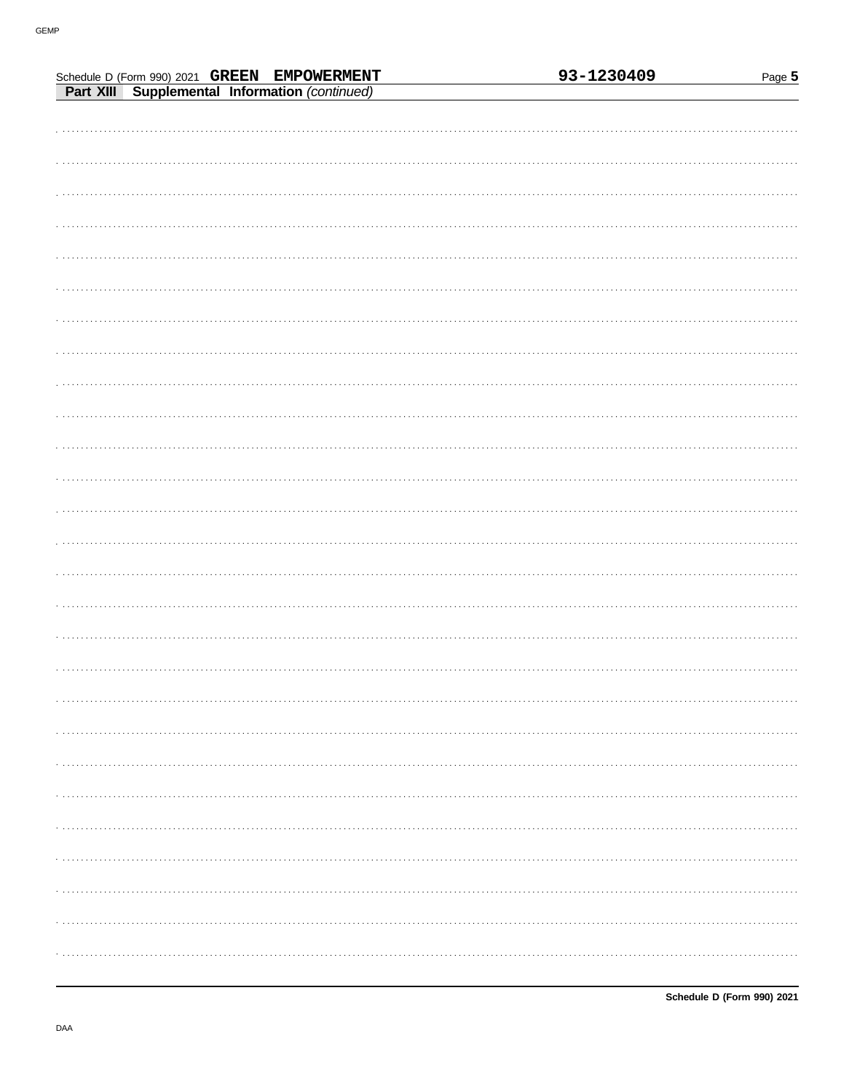| Schedule D (Form 990) 2021 GREEN EMPOWERMENT<br>Part XIII Supplemental Information (continued) | 93-1230409 | Page 5 |
|------------------------------------------------------------------------------------------------|------------|--------|
|                                                                                                |            |        |
|                                                                                                |            |        |
|                                                                                                |            |        |
|                                                                                                |            |        |
|                                                                                                |            |        |
|                                                                                                |            |        |
|                                                                                                |            |        |
|                                                                                                |            |        |
|                                                                                                |            |        |
|                                                                                                |            |        |
|                                                                                                |            |        |
|                                                                                                |            |        |
|                                                                                                |            |        |
|                                                                                                |            |        |
|                                                                                                |            |        |
|                                                                                                |            |        |
|                                                                                                |            |        |
|                                                                                                |            |        |
|                                                                                                |            |        |
|                                                                                                |            |        |
|                                                                                                |            |        |
|                                                                                                |            |        |
|                                                                                                |            |        |
|                                                                                                |            |        |
|                                                                                                |            |        |
|                                                                                                |            |        |
|                                                                                                |            |        |
|                                                                                                |            |        |
|                                                                                                |            |        |
|                                                                                                |            |        |
|                                                                                                |            |        |
|                                                                                                |            |        |
|                                                                                                |            |        |
|                                                                                                |            |        |
|                                                                                                |            |        |
|                                                                                                |            |        |
|                                                                                                |            |        |
|                                                                                                |            |        |
|                                                                                                |            |        |
|                                                                                                |            |        |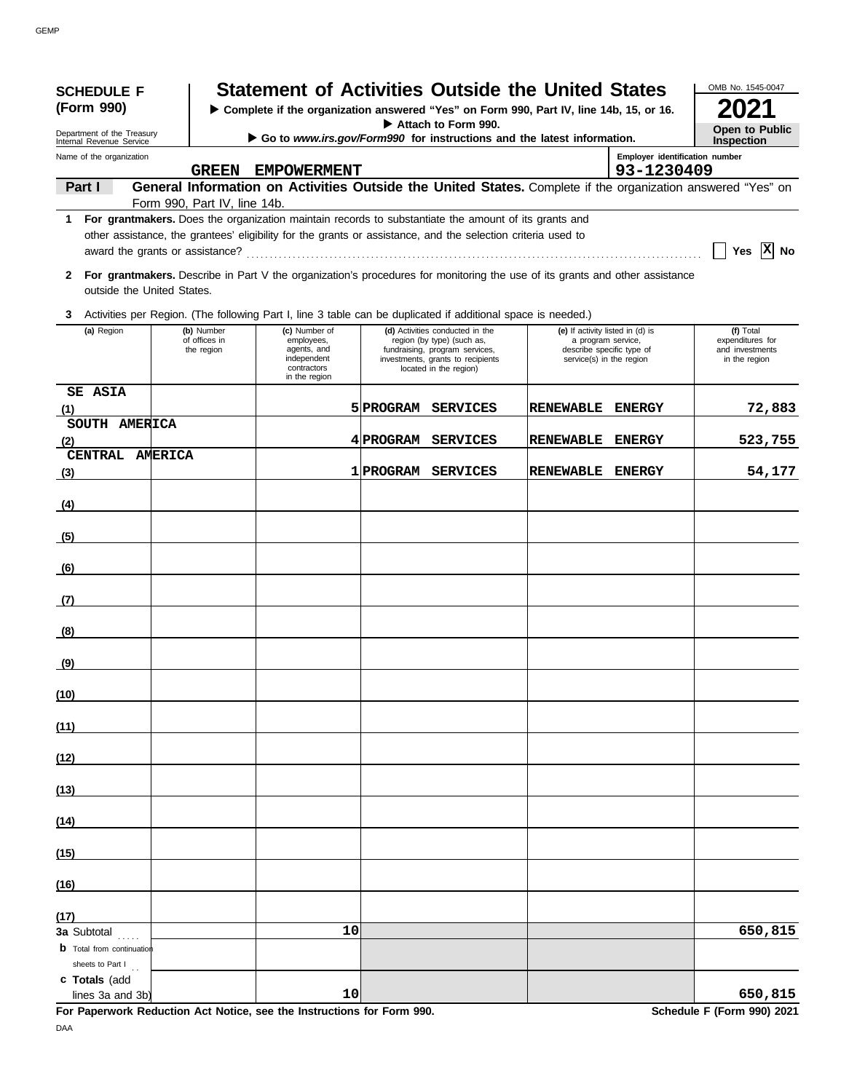| <b>SCHEDULE F</b><br>(Form 990)                        |                                           | <b>Statement of Activities Outside the United States</b><br>Complete if the organization answered "Yes" on Form 990, Part IV, line 14b, 15, or 16.                                                                   |                                                                                                                                                                |                                                                                                                 |                                | OMB No. 1545-0047                                                 |
|--------------------------------------------------------|-------------------------------------------|----------------------------------------------------------------------------------------------------------------------------------------------------------------------------------------------------------------------|----------------------------------------------------------------------------------------------------------------------------------------------------------------|-----------------------------------------------------------------------------------------------------------------|--------------------------------|-------------------------------------------------------------------|
| Department of the Treasury<br>Internal Revenue Service |                                           | Go to www.irs.gov/Form990 for instructions and the latest information.                                                                                                                                               | Attach to Form 990.                                                                                                                                            |                                                                                                                 |                                | <b>Open to Public</b><br><b>Inspection</b>                        |
| Name of the organization                               |                                           |                                                                                                                                                                                                                      |                                                                                                                                                                |                                                                                                                 | Employer identification number |                                                                   |
| Part I                                                 |                                           | <b>GREEN EMPOWERMENT</b><br>General Information on Activities Outside the United States. Complete if the organization answered "Yes" on                                                                              |                                                                                                                                                                |                                                                                                                 | 93-1230409                     |                                                                   |
|                                                        | Form 990, Part IV, line 14b.              |                                                                                                                                                                                                                      |                                                                                                                                                                |                                                                                                                 |                                |                                                                   |
| 1.                                                     |                                           | For grantmakers. Does the organization maintain records to substantiate the amount of its grants and<br>other assistance, the grantees' eligibility for the grants or assistance, and the selection criteria used to |                                                                                                                                                                |                                                                                                                 |                                | $\Box$ Yes $\overline{X}$ No                                      |
| $\mathbf{2}$<br>outside the United States.             |                                           | For grantmakers. Describe in Part V the organization's procedures for monitoring the use of its grants and other assistance                                                                                          |                                                                                                                                                                |                                                                                                                 |                                |                                                                   |
| 3                                                      |                                           | Activities per Region. (The following Part I, line 3 table can be duplicated if additional space is needed.)                                                                                                         |                                                                                                                                                                |                                                                                                                 |                                |                                                                   |
| (a) Region                                             | (b) Number<br>of offices in<br>the region | (c) Number of<br>employees,<br>agents, and<br>independent<br>contractors<br>in the region                                                                                                                            | (d) Activities conducted in the<br>region (by type) (such as,<br>fundraising, program services,<br>investments, grants to recipients<br>located in the region) | (e) If activity listed in (d) is<br>a program service,<br>describe specific type of<br>service(s) in the region |                                | (f) Total<br>expenditures for<br>and investments<br>in the region |
| <b>SE ASIA</b><br>(1)                                  |                                           |                                                                                                                                                                                                                      | 5 PROGRAM SERVICES                                                                                                                                             | <b>RENEWABLE</b>                                                                                                | <b>ENERGY</b>                  | 72,883                                                            |
| SOUTH AMERICA                                          |                                           |                                                                                                                                                                                                                      |                                                                                                                                                                |                                                                                                                 |                                |                                                                   |
| (2)<br>CENTRAL AMERICA                                 |                                           |                                                                                                                                                                                                                      | 4 PROGRAM SERVICES                                                                                                                                             | <b>RENEWABLE</b>                                                                                                | <b>ENERGY</b>                  | 523,755                                                           |
| (3)                                                    |                                           |                                                                                                                                                                                                                      | 1 PROGRAM SERVICES                                                                                                                                             | <b>RENEWABLE</b>                                                                                                | <b>ENERGY</b>                  | 54,177                                                            |
| (4)                                                    |                                           |                                                                                                                                                                                                                      |                                                                                                                                                                |                                                                                                                 |                                |                                                                   |
| (5)<br>the control of the control of the               |                                           |                                                                                                                                                                                                                      |                                                                                                                                                                |                                                                                                                 |                                |                                                                   |
| (6)                                                    |                                           |                                                                                                                                                                                                                      |                                                                                                                                                                |                                                                                                                 |                                |                                                                   |
| (7)<br>the control of the control of the control of    |                                           |                                                                                                                                                                                                                      |                                                                                                                                                                |                                                                                                                 |                                |                                                                   |
| (8)                                                    |                                           |                                                                                                                                                                                                                      |                                                                                                                                                                |                                                                                                                 |                                |                                                                   |
| <u>(9)</u>                                             |                                           |                                                                                                                                                                                                                      |                                                                                                                                                                |                                                                                                                 |                                |                                                                   |
| (10)                                                   |                                           |                                                                                                                                                                                                                      |                                                                                                                                                                |                                                                                                                 |                                |                                                                   |
| (11)                                                   |                                           |                                                                                                                                                                                                                      |                                                                                                                                                                |                                                                                                                 |                                |                                                                   |
| (12)                                                   |                                           |                                                                                                                                                                                                                      |                                                                                                                                                                |                                                                                                                 |                                |                                                                   |
| (13)                                                   |                                           |                                                                                                                                                                                                                      |                                                                                                                                                                |                                                                                                                 |                                |                                                                   |
| (14)                                                   |                                           |                                                                                                                                                                                                                      |                                                                                                                                                                |                                                                                                                 |                                |                                                                   |
| (15)                                                   |                                           |                                                                                                                                                                                                                      |                                                                                                                                                                |                                                                                                                 |                                |                                                                   |
| (16)                                                   |                                           |                                                                                                                                                                                                                      |                                                                                                                                                                |                                                                                                                 |                                |                                                                   |
| (17)                                                   |                                           |                                                                                                                                                                                                                      |                                                                                                                                                                |                                                                                                                 |                                |                                                                   |
| 3a Subtotal                                            |                                           | 10                                                                                                                                                                                                                   |                                                                                                                                                                |                                                                                                                 |                                | 650,815                                                           |
| <b>b</b> Total from continuation<br>sheets to Part I   |                                           |                                                                                                                                                                                                                      |                                                                                                                                                                |                                                                                                                 |                                |                                                                   |
| c Totals (add<br>lines 3a and 3b)                      |                                           | 10                                                                                                                                                                                                                   |                                                                                                                                                                |                                                                                                                 |                                | 650,815                                                           |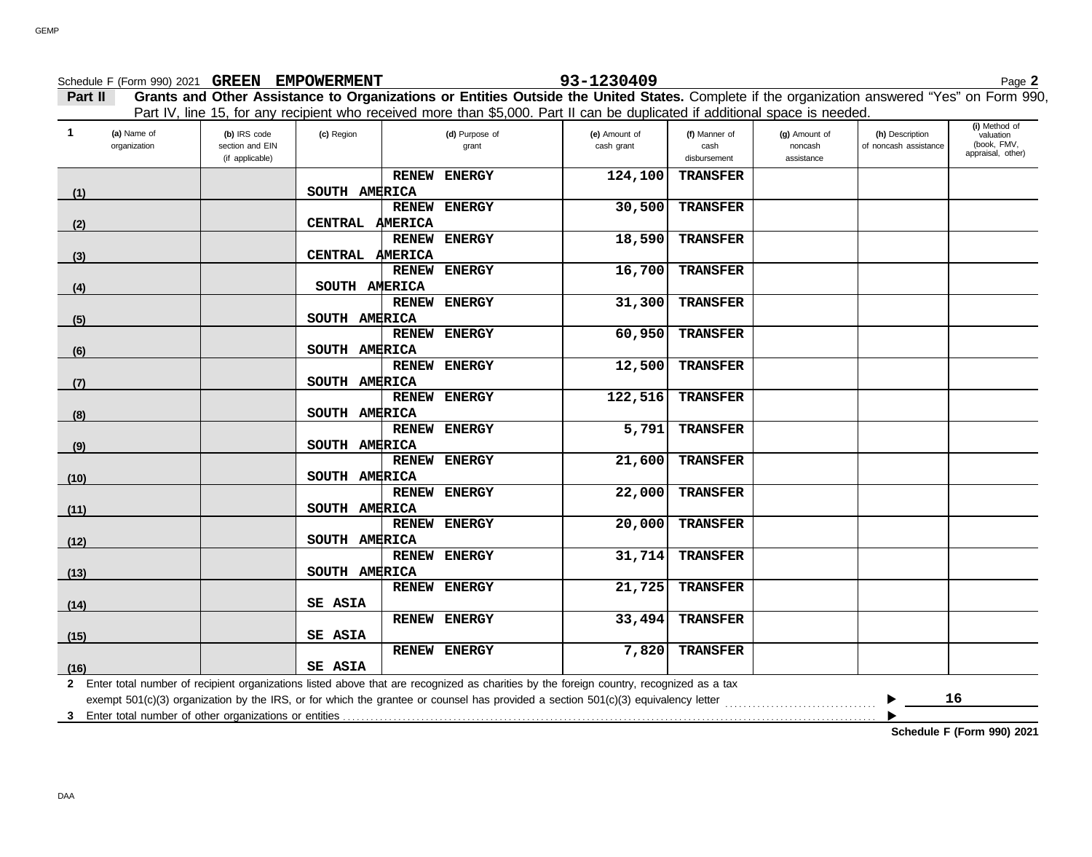| Part II      |                             |                                                         |                 | Grants and Other Assistance to Organizations or Entities Outside the United States. Complete if the organization answered "Yes" on Form 990, |                             |                                       |                                        |                                          |                                               |
|--------------|-----------------------------|---------------------------------------------------------|-----------------|----------------------------------------------------------------------------------------------------------------------------------------------|-----------------------------|---------------------------------------|----------------------------------------|------------------------------------------|-----------------------------------------------|
|              |                             |                                                         |                 | Part IV, line 15, for any recipient who received more than \$5,000. Part II can be duplicated if additional space is needed.                 |                             |                                       |                                        |                                          | (i) Method of                                 |
| $\mathbf{1}$ | (a) Name of<br>organization | (b) IRS code<br>section and EIN<br>(if applicable)      | (c) Region      | (d) Purpose of<br>grant                                                                                                                      | (e) Amount of<br>cash grant | (f) Manner of<br>cash<br>disbursement | (g) Amount of<br>noncash<br>assistance | (h) Description<br>of noncash assistance | valuation<br>(book, FMV,<br>appraisal, other) |
|              |                             |                                                         |                 | <b>RENEW ENERGY</b>                                                                                                                          | 124,100                     | <b>TRANSFER</b>                       |                                        |                                          |                                               |
| (1)          |                             |                                                         | SOUTH AMERICA   |                                                                                                                                              |                             |                                       |                                        |                                          |                                               |
|              |                             |                                                         |                 | <b>RENEW ENERGY</b>                                                                                                                          | 30,500                      | <b>TRANSFER</b>                       |                                        |                                          |                                               |
| (2)          |                             |                                                         | CENTRAL AMERICA |                                                                                                                                              |                             |                                       |                                        |                                          |                                               |
|              |                             |                                                         |                 | <b>RENEW ENERGY</b>                                                                                                                          | 18,590                      | <b>TRANSFER</b>                       |                                        |                                          |                                               |
| (3)          |                             |                                                         | CENTRAL AMERICA |                                                                                                                                              |                             |                                       |                                        |                                          |                                               |
|              |                             |                                                         |                 | <b>RENEW ENERGY</b>                                                                                                                          | 16,700                      | <b>TRANSFER</b>                       |                                        |                                          |                                               |
| (4)          |                             |                                                         | SOUTH AMERICA   |                                                                                                                                              |                             |                                       |                                        |                                          |                                               |
| (5)          |                             |                                                         | SOUTH AMERICA   | <b>RENEW ENERGY</b>                                                                                                                          | 31,300                      | <b>TRANSFER</b>                       |                                        |                                          |                                               |
|              |                             |                                                         |                 | <b>RENEW ENERGY</b>                                                                                                                          | 60,950                      | <b>TRANSFER</b>                       |                                        |                                          |                                               |
| (6)          |                             |                                                         | SOUTH AMERICA   |                                                                                                                                              |                             |                                       |                                        |                                          |                                               |
|              |                             |                                                         |                 | <b>RENEW ENERGY</b>                                                                                                                          | 12,500                      | <b>TRANSFER</b>                       |                                        |                                          |                                               |
| (7)          |                             |                                                         | SOUTH AMERICA   |                                                                                                                                              |                             |                                       |                                        |                                          |                                               |
|              |                             |                                                         |                 | RENEW ENERGY                                                                                                                                 | 122,516                     | <b>TRANSFER</b>                       |                                        |                                          |                                               |
| (8)          |                             |                                                         | SOUTH AMERICA   |                                                                                                                                              |                             |                                       |                                        |                                          |                                               |
|              |                             |                                                         |                 | <b>RENEW ENERGY</b>                                                                                                                          | 5,791                       | <b>TRANSFER</b>                       |                                        |                                          |                                               |
| (9)          |                             |                                                         | SOUTH AMERICA   |                                                                                                                                              |                             |                                       |                                        |                                          |                                               |
|              |                             |                                                         |                 | <b>RENEW ENERGY</b>                                                                                                                          | 21,600                      | <b>TRANSFER</b>                       |                                        |                                          |                                               |
| (10)         |                             |                                                         | SOUTH AMERICA   | RENEW ENERGY                                                                                                                                 | 22,000                      | <b>TRANSFER</b>                       |                                        |                                          |                                               |
| (11)         |                             |                                                         | SOUTH AMERICA   |                                                                                                                                              |                             |                                       |                                        |                                          |                                               |
|              |                             |                                                         |                 | <b>RENEW ENERGY</b>                                                                                                                          | 20,000                      | <b>TRANSFER</b>                       |                                        |                                          |                                               |
| (12)         |                             |                                                         | SOUTH AMERICA   |                                                                                                                                              |                             |                                       |                                        |                                          |                                               |
|              |                             |                                                         |                 | <b>RENEW ENERGY</b>                                                                                                                          | 31,714                      | <b>TRANSFER</b>                       |                                        |                                          |                                               |
| (13)         |                             |                                                         | SOUTH AMERICA   |                                                                                                                                              |                             |                                       |                                        |                                          |                                               |
|              |                             |                                                         |                 | RENEW ENERGY                                                                                                                                 | 21,725                      | <b>TRANSFER</b>                       |                                        |                                          |                                               |
| (14)         |                             |                                                         | <b>SE ASIA</b>  |                                                                                                                                              |                             |                                       |                                        |                                          |                                               |
|              |                             |                                                         |                 | RENEW ENERGY                                                                                                                                 | 33,494                      | <b>TRANSFER</b>                       |                                        |                                          |                                               |
| (15)         |                             |                                                         | <b>SE ASIA</b>  |                                                                                                                                              |                             |                                       |                                        |                                          |                                               |
| (16)         |                             |                                                         | SE ASIA         | <b>RENEW ENERGY</b>                                                                                                                          | 7,820                       | <b>TRANSFER</b>                       |                                        |                                          |                                               |
|              |                             |                                                         |                 | 2 Enter total number of recipient organizations listed above that are recognized as charities by the foreign country, recognized as a tax    |                             |                                       |                                        |                                          |                                               |
|              |                             |                                                         |                 |                                                                                                                                              |                             |                                       |                                        |                                          | 16                                            |
|              |                             | 3 Enter total number of other organizations or entities |                 |                                                                                                                                              |                             |                                       |                                        |                                          |                                               |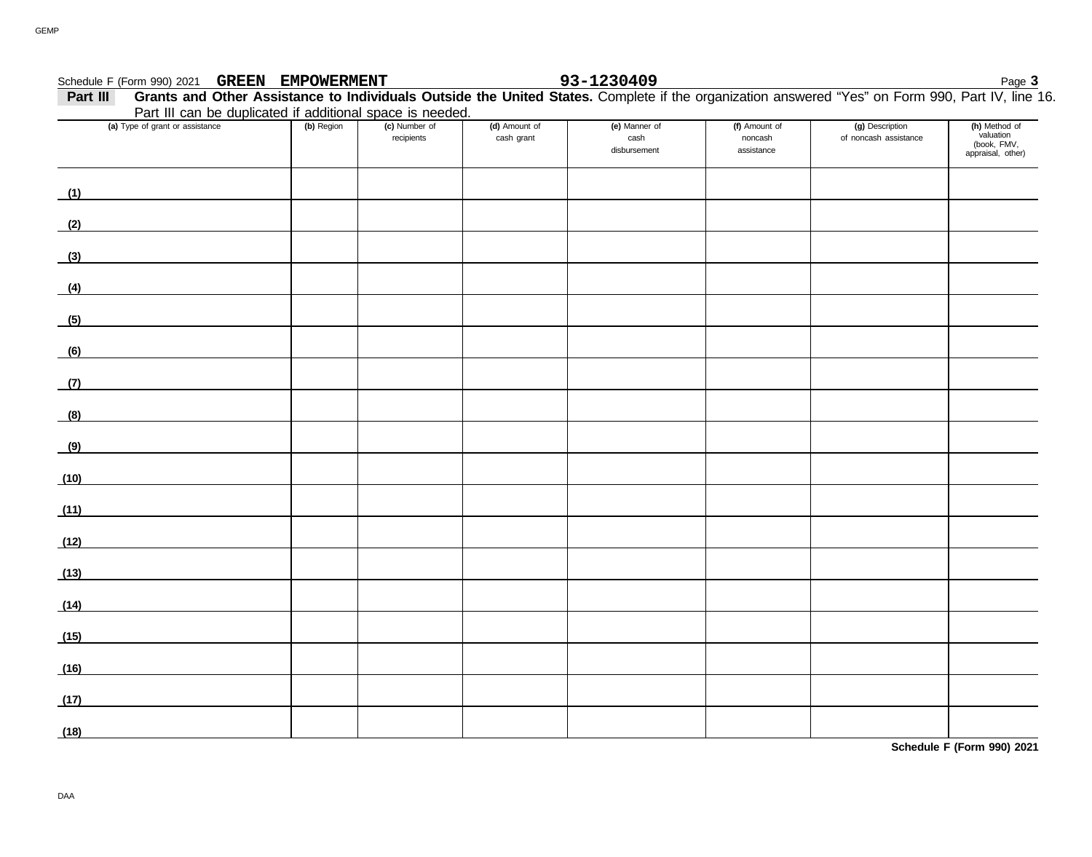| Schedule F (Form 990) 2021 GREEN EMPOWERMENT                                                                                                                 |            |                             |                             | 93-1230409                            |                                        |                                          | Page 3                                                         |
|--------------------------------------------------------------------------------------------------------------------------------------------------------------|------------|-----------------------------|-----------------------------|---------------------------------------|----------------------------------------|------------------------------------------|----------------------------------------------------------------|
| Grants and Other Assistance to Individuals Outside the United States. Complete if the organization answered "Yes" on Form 990, Part IV, line 16.<br>Part III |            |                             |                             |                                       |                                        |                                          |                                                                |
| Part III can be duplicated if additional space is needed.                                                                                                    |            |                             |                             |                                       |                                        |                                          |                                                                |
| (a) Type of grant or assistance                                                                                                                              | (b) Region | (c) Number of<br>recipients | (d) Amount of<br>cash grant | (e) Manner of<br>cash<br>disbursement | (f) Amount of<br>noncash<br>assistance | (g) Description<br>of noncash assistance | (h) Method of<br>valuation<br>(book, FMV,<br>appraisal, other) |
| (1)                                                                                                                                                          |            |                             |                             |                                       |                                        |                                          |                                                                |
| <u> 1980 - Johann Barbara, martxa a</u><br>(2)                                                                                                               |            |                             |                             |                                       |                                        |                                          |                                                                |
| (3)                                                                                                                                                          |            |                             |                             |                                       |                                        |                                          |                                                                |
| (4)                                                                                                                                                          |            |                             |                             |                                       |                                        |                                          |                                                                |
| (5)                                                                                                                                                          |            |                             |                             |                                       |                                        |                                          |                                                                |
| (6)                                                                                                                                                          |            |                             |                             |                                       |                                        |                                          |                                                                |
| (7)                                                                                                                                                          |            |                             |                             |                                       |                                        |                                          |                                                                |
| (8)                                                                                                                                                          |            |                             |                             |                                       |                                        |                                          |                                                                |
| (9)                                                                                                                                                          |            |                             |                             |                                       |                                        |                                          |                                                                |
| (10)                                                                                                                                                         |            |                             |                             |                                       |                                        |                                          |                                                                |
| (11)                                                                                                                                                         |            |                             |                             |                                       |                                        |                                          |                                                                |
| (12)                                                                                                                                                         |            |                             |                             |                                       |                                        |                                          |                                                                |
| (13)<br>(14)                                                                                                                                                 |            |                             |                             |                                       |                                        |                                          |                                                                |
| (15)                                                                                                                                                         |            |                             |                             |                                       |                                        |                                          |                                                                |
| (16)                                                                                                                                                         |            |                             |                             |                                       |                                        |                                          |                                                                |
| (17)                                                                                                                                                         |            |                             |                             |                                       |                                        |                                          |                                                                |
| (18)                                                                                                                                                         |            |                             |                             |                                       |                                        |                                          |                                                                |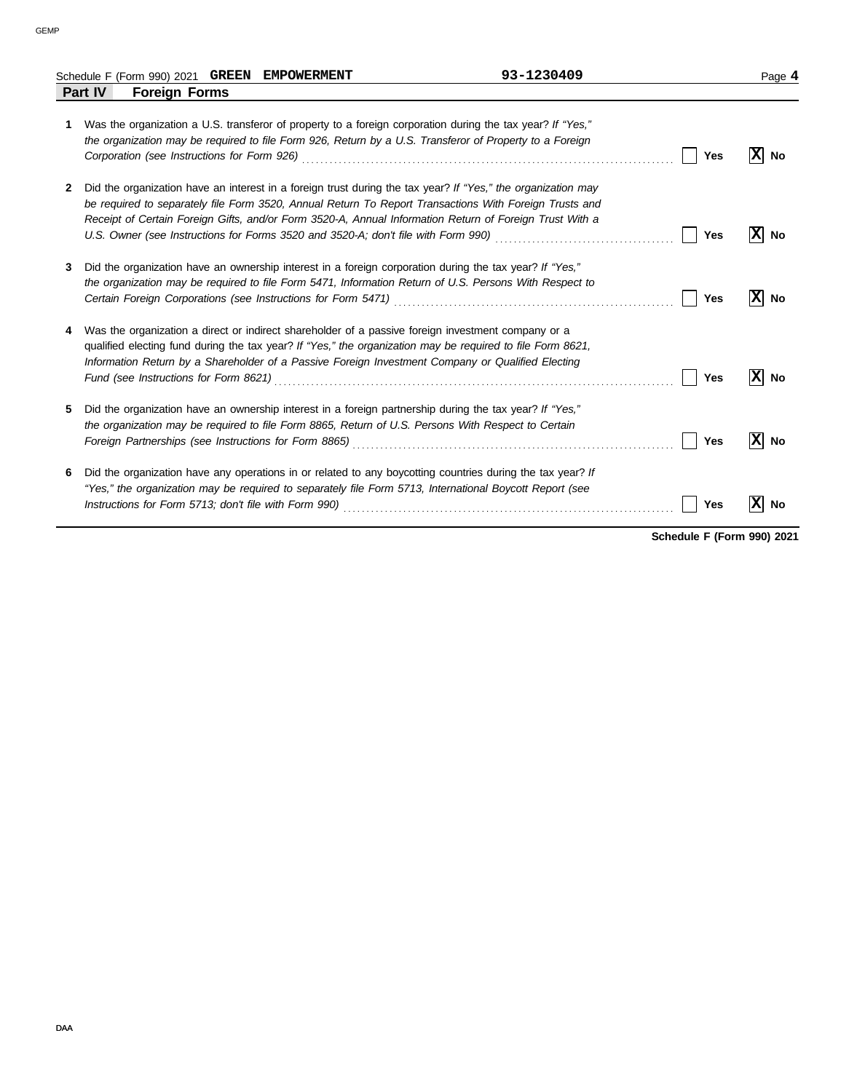|   | Schedule F (Form 990) 2021 GREEN | <b>EMPOWERMENT</b>                                                                                                                                                                                                                                                                                                    | 93-1230409                                                                                                                                                                                                                                                                                                                        |            | Page 4    |
|---|----------------------------------|-----------------------------------------------------------------------------------------------------------------------------------------------------------------------------------------------------------------------------------------------------------------------------------------------------------------------|-----------------------------------------------------------------------------------------------------------------------------------------------------------------------------------------------------------------------------------------------------------------------------------------------------------------------------------|------------|-----------|
|   | Part IV<br><b>Foreign Forms</b>  |                                                                                                                                                                                                                                                                                                                       |                                                                                                                                                                                                                                                                                                                                   |            |           |
| 1 |                                  | Was the organization a U.S. transferor of property to a foreign corporation during the tax year? If "Yes,"<br>the organization may be required to file Form 926, Return by a U.S. Transferor of Property to a Foreign                                                                                                 | Corporation (see Instructions for Form 926) Material Corporation (see Instruction of Terms and Terms and Terms                                                                                                                                                                                                                    | Yes        | No        |
| 2 |                                  |                                                                                                                                                                                                                                                                                                                       | Did the organization have an interest in a foreign trust during the tax year? If "Yes," the organization may<br>be required to separately file Form 3520, Annual Return To Report Transactions With Foreign Trusts and<br>Receipt of Certain Foreign Gifts, and/or Form 3520-A, Annual Information Return of Foreign Trust With a | Yes        | X  No     |
| 3 |                                  | Did the organization have an ownership interest in a foreign corporation during the tax year? If "Yes,"<br>the organization may be required to file Form 5471, Information Return of U.S. Persons With Respect to                                                                                                     |                                                                                                                                                                                                                                                                                                                                   | Yes        | ΙXΙ<br>No |
| 4 |                                  | Was the organization a direct or indirect shareholder of a passive foreign investment company or a<br>qualified electing fund during the tax year? If "Yes," the organization may be required to file Form 8621,<br>Information Return by a Shareholder of a Passive Foreign Investment Company or Qualified Electing |                                                                                                                                                                                                                                                                                                                                   | Yes        | No        |
| 5 |                                  | Did the organization have an ownership interest in a foreign partnership during the tax year? If "Yes,"<br>the organization may be required to file Form 8865, Return of U.S. Persons With Respect to Certain                                                                                                         |                                                                                                                                                                                                                                                                                                                                   | <b>Yes</b> | No        |
| 6 |                                  | Did the organization have any operations in or related to any boycotting countries during the tax year? If<br>"Yes," the organization may be required to separately file Form 5713, International Boycott Report (see                                                                                                 |                                                                                                                                                                                                                                                                                                                                   | Yes        | No        |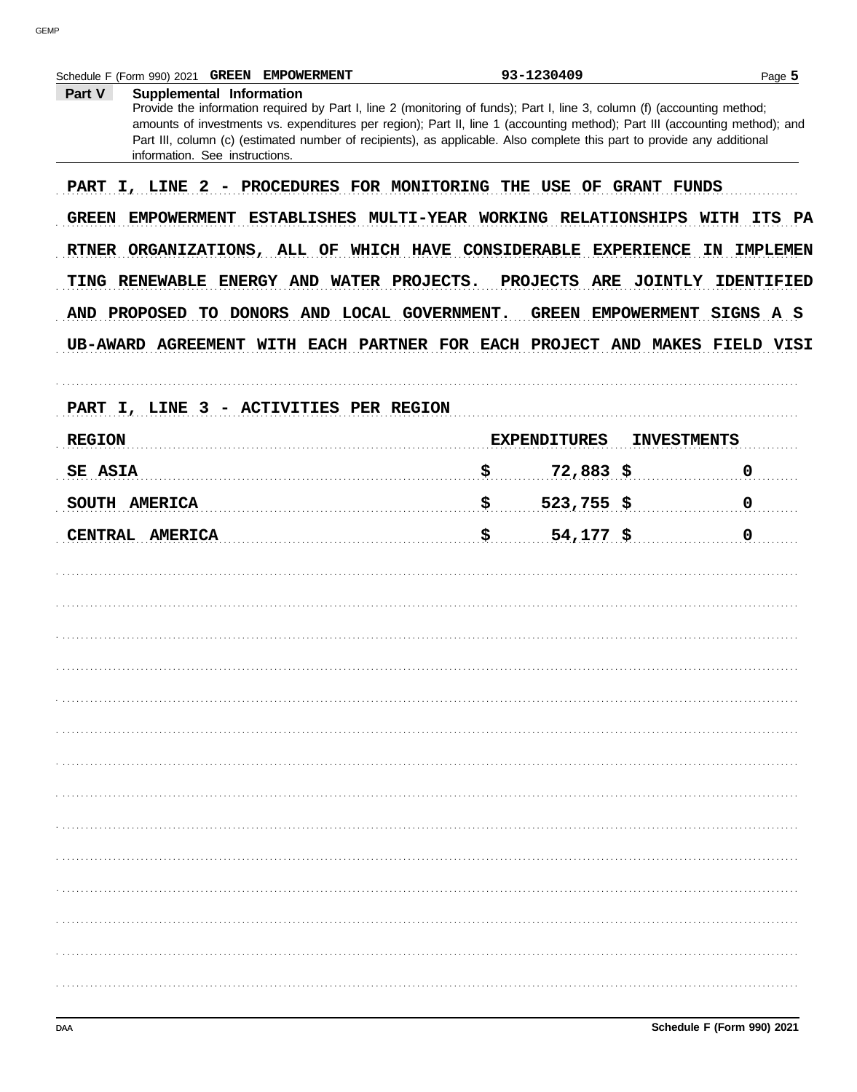|               | Schedule F (Form 990) 2021 GREEN EMPOWERMENT                                                                                                         |                           | 93-1230409                      | Page 5             |
|---------------|------------------------------------------------------------------------------------------------------------------------------------------------------|---------------------------|---------------------------------|--------------------|
| Part V        | Supplemental Information<br>Provide the information required by Part I, line 2 (monitoring of funds); Part I, line 3, column (f) (accounting method; |                           |                                 |                    |
|               | amounts of investments vs. expenditures per region); Part II, line 1 (accounting method); Part III (accounting method); and                          |                           |                                 |                    |
|               | Part III, column (c) (estimated number of recipients), as applicable. Also complete this part to provide any additional                              |                           |                                 |                    |
|               | information. See instructions.                                                                                                                       |                           |                                 |                    |
|               | PART I, LINE 2 - PROCEDURES FOR MONITORING THE USE OF GRANT FUNDS                                                                                    |                           |                                 |                    |
|               | GREEN EMPOWERMENT ESTABLISHES MULTI-YEAR WORKING RELATIONSHIPS WITH ITS PA                                                                           |                           |                                 |                    |
|               | RTNER ORGANIZATIONS, ALL OF WHICH HAVE CONSIDERABLE EXPERIENCE IN IMPLEMEN                                                                           |                           |                                 |                    |
|               | TING RENEWABLE ENERGY AND WATER PROJECTS.                                                                                                            |                           | PROJECTS ARE JOINTLY IDENTIFIED |                    |
|               | AND PROPOSED TO DONORS AND LOCAL GOVERNMENT.                                                                                                         |                           | GREEN EMPOWERMENT SIGNS A S     |                    |
|               | UB-AWARD AGREEMENT WITH EACH PARTNER FOR EACH PROJECT AND MAKES FIELD VISI                                                                           |                           |                                 |                    |
|               |                                                                                                                                                      |                           |                                 |                    |
|               |                                                                                                                                                      |                           |                                 |                    |
|               | PART I, LINE 3 - ACTIVITIES PER REGION                                                                                                               |                           |                                 |                    |
| <b>REGION</b> |                                                                                                                                                      |                           | <b>EXPENDITURES</b>             | <b>INVESTMENTS</b> |
| SE ASIA       |                                                                                                                                                      | \$                        | $72,883$ \$                     | 0                  |
|               | SOUTH AMERICA                                                                                                                                        | \$<br>.                   | $523,755$ \$                    | $\mathbf 0$        |
|               | CENTRAL AMERICA                                                                                                                                      | $\boldsymbol{\mathsf{S}}$ | $54,177$ \$                     | 0                  |
|               |                                                                                                                                                      |                           |                                 |                    |
|               |                                                                                                                                                      |                           |                                 |                    |
|               |                                                                                                                                                      |                           |                                 |                    |
|               |                                                                                                                                                      |                           |                                 |                    |
|               |                                                                                                                                                      |                           |                                 |                    |
|               |                                                                                                                                                      |                           |                                 |                    |
|               |                                                                                                                                                      |                           |                                 |                    |
|               |                                                                                                                                                      |                           |                                 |                    |
|               |                                                                                                                                                      |                           |                                 |                    |
|               |                                                                                                                                                      |                           |                                 |                    |
|               |                                                                                                                                                      |                           |                                 |                    |
|               |                                                                                                                                                      |                           |                                 |                    |
|               |                                                                                                                                                      |                           |                                 |                    |
|               |                                                                                                                                                      |                           |                                 |                    |
|               |                                                                                                                                                      |                           |                                 |                    |
|               |                                                                                                                                                      |                           |                                 |                    |
|               |                                                                                                                                                      |                           |                                 |                    |
|               |                                                                                                                                                      |                           |                                 |                    |
|               |                                                                                                                                                      |                           |                                 |                    |
|               |                                                                                                                                                      |                           |                                 |                    |
|               |                                                                                                                                                      |                           |                                 |                    |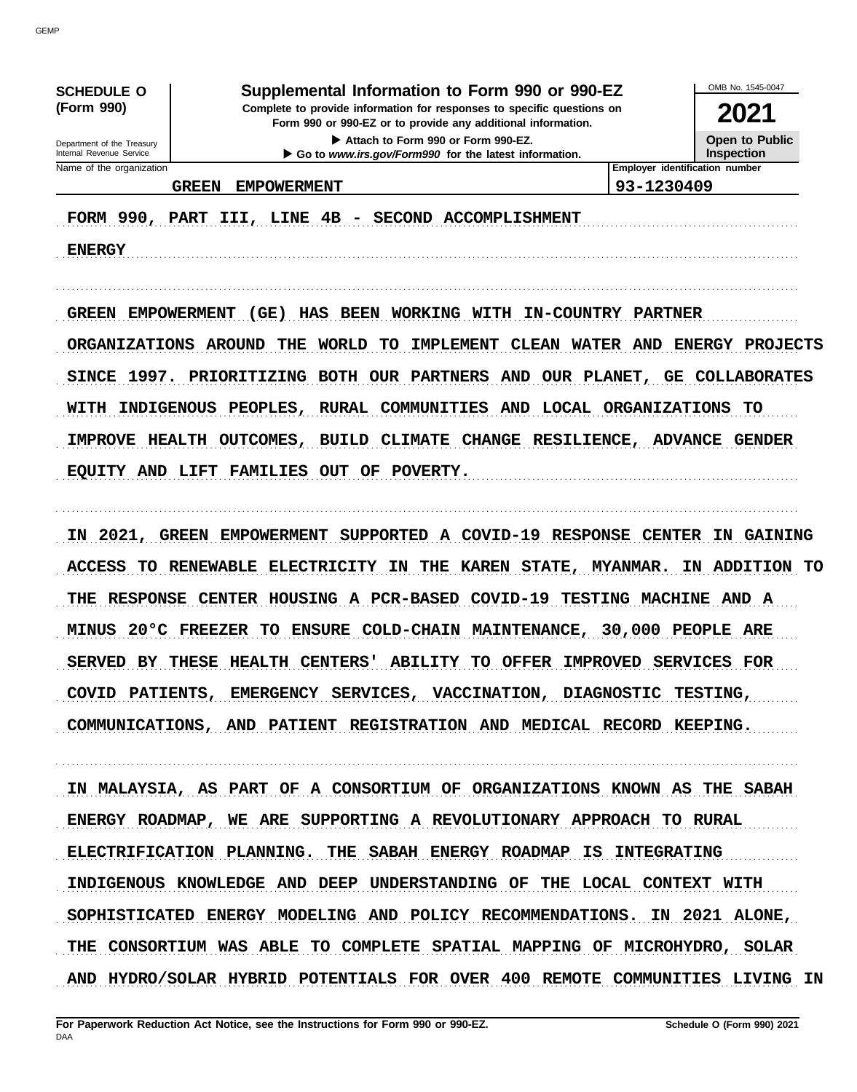| Department of the Treasury<br>Internal Revenue Service<br>Name of the organization |  | Form 990 or 990-EZ or to provide any additional information.<br>Attach to Form 990 or Form 990-EZ.<br>Go to www.irs.gov/Form990 for the latest information. | Employer identification number | Open to Public<br><b>Inspection</b> |
|------------------------------------------------------------------------------------|--|-------------------------------------------------------------------------------------------------------------------------------------------------------------|--------------------------------|-------------------------------------|
| <b>GREEN</b>                                                                       |  | 93-1230409<br><b>EMPOWERMENT</b>                                                                                                                            |                                |                                     |

FORM 990, PART III, LINE 4B - SECOND ACCOMPLISHMENT

**ENERGY** 

GREEN EMPOWERMENT (GE) HAS BEEN WORKING WITH IN-COUNTRY PARTNER

ORGANIZATIONS AROUND THE WORLD TO IMPLEMENT CLEAN WATER AND ENERGY PROJECTS SINCE 1997. PRIORITIZING BOTH OUR PARTNERS AND OUR PLANET, GE COLLABORATES WITH INDIGENOUS PEOPLES, RURAL COMMUNITIES AND LOCAL ORGANIZATIONS TO IMPROVE HEALTH OUTCOMES, BUILD CLIMATE CHANGE RESILIENCE, ADVANCE GENDER EQUITY AND LIFT FAMILIES OUT OF POVERTY.

IN 2021, GREEN EMPOWERMENT SUPPORTED A COVID-19 RESPONSE CENTER IN GAINING ACCESS TO RENEWABLE ELECTRICITY IN THE KAREN STATE, MYANMAR. IN ADDITION TO THE RESPONSE CENTER HOUSING A PCR-BASED COVID-19 TESTING MACHINE AND A MINUS 20°C FREEZER TO ENSURE COLD-CHAIN MAINTENANCE, 30,000 PEOPLE ARE SERVED BY THESE HEALTH CENTERS' ABILITY TO OFFER IMPROVED SERVICES FOR COVID PATIENTS, EMERGENCY SERVICES, VACCINATION, DIAGNOSTIC TESTING, COMMUNICATIONS, AND PATIENT REGISTRATION AND MEDICAL RECORD KEEPING.

IN MALAYSIA, AS PART OF A CONSORTIUM OF ORGANIZATIONS KNOWN AS THE SABAH ENERGY ROADMAP, WE ARE SUPPORTING A REVOLUTIONARY APPROACH TO RURAL ELECTRIFICATION PLANNING. THE SABAH ENERGY ROADMAP IS INTEGRATING INDIGENOUS KNOWLEDGE AND DEEP UNDERSTANDING OF THE LOCAL CONTEXT WITH SOPHISTICATED ENERGY MODELING AND POLICY RECOMMENDATIONS. IN 2021 ALONE, THE CONSORTIUM WAS ABLE TO COMPLETE SPATIAL MAPPING OF MICROHYDRO, SOLAR AND HYDRO/SOLAR HYBRID POTENTIALS FOR OVER 400 REMOTE COMMUNITIES LIVING IN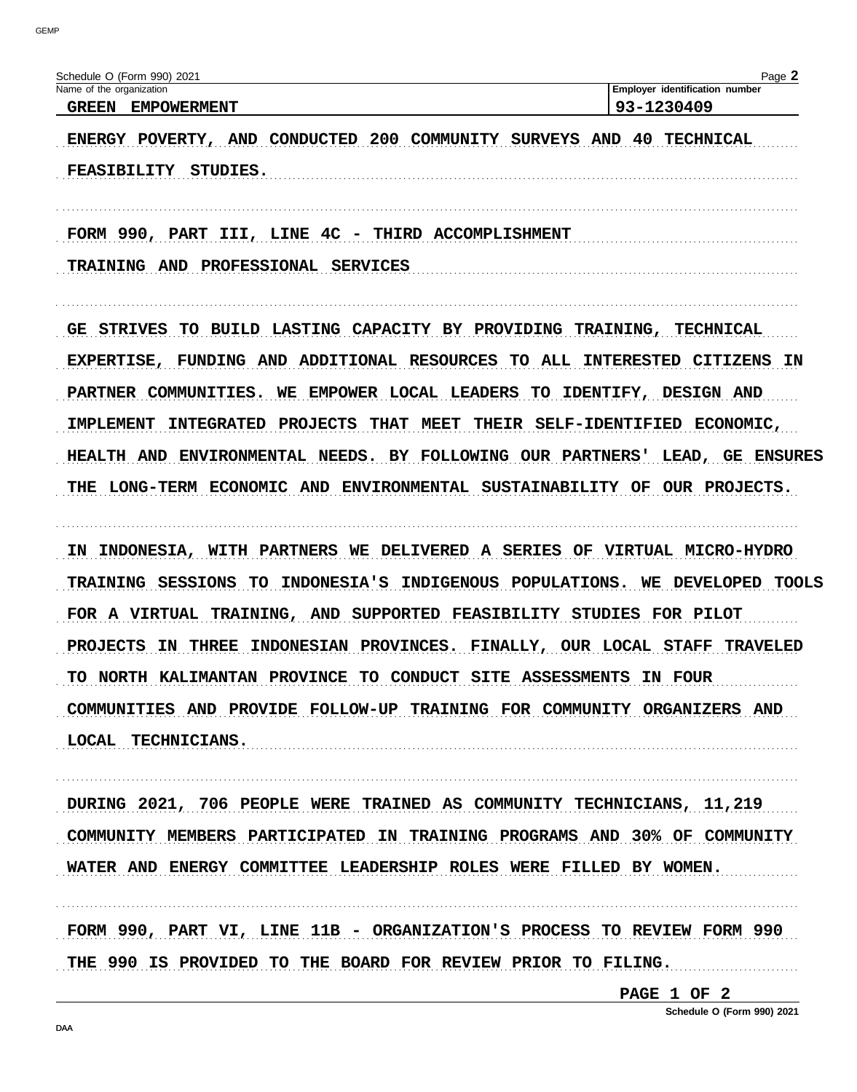| Name of the organization                                     | Employer identification number                     |
|--------------------------------------------------------------|----------------------------------------------------|
| <b>EMPOWERMENT</b><br><b>GREEN</b>                           | 93-1230409                                         |
| AND CONDUCTED 200 COMMUNITY<br>ENERGY POVERTY,               | SURVEYS AND 40<br><b>TECHNICAL</b>                 |
| FEASIBILITY STUDIES.                                         |                                                    |
|                                                              |                                                    |
|                                                              |                                                    |
| FORM 990, PART III, LINE 4C - THIRD ACCOMPLISHMENT           |                                                    |
| <b>TRAINING AND PROFESSIONAL SERVICES</b>                    |                                                    |
|                                                              |                                                    |
|                                                              |                                                    |
| BUILD LASTING CAPACITY BY PROVIDING<br>STRIVES<br>TO.<br>GE. | <b>TRAINING,</b><br><b>TECHNICAL</b>               |
|                                                              | EXPERTISE, FUNDING AND ADDITIONAL RESOURCES TO ALL |

IMPLEMENT INTEGRATED PROJECTS THAT MEET THEIR SELF-IDENTIFIED ECONOMIC, HEALTH AND ENVIRONMENTAL NEEDS. BY FOLLOWING OUR PARTNERS' LEAD, GE ENSURES

THE LONG-TERM ECONOMIC AND ENVIRONMENTAL SUSTAINABILITY OF OUR PROJECTS.

IN INDONESIA, WITH PARTNERS WE DELIVERED A SERIES OF VIRTUAL MICRO-HYDRO TRAINING SESSIONS TO INDONESIA'S INDIGENOUS POPULATIONS. WE DEVELOPED TOOLS FOR A VIRTUAL TRAINING, AND SUPPORTED FEASIBILITY STUDIES FOR PILOT PROJECTS IN THREE INDONESIAN PROVINCES. FINALLY, OUR LOCAL STAFF TRAVELED TO NORTH KALIMANTAN PROVINCE TO CONDUCT SITE ASSESSMENTS IN FOUR COMMUNITIES AND PROVIDE FOLLOW-UP TRAINING FOR COMMUNITY ORGANIZERS AND LOCAL TECHNICIANS.

DURING 2021, 706 PEOPLE WERE TRAINED AS COMMUNITY TECHNICIANS, 11, 219 COMMUNITY MEMBERS PARTICIPATED IN TRAINING PROGRAMS AND 30% OF COMMUNITY WATER AND ENERGY COMMITTEE LEADERSHIP ROLES WERE FILLED BY WOMEN.

FORM 990, PART VI, LINE 11B - ORGANIZATION'S PROCESS TO REVIEW FORM 990 THE 990 IS PROVIDED TO THE BOARD FOR REVIEW PRIOR TO FILING.

PAGE 1 OF 2

Schedule O (Form 990) 2021

DAA

GEMP